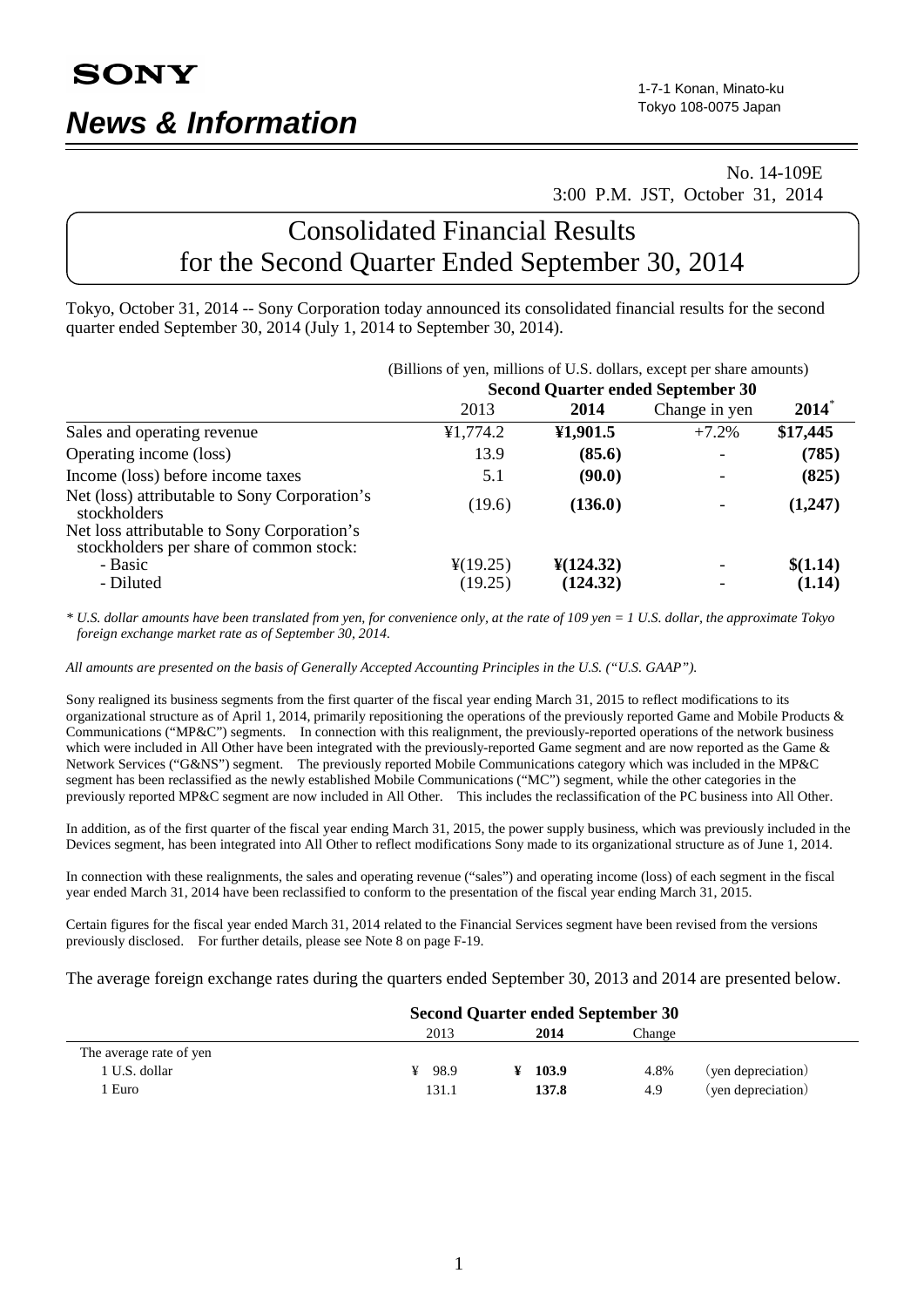# <span id="page-0-0"></span> No. 14-109E 3:00 P.M. JST, October 31, 2014

# Consolidated Financial Results for the Second Quarter Ended September 30, 2014

Tokyo, October 31, 2014 -- Sony Corporation today announced its consolidated financial results for the second quarter ended [September](#page-0-0) 30, 2014 (July 1, 2014 to [September](#page-0-0) 30, 2014).

|                                                                                        | (Billions of yen, millions of U.S. dollars, except per share amounts) |                       |               |                  |  |
|----------------------------------------------------------------------------------------|-----------------------------------------------------------------------|-----------------------|---------------|------------------|--|
|                                                                                        | <b>Second Quarter ended September 30</b>                              |                       |               |                  |  |
|                                                                                        | 2013                                                                  | 2014                  | Change in yen | $2014^{\degree}$ |  |
| Sales and operating revenue                                                            | ¥1,774.2                                                              | ¥1,901.5              | $+7.2%$       | \$17,445         |  |
| Operating income (loss)                                                                | 13.9                                                                  | (85.6)                |               | (785)            |  |
| Income (loss) before income taxes                                                      | 5.1                                                                   | (90.0)                |               | (825)            |  |
| Net (loss) attributable to Sony Corporation's<br>stockholders                          | (19.6)                                                                | (136.0)               |               | (1,247)          |  |
| Net loss attributable to Sony Corporation's<br>stockholders per share of common stock: |                                                                       |                       |               |                  |  |
| - Basic                                                                                | $\frac{1}{2}(19.25)$                                                  | $\frac{1}{2}(124.32)$ |               | \$(1.14)         |  |
| - Diluted                                                                              | (19.25)                                                               | (124.32)              |               | (1.14)           |  |

*\* U.S. dollar amounts have been translated from yen, for convenience only, at the rate of 109 yen = 1 U.S. dollar, the approximate Tokyo foreign exchange market rate as of September 30, 2014.*

*All amounts are presented on the basis of Generally Accepted Accounting Principles in the U.S. ("U.S. GAAP").*

Sony realigned its business segments from the first quarter of the fiscal year ending March 31, 2015 to reflect modifications to its organizational structure as of April 1, 2014, primarily repositioning the operations of the previously reported Game and Mobile Products & Communications ("MP&C") segments. In connection with this realignment, the previously-reported operations of the network business which were included in All Other have been integrated with the previously-reported Game segment and are now reported as the Game & Network Services ("G&NS") segment. The previously reported Mobile Communications category which was included in the MP&C segment has been reclassified as the newly established Mobile Communications ("MC") segment, while the other categories in the previously reported MP&C segment are now included in All Other. This includes the reclassification of the PC business into All Other.

In addition, as of the first quarter of the fiscal year ending March 31, 2015, the power supply business, which was previously included in the Devices segment, has been integrated into All Other to reflect modifications Sony made to its organizational structure as of June 1, 2014.

In connection with these realignments, the sales and operating revenue ("sales") and operating income (loss) of each segment in the fiscal year ended March 31, 2014 have been reclassified to conform to the presentation of the fiscal year ending March 31, 2015.

Certain figures for the fiscal year ended March 31, 2014 related to the Financial Services segment have been revised from the versions previously disclosed. For further details, please see Note 8 on page F-19.

The average foreign exchange rates during the quarters ended September 30, 2013 and 2014 are presented below.

|                         | <b>Second Quarter ended September 30</b> |       |        |                    |
|-------------------------|------------------------------------------|-------|--------|--------------------|
|                         | 2013                                     | 2014  | Change |                    |
| The average rate of yen |                                          |       |        |                    |
| 1 U.S. dollar           | ¥ 98.9                                   | 103.9 | 4.8%   | (yen depreciation) |
| Euro                    | 131.1                                    | 137.8 | 4.9    | (yen depreciation) |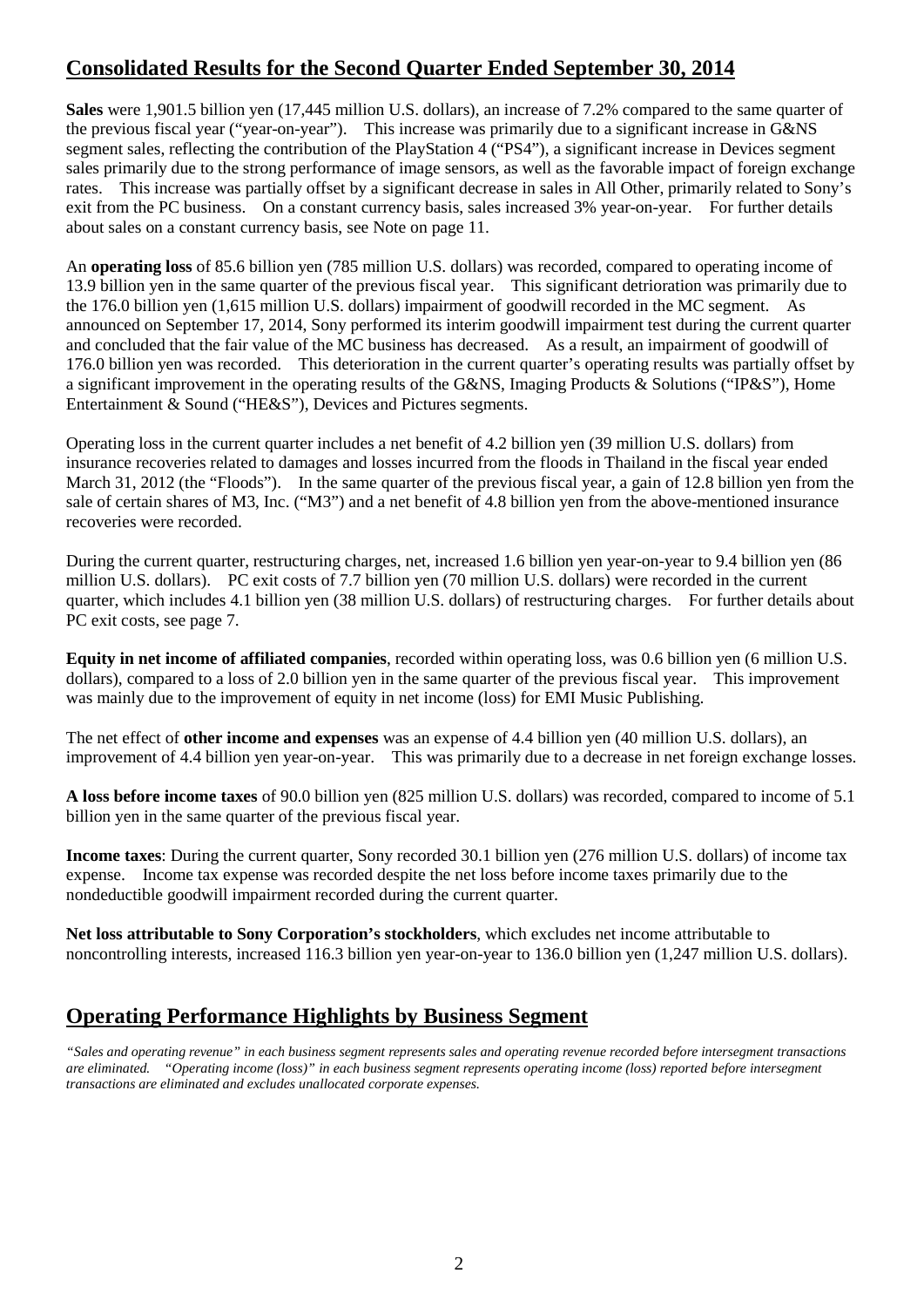# **Consolidated Results for the Second Quarter Ended September 30, 2014**

**Sales** were 1,901.5 billion yen (17,445 million U.S. dollars), an increase of 7.2% compared to the same quarter of the previous fiscal year ("year-on-year"). This increase was primarily due to a significant increase in G&NS segment sales, reflecting the contribution of the PlayStation 4 ("PS4"), a significant increase in Devices segment sales primarily due to the strong performance of image sensors, as well as the favorable impact of foreign exchange rates. This increase was partially offset by a significant decrease in sales in All Other, primarily related to Sony's exit from the PC business. On a constant currency basis, sales increased 3% year-on-year. For further details about sales on a constant currency basis, see Note on page 11.

An **operating loss** of 85.6 billion yen (785 million U.S. dollars) was recorded, compared to operating income of 13.9 billion yen in the same quarter of the previous fiscal year. This significant detrioration was primarily due to the 176.0 billion yen (1,615 million U.S. dollars) impairment of goodwill recorded in the MC segment. As announced on September 17, 2014, Sony performed its interim goodwill impairment test during the current quarter and concluded that the fair value of the MC business has decreased. As a result, an impairment of goodwill of 176.0 billion yen was recorded. This deterioration in the current quarter's operating results was partially offset by a significant improvement in the operating results of the G&NS, Imaging Products & Solutions ("IP&S"), Home Entertainment & Sound ("HE&S"), Devices and Pictures segments.

Operating loss in the current quarter includes a net benefit of 4.2 billion yen (39 million U.S. dollars) from insurance recoveries related to damages and losses incurred from the floods in Thailand in the fiscal year ended March 31, 2012 (the "Floods"). In the same quarter of the previous fiscal year, a gain of 12.8 billion yen from the sale of certain shares of M3, Inc. ("M3") and a net benefit of 4.8 billion yen from the above-mentioned insurance recoveries were recorded.

During the current quarter, restructuring charges, net, increased 1.6 billion yen year-on-year to 9.4 billion yen (86 million U.S. dollars). PC exit costs of 7.7 billion yen (70 million U.S. dollars) were recorded in the current quarter, which includes 4.1 billion yen (38 million U.S. dollars) of restructuring charges. For further details about PC exit costs, see page 7.

**Equity in net income of affiliated companies**, recorded within operating loss, was 0.6 billion yen (6 million U.S. dollars), compared to a loss of 2.0 billion yen in the same quarter of the previous fiscal year. This improvement was mainly due to the improvement of equity in net income (loss) for EMI Music Publishing.

The net effect of **other income and expenses** was an expense of 4.4 billion yen (40 million U.S. dollars), an improvement of 4.4 billion yen year-on-year. This was primarily due to a decrease in net foreign exchange losses.

**A loss before income taxes** of 90.0 billion yen (825 million U.S. dollars) was recorded, compared to income of 5.1 billion yen in the same quarter of the previous fiscal year.

**Income taxes**: During the current quarter, Sony recorded 30.1 billion yen (276 million U.S. dollars) of income tax expense. Income tax expense was recorded despite the net loss before income taxes primarily due to the nondeductible goodwill impairment recorded during the current quarter.

**Net loss attributable to Sony Corporation's stockholders**, which excludes net income attributable to noncontrolling interests, increased 116.3 billion yen year-on-year to 136.0 billion yen (1,247 million U.S. dollars).

# **Operating Performance Highlights by Business Segment**

*"Sales and operating revenue" in each business segment represents sales and operating revenue recorded before intersegment transactions are eliminated. "Operating income (loss)" in each business segment represents operating income (loss) reported before intersegment transactions are eliminated and excludes unallocated corporate expenses.*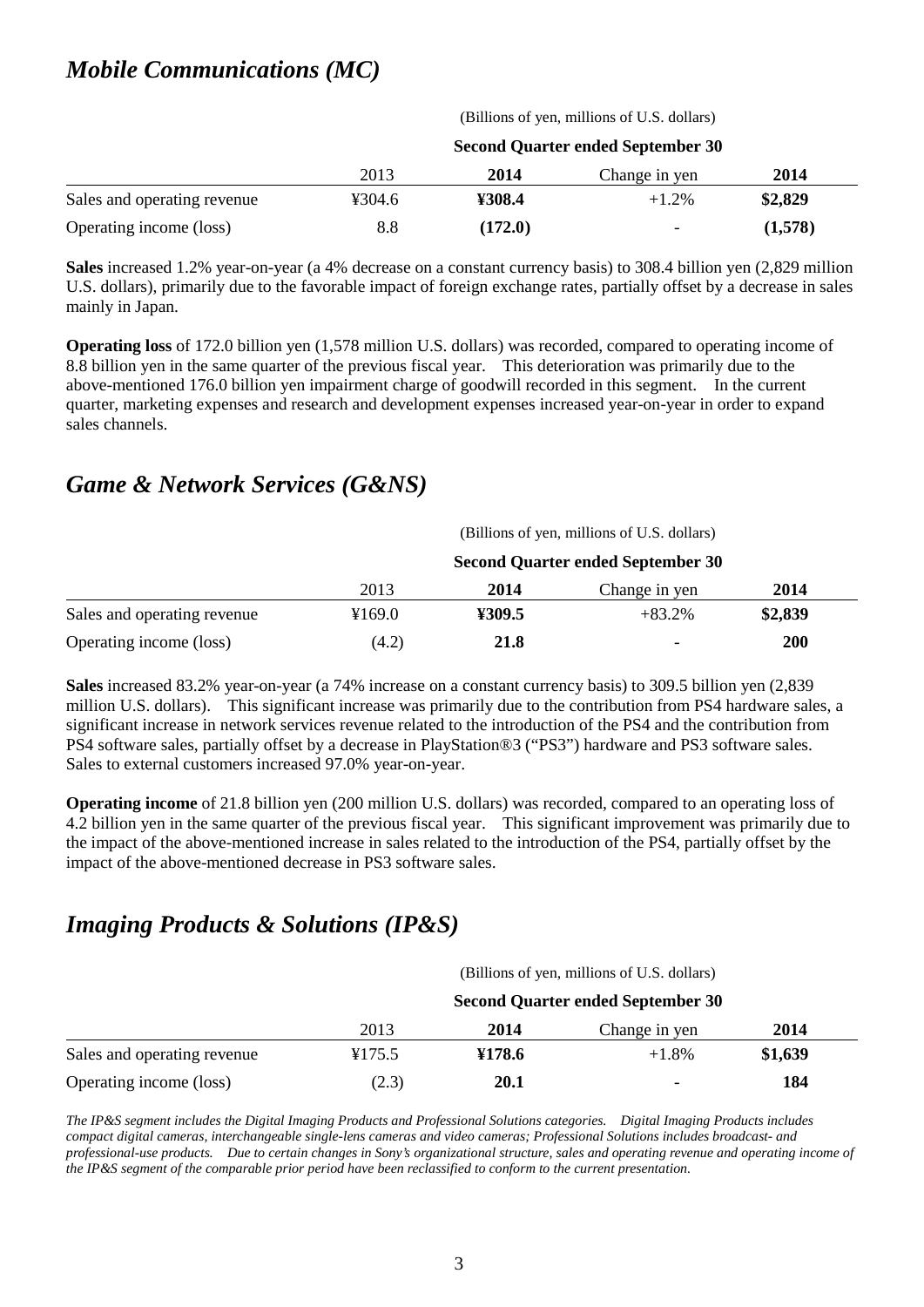# *Mobile Communications (MC)*

(Billions of yen, millions of U.S. dollars) **Second Quarter ended [September](#page-0-0) 30** 2013 **2014** Change in yen **2014** Sales and operating revenue ¥304.6 **¥308.4** +1.2% **\$2,829** Operating income (loss) 8.8 **(172.0)** - **(1,578)**

**Sales** increased 1.2% year-on-year (a 4% decrease on a constant currency basis) to 308.4 billion yen (2,829 million U.S. dollars), primarily due to the favorable impact of foreign exchange rates, partially offset by a decrease in sales mainly in Japan.

**Operating loss** of 172.0 billion yen (1,578 million U.S. dollars) was recorded, compared to operating income of 8.8 billion yen in the same quarter of the previous fiscal year. This deterioration was primarily due to the above-mentioned 176.0 billion yen impairment charge of goodwill recorded in this segment. In the current quarter, marketing expenses and research and development expenses increased year-on-year in order to expand sales channels.

# *Game & Network Services (G&NS)*

|                             | (Billions of yen, millions of U.S. dollars) |        |               |            |  |
|-----------------------------|---------------------------------------------|--------|---------------|------------|--|
|                             | <b>Second Quarter ended September 30</b>    |        |               |            |  |
|                             | 2013                                        | 2014   | Change in yen | 2014       |  |
| Sales and operating revenue | ¥169.0                                      | ¥309.5 | $+83.2\%$     | \$2,839    |  |
| Operating income (loss)     | (4.2)                                       | 21.8   | -             | <b>200</b> |  |

**Sales** increased 83.2% year-on-year (a 74% increase on a constant currency basis) to 309.5 billion yen (2,839 million U.S. dollars). This significant increase was primarily due to the contribution from PS4 hardware sales, a significant increase in network services revenue related to the introduction of the PS4 and the contribution from PS4 software sales, partially offset by a decrease in PlayStation®3 ("PS3") hardware and PS3 software sales. Sales to external customers increased 97.0% year-on-year.

**Operating income** of 21.8 billion yen (200 million U.S. dollars) was recorded, compared to an operating loss of 4.2 billion yen in the same quarter of the previous fiscal year. This significant improvement was primarily due to the impact of the above-mentioned increase in sales related to the introduction of the PS4, partially offset by the impact of the above-mentioned decrease in PS3 software sales.

# *Imaging Products & Solutions (IP&S)*

(Billions of yen, millions of U.S. dollars)

|                             | <b>Second Quarter ended September 30</b> |        |                          |         |
|-----------------------------|------------------------------------------|--------|--------------------------|---------|
|                             | 2013                                     | 2014   | Change in yen            | 2014    |
| Sales and operating revenue | ¥175.5                                   | ¥178.6 | $+1.8%$                  | \$1,639 |
| Operating income (loss)     | (2.3)                                    | 20.1   | $\overline{\phantom{0}}$ | 184     |

*The IP&S segment includes the Digital Imaging Products and Professional Solutions categories. Digital Imaging Products includes compact digital cameras, interchangeable single-lens cameras and video cameras; Professional Solutions includes broadcast- and professional-use products. Due to certain changes in Sony's organizational structure, sales and operating revenue and operating income of the IP&S segment of the comparable prior period have been reclassified to conform to the current presentation.*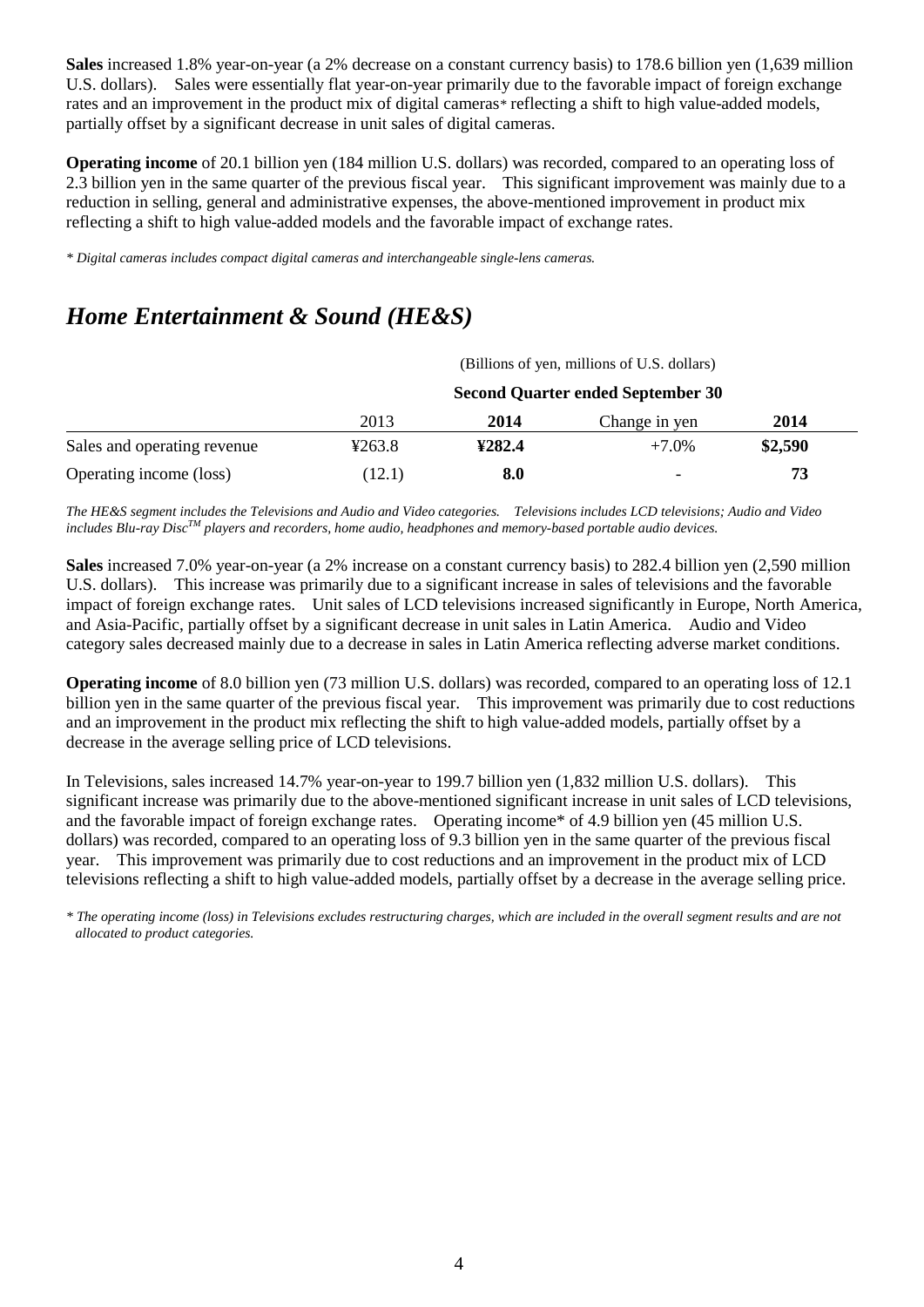**Sales** increased 1.8% year-on-year (a 2% decrease on a constant currency basis) to 178.6 billion yen (1,639 million U.S. dollars). Sales were essentially flat year-on-year primarily due to the favorable impact of foreign exchange rates and an improvement in the product mix of digital cameras*\** reflecting a shift to high value-added models, partially offset by a significant decrease in unit sales of digital cameras.

**Operating income** of 20.1 billion yen (184 million U.S. dollars) was recorded, compared to an operating loss of 2.3 billion yen in the same quarter of the previous fiscal year. This significant improvement was mainly due to a reduction in selling, general and administrative expenses, the above-mentioned improvement in product mix reflecting a shift to high value-added models and the favorable impact of exchange rates.

*\* Digital cameras includes compact digital cameras and interchangeable single-lens cameras.*

# *Home Entertainment & Sound (HE&S)*

(Billions of yen, millions of U.S. dollars)

|                             | <b>Second Quarter ended September 30</b> |        |                          |         |
|-----------------------------|------------------------------------------|--------|--------------------------|---------|
|                             | 2013                                     | 2014   | Change in yen            | 2014    |
| Sales and operating revenue | 4263.8                                   | ¥282.4 | $+7.0\%$                 | \$2,590 |
| Operating income (loss)     | (12.1)                                   | 8.0    | $\overline{\phantom{0}}$ | 73      |

*The HE&S segment includes the Televisions and Audio and Video categories. Televisions includes LCD televisions; Audio and Video includes Blu-ray DiscTM players and recorders, home audio, headphones and memory-based portable audio devices.*

**Sales** increased 7.0% year-on-year (a 2% increase on a constant currency basis) to 282.4 billion yen (2,590 million U.S. dollars). This increase was primarily due to a significant increase in sales of televisions and the favorable impact of foreign exchange rates. Unit sales of LCD televisions increased significantly in Europe, North America, and Asia-Pacific, partially offset by a significant decrease in unit sales in Latin America. Audio and Video category sales decreased mainly due to a decrease in sales in Latin America reflecting adverse market conditions.

**Operating income** of 8.0 billion yen (73 million U.S. dollars) was recorded, compared to an operating loss of 12.1 billion yen in the same quarter of the previous fiscal year. This improvement was primarily due to cost reductions and an improvement in the product mix reflecting the shift to high value-added models, partially offset by a decrease in the average selling price of LCD televisions.

In Televisions, sales increased 14.7% year-on-year to 199.7 billion yen (1,832 million U.S. dollars). This significant increase was primarily due to the above-mentioned significant increase in unit sales of LCD televisions, and the favorable impact of foreign exchange rates. Operating income\* of 4.9 billion yen (45 million U.S. dollars) was recorded, compared to an operating loss of 9.3 billion yen in the same quarter of the previous fiscal year. This improvement was primarily due to cost reductions and an improvement in the product mix of LCD televisions reflecting a shift to high value-added models, partially offset by a decrease in the average selling price.

*\* The operating income (loss) in Televisions excludes restructuring charges, which are included in the overall segment results and are not allocated to product categories.*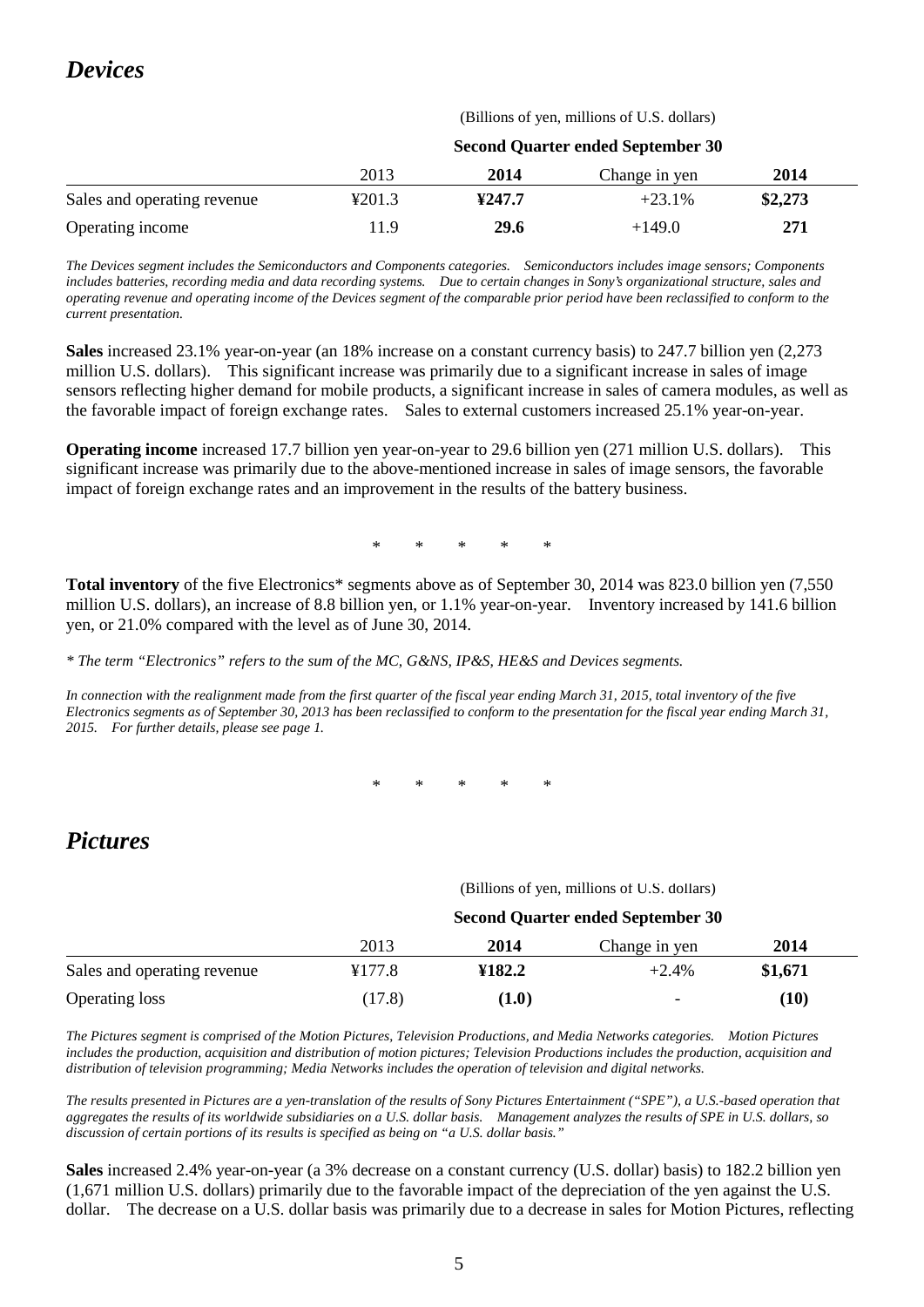# *Devices*

| (Billions of yen, millions of U.S. dollars) |  |  |  |
|---------------------------------------------|--|--|--|
|---------------------------------------------|--|--|--|

|                             | <b>Second Quarter ended September 30</b> |        |               |         |
|-----------------------------|------------------------------------------|--------|---------------|---------|
|                             | 2013                                     | 2014   | Change in yen | 2014    |
| Sales and operating revenue | ¥201.3                                   | ¥247.7 | $+23.1%$      | \$2,273 |
| Operating income            | 11.9                                     | 29.6   | $+149.0$      | 271     |

*The Devices segment includes the Semiconductors and Components categories. Semiconductors includes image sensors; Components includes batteries, recording media and data recording systems. Due to certain changes in Sony's organizational structure, sales and operating revenue and operating income of the Devices segment of the comparable prior period have been reclassified to conform to the current presentation.*

**Sales** increased 23.1% year-on-year (an 18% increase on a constant currency basis) to 247.7 billion yen (2,273 million U.S. dollars). This significant increase was primarily due to a significant increase in sales of image sensors reflecting higher demand for mobile products, a significant increase in sales of camera modules, as well as the favorable impact of foreign exchange rates. Sales to external customers increased 25.1% year-on-year.

**Operating income** increased 17.7 billion yen year-on-year to 29.6 billion yen (271 million U.S. dollars). This significant increase was primarily due to the above-mentioned increase in sales of image sensors, the favorable impact of foreign exchange rates and an improvement in the results of the battery business.

\* \* \* \* \*

**Total inventory** of the five Electronics\* segments above as of September 30, 2014 was 823.0 billion yen (7,550 million U.S. dollars), an increase of 8.8 billion yen, or 1.1% year-on-year. Inventory increased by 141.6 billion yen, or 21.0% compared with the level as of June 30, 2014.

*\* The term "Electronics" refers to the sum of the MC, G&NS, IP&S, HE&S and Devices segments.*

*In connection with the realignment made from the first quarter of the fiscal year ending March 31, 2015, total inventory of the five Electronics segments as of September 30, 2013 has been reclassified to conform to the presentation for the fiscal year ending March 31, 2015. For further details, please see page 1.*

\* \* \* \* \*

# *Pictures*

(Billions of yen, millions of U.S. dollars)

|                             | <b>Second Quarter ended September 30</b> |        |                          |         |  |
|-----------------------------|------------------------------------------|--------|--------------------------|---------|--|
|                             | 2013                                     | 2014   | Change in yen            | 2014    |  |
| Sales and operating revenue | ¥177.8                                   | ¥182.2 | $+2.4%$                  | \$1,671 |  |
| <b>Operating loss</b>       | (17.8)                                   | (1.0)  | $\overline{\phantom{0}}$ | (10)    |  |

*The Pictures segment is comprised of the Motion Pictures, Television Productions, and Media Networks categories. Motion Pictures includes the production, acquisition and distribution of motion pictures; Television Productions includes the production, acquisition and distribution of television programming; Media Networks includes the operation of television and digital networks.*

*The results presented in Pictures are a yen-translation of the results of Sony Pictures Entertainment ("SPE"), a U.S.-based operation that aggregates the results of its worldwide subsidiaries on a U.S. dollar basis. Management analyzes the results of SPE in U.S. dollars, so discussion of certain portions of its results is specified as being on "a U.S. dollar basis."*

**Sales** increased 2.4% year-on-year (a 3% decrease on a constant currency (U.S. dollar) basis) to 182.2 billion yen (1,671 million U.S. dollars) primarily due to the favorable impact of the depreciation of the yen against the U.S. dollar. The decrease on a U.S. dollar basis was primarily due to a decrease in sales for Motion Pictures, reflecting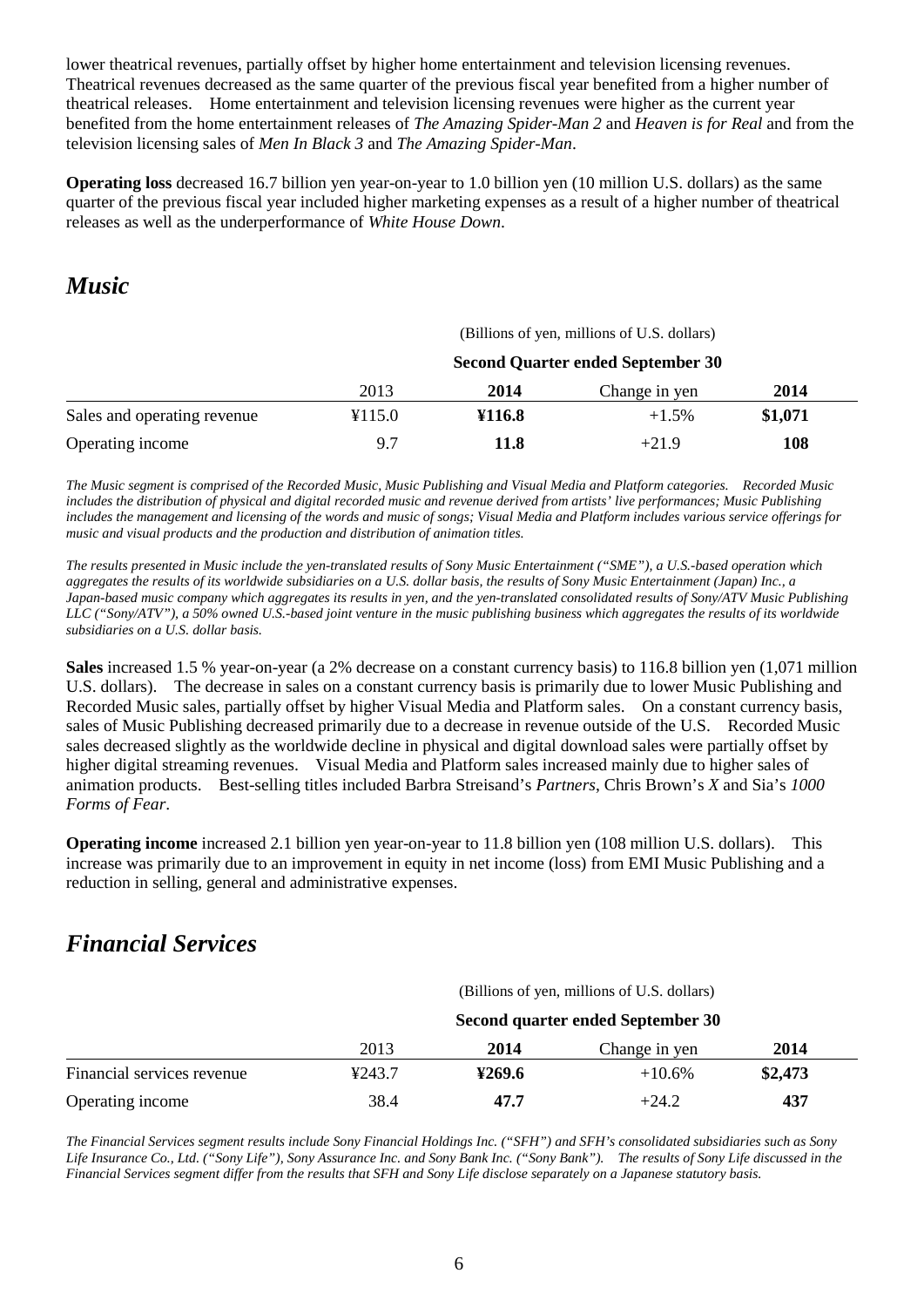lower theatrical revenues, partially offset by higher home entertainment and television licensing revenues. Theatrical revenues decreased as the same quarter of the previous fiscal year benefited from a higher number of theatrical releases. Home entertainment and television licensing revenues were higher as the current year benefited from the home entertainment releases of *The Amazing Spider-Man 2* and *Heaven is for Real* and from the television licensing sales of *Men In Black 3* and *The Amazing Spider-Man*.

**Operating loss** decreased 16.7 billion yen year-on-year to 1.0 billion yen (10 million U.S. dollars) as the same quarter of the previous fiscal year included higher marketing expenses as a result of a higher number of theatrical releases as well as the underperformance of *White House Down*.

# *Music*

|                             | (Billions of yen, millions of U.S. dollars) |        |               |         |  |
|-----------------------------|---------------------------------------------|--------|---------------|---------|--|
|                             | <b>Second Quarter ended September 30</b>    |        |               |         |  |
|                             | 2013                                        | 2014   | Change in yen | 2014    |  |
| Sales and operating revenue | ¥115.0                                      | ¥116.8 | $+1.5%$       | \$1,071 |  |
| Operating income            | 9.7                                         | 11.8   | $+21.9$       | 108     |  |

*The Music segment is comprised of the Recorded Music, Music Publishing and Visual Media and Platform categories. Recorded Music includes the distribution of physical and digital recorded music and revenue derived from artists' live performances; Music Publishing includes the management and licensing of the words and music of songs; Visual Media and Platform includes various service offerings for music and visual products and the production and distribution of animation titles.*

*The results presented in Music include the yen-translated results of Sony Music Entertainment ("SME"), a U.S.-based operation which aggregates the results of its worldwide subsidiaries on a U.S. dollar basis, the results of Sony Music Entertainment (Japan) Inc., a Japan-based music company which aggregates its results in yen, and the yen-translated consolidated results of Sony/ATV Music Publishing LLC ("Sony/ATV"), a 50% owned U.S.-based joint venture in the music publishing business which aggregates the results of its worldwide subsidiaries on a U.S. dollar basis.*

**Sales** increased 1.5 % year-on-year (a 2% decrease on a constant currency basis) to 116.8 billion yen (1,071 million U.S. dollars). The decrease in sales on a constant currency basis is primarily due to lower Music Publishing and Recorded Music sales, partially offset by higher Visual Media and Platform sales. On a constant currency basis, sales of Music Publishing decreased primarily due to a decrease in revenue outside of the U.S. Recorded Music sales decreased slightly as the worldwide decline in physical and digital download sales were partially offset by higher digital streaming revenues. Visual Media and Platform sales increased mainly due to higher sales of animation products. Best-selling titles included Barbra Streisand's *Partners*, Chris Brown's *X* and Sia's *1000 Forms of Fear*.

**Operating income** increased 2.1 billion yen year-on-year to 11.8 billion yen (108 million U.S. dollars). This increase was primarily due to an improvement in equity in net income (loss) from EMI Music Publishing and a reduction in selling, general and administrative expenses.

# *Financial Services*

(Billions of yen, millions of U.S. dollars)

|                            | Second quarter ended September 30 |        |               |         |
|----------------------------|-----------------------------------|--------|---------------|---------|
|                            | 2013                              | 2014   | Change in yen | 2014    |
| Financial services revenue | 4243.7                            | 4269.6 | $+10.6\%$     | \$2,473 |
| Operating income           | 38.4                              | 47.7   | $+24.2$       | 437     |

*The Financial Services segment results include Sony Financial Holdings Inc. ("SFH") and SFH's consolidated subsidiaries such as Sony Life Insurance Co., Ltd. ("Sony Life"), Sony Assurance Inc. and Sony Bank Inc. ("Sony Bank"). The results of Sony Life discussed in the Financial Services segment differ from the results that SFH and Sony Life disclose separately on a Japanese statutory basis.*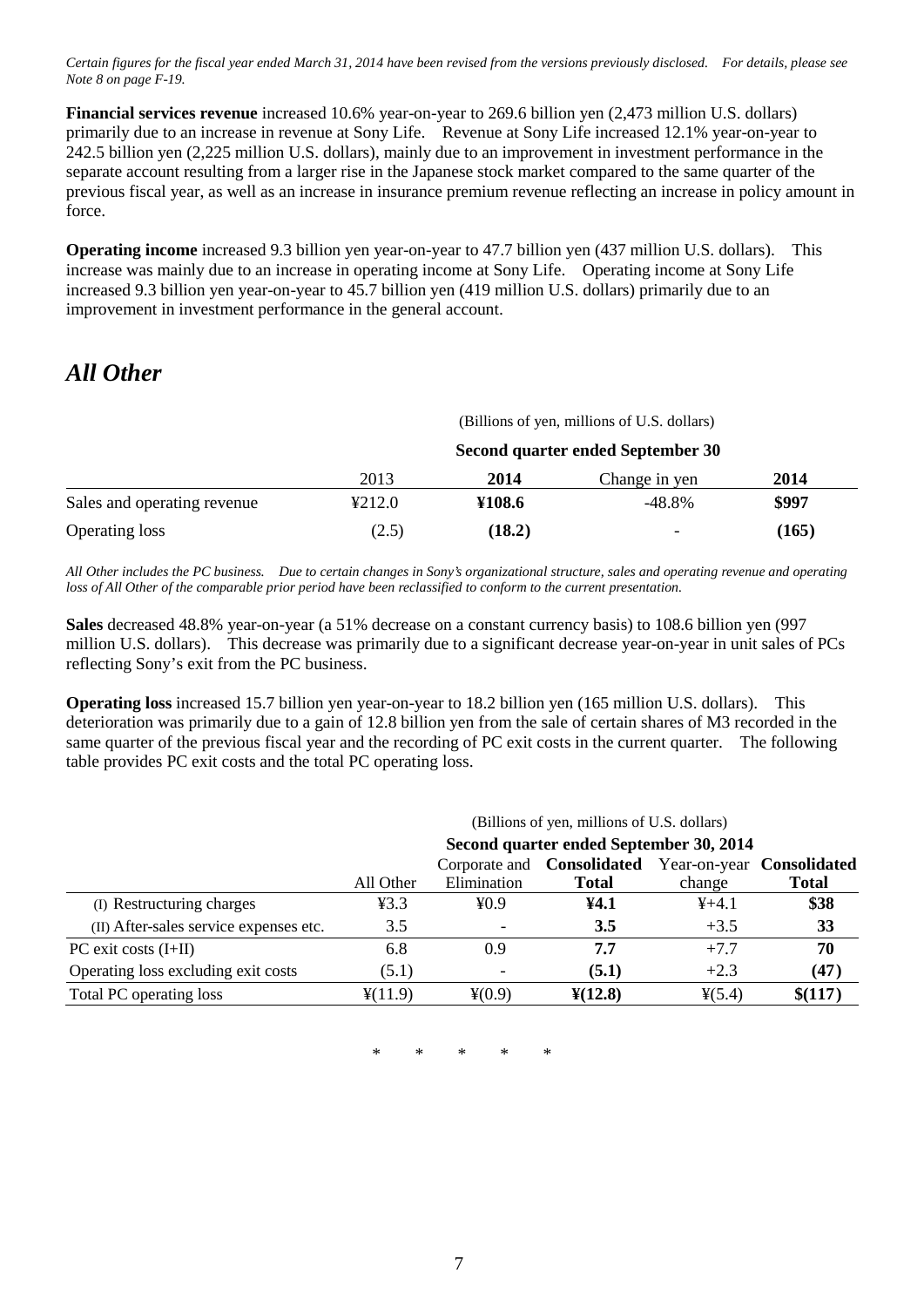*Certain figures for the fiscal year ended March 31, 2014 have been revised from the versions previously disclosed. For details, please see Note 8 on page F-19.*

**Financial services revenue** increased 10.6% year-on-year to 269.6 billion yen (2,473 million U.S. dollars) primarily due to an increase in revenue at Sony Life. Revenue at Sony Life increased 12.1% year-on-year to 242.5 billion yen (2,225 million U.S. dollars), mainly due to an improvement in investment performance in the separate account resulting from a larger rise in the Japanese stock market compared to the same quarter of the previous fiscal year, as well as an increase in insurance premium revenue reflecting an increase in policy amount in force.

**Operating income** increased 9.3 billion yen year-on-year to 47.7 billion yen (437 million U.S. dollars). This increase was mainly due to an increase in operating income at Sony Life. Operating income at Sony Life increased 9.3 billion yen year-on-year to 45.7 billion yen (419 million U.S. dollars) primarily due to an improvement in investment performance in the general account.

# *All Other*

|                             | (Billions of yen, millions of U.S. dollars) |        |                          |       |  |
|-----------------------------|---------------------------------------------|--------|--------------------------|-------|--|
|                             | Second quarter ended September 30           |        |                          |       |  |
|                             | 2013                                        | 2014   | Change in yen            | 2014  |  |
| Sales and operating revenue | 4212.0                                      | ¥108.6 | -48.8%                   | \$997 |  |
| <b>Operating loss</b>       | (2.5)                                       | (18.2) | $\overline{\phantom{0}}$ | (165) |  |

*All Other includes the PC business. Due to certain changes in Sony's organizational structure, sales and operating revenue and operating loss of All Other of the comparable prior period have been reclassified to conform to the current presentation.*

**Sales** decreased 48.8% year-on-year (a 51% decrease on a constant currency basis) to 108.6 billion yen (997 million U.S. dollars). This decrease was primarily due to a significant decrease year-on-year in unit sales of PCs reflecting Sony's exit from the PC business.

**Operating loss** increased 15.7 billion yen year-on-year to 18.2 billion yen (165 million U.S. dollars). This deterioration was primarily due to a gain of 12.8 billion yen from the sale of certain shares of M3 recorded in the same quarter of the previous fiscal year and the recording of PC exit costs in the current quarter. The following table provides PC exit costs and the total PC operating loss.

|                                        | (Billions of yen, millions of U.S. dollars) |             |                                   |                 |                           |
|----------------------------------------|---------------------------------------------|-------------|-----------------------------------|-----------------|---------------------------|
|                                        | Second quarter ended September 30, 2014     |             |                                   |                 |                           |
|                                        |                                             |             | Corporate and <b>Consolidated</b> |                 | Year-on-year Consolidated |
|                                        | All Other                                   | Elimination | <b>Total</b>                      | change          | <b>Total</b>              |
| (I) Restructuring charges              | ¥3.3                                        | $\yen 0.9$  | ¥4.1                              | $4+4.1$         | \$38                      |
| (II) After-sales service expenses etc. | 3.5                                         |             | 3.5                               | $+3.5$          | 33                        |
| $PC$ exit costs $(I+II)$               | 6.8                                         | 0.9         | 7.7                               | $+7.7$          | 70                        |
| Operating loss excluding exit costs    | (5.1)                                       |             | (5.1)                             | $+2.3$          | (47)                      |
| Total PC operating loss                | $\frac{1}{2}(11.9)$                         | $*(0.9)$    | $\frac{\text{Y}(12.8)}{1}$        | $\frac{4}{5.4}$ | \$(117)                   |

\* \* \* \* \*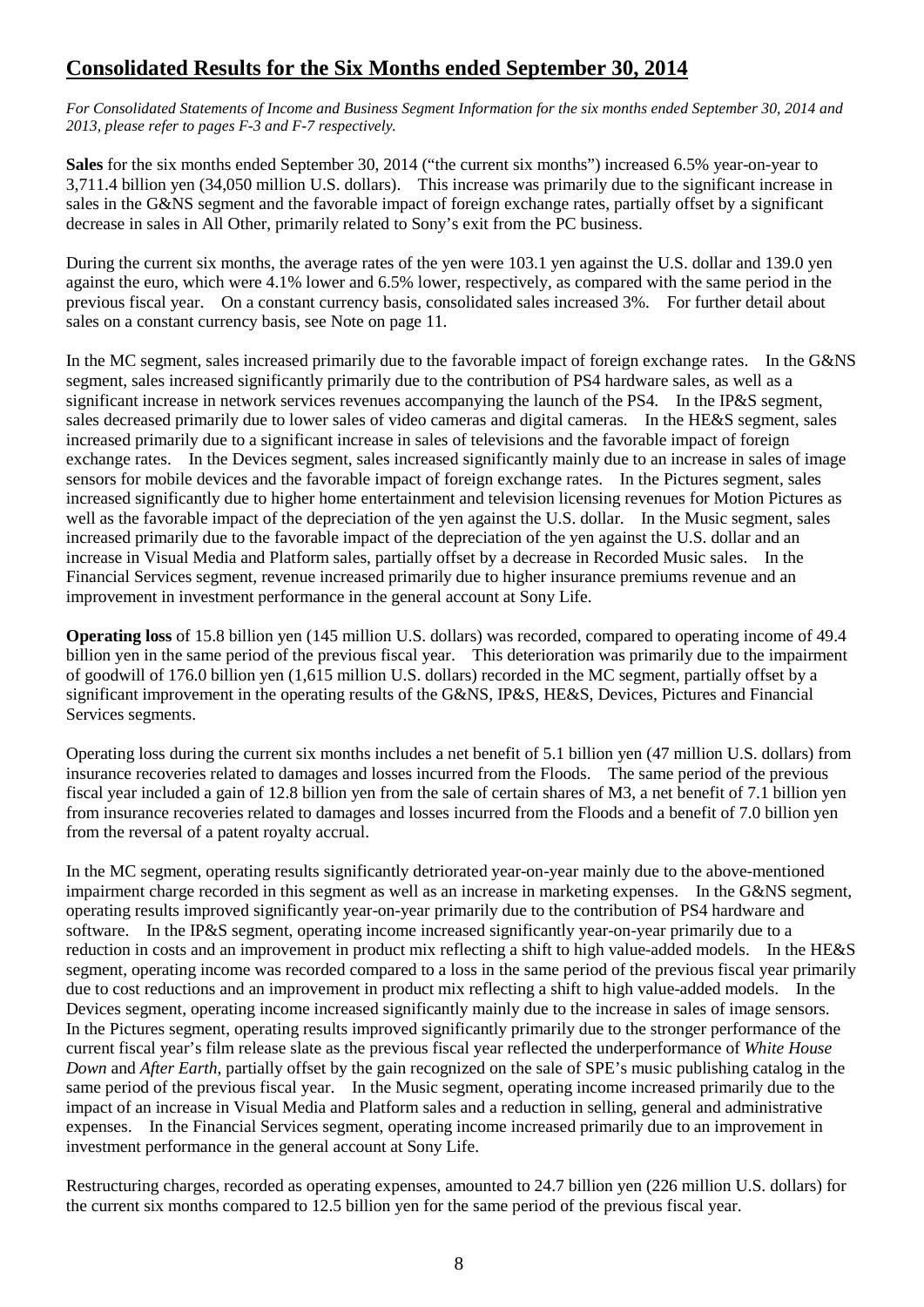# **Consolidated Results for the Six Months ended September 30, 2014**

*For Consolidated Statements of Income and Business Segment Information for the six months ended September 30, 2014 and 2013, please refer to pages F-3 and F-7 respectively.*

**Sales** for the six months ended September 30, 2014 ("the current six months") increased 6.5% year-on-year to 3,711.4 billion yen (34,050 million U.S. dollars). This increase was primarily due to the significant increase in sales in the G&NS segment and the favorable impact of foreign exchange rates, partially offset by a significant decrease in sales in All Other, primarily related to Sony's exit from the PC business.

During the current six months, the average rates of the yen were 103.1 yen against the U.S. dollar and 139.0 yen against the euro, which were 4.1% lower and 6.5% lower, respectively, as compared with the same period in the previous fiscal year. On a constant currency basis, consolidated sales increased 3%. For further detail about sales on a constant currency basis, see Note on page 11.

In the MC segment, sales increased primarily due to the favorable impact of foreign exchange rates. In the G&NS segment, sales increased significantly primarily due to the contribution of PS4 hardware sales, as well as a significant increase in network services revenues accompanying the launch of the PS4. In the IP&S segment, sales decreased primarily due to lower sales of video cameras and digital cameras. In the HE&S segment, sales increased primarily due to a significant increase in sales of televisions and the favorable impact of foreign exchange rates. In the Devices segment, sales increased significantly mainly due to an increase in sales of image sensors for mobile devices and the favorable impact of foreign exchange rates. In the Pictures segment, sales increased significantly due to higher home entertainment and television licensing revenues for Motion Pictures as well as the favorable impact of the depreciation of the yen against the U.S. dollar. In the Music segment, sales increased primarily due to the favorable impact of the depreciation of the yen against the U.S. dollar and an increase in Visual Media and Platform sales, partially offset by a decrease in Recorded Music sales. In the Financial Services segment, revenue increased primarily due to higher insurance premiums revenue and an improvement in investment performance in the general account at Sony Life.

**Operating loss** of 15.8 billion yen (145 million U.S. dollars) was recorded, compared to operating income of 49.4 billion yen in the same period of the previous fiscal year. This deterioration was primarily due to the impairment of goodwill of 176.0 billion yen (1,615 million U.S. dollars) recorded in the MC segment, partially offset by a significant improvement in the operating results of the G&NS, IP&S, HE&S, Devices, Pictures and Financial Services segments.

Operating loss during the current six months includes a net benefit of 5.1 billion yen (47 million U.S. dollars) from insurance recoveries related to damages and losses incurred from the Floods. The same period of the previous fiscal year included a gain of 12.8 billion yen from the sale of certain shares of M3, a net benefit of 7.1 billion yen from insurance recoveries related to damages and losses incurred from the Floods and a benefit of 7.0 billion yen from the reversal of a patent royalty accrual.

In the MC segment, operating results significantly detriorated year-on-year mainly due to the above-mentioned impairment charge recorded in this segment as well as an increase in marketing expenses. In the G&NS segment, operating results improved significantly year-on-year primarily due to the contribution of PS4 hardware and software. In the IP&S segment, operating income increased significantly year-on-year primarily due to a reduction in costs and an improvement in product mix reflecting a shift to high value-added models. In the HE&S segment, operating income was recorded compared to a loss in the same period of the previous fiscal year primarily due to cost reductions and an improvement in product mix reflecting a shift to high value-added models. In the Devices segment, operating income increased significantly mainly due to the increase in sales of image sensors. In the Pictures segment, operating results improved significantly primarily due to the stronger performance of the current fiscal year's film release slate as the previous fiscal year reflected the underperformance of *White House Down* and *After Earth*, partially offset by the gain recognized on the sale of SPE's music publishing catalog in the same period of the previous fiscal year. In the Music segment, operating income increased primarily due to the impact of an increase in Visual Media and Platform sales and a reduction in selling, general and administrative expenses. In the Financial Services segment, operating income increased primarily due to an improvement in investment performance in the general account at Sony Life.

Restructuring charges, recorded as operating expenses, amounted to 24.7 billion yen (226 million U.S. dollars) for the current six months compared to 12.5 billion yen for the same period of the previous fiscal year.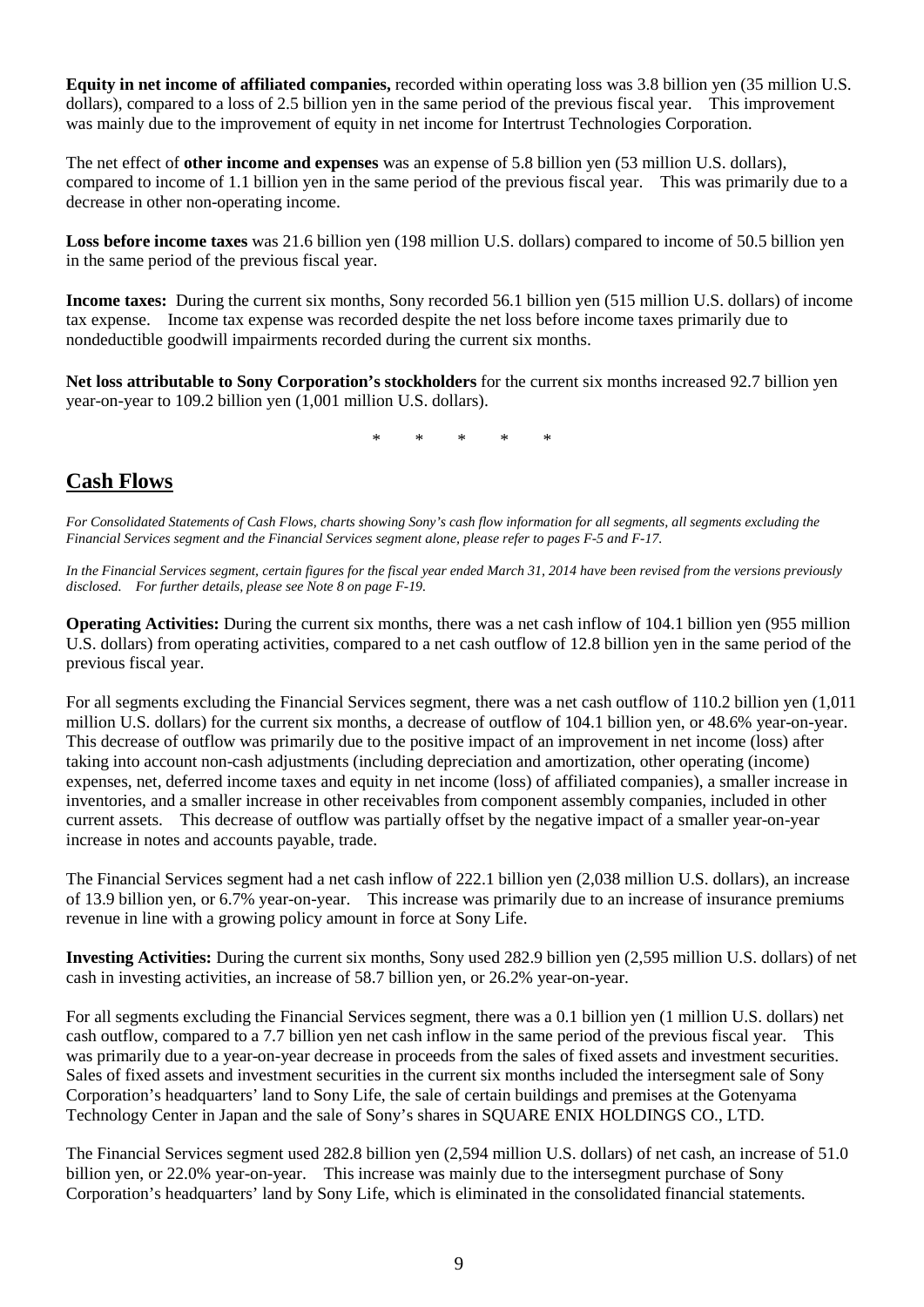**Equity in net income of affiliated companies,** recorded within operating loss was 3.8 billion yen (35 million U.S. dollars), compared to a loss of 2.5 billion yen in the same period of the previous fiscal year. This improvement was mainly due to the improvement of equity in net income for Intertrust Technologies Corporation.

The net effect of **other income and expenses** was an expense of 5.8 billion yen (53 million U.S. dollars), compared to income of 1.1 billion yen in the same period of the previous fiscal year. This was primarily due to a decrease in other non-operating income.

**Loss before income taxes** was 21.6 billion yen (198 million U.S. dollars) compared to income of 50.5 billion yen in the same period of the previous fiscal year.

**Income taxes:** During the current six months, Sony recorded 56.1 billion yen (515 million U.S. dollars) of income tax expense. Income tax expense was recorded despite the net loss before income taxes primarily due to nondeductible goodwill impairments recorded during the current six months.

**Net loss attributable to Sony Corporation's stockholders** for the current six months increased 92.7 billion yen year-on-year to 109.2 billion yen (1,001 million U.S. dollars).

\* \* \* \* \*

# **Cash Flows**

*For Consolidated Statements of Cash Flows, charts showing Sony's cash flow information for all segments, all segments excluding the Financial Services segment and the Financial Services segment alone, please refer to pages F-5 and F-17.*

*In the Financial Services segment, certain figures for the fiscal year ended March 31, 2014 have been revised from the versions previously disclosed. For further details, please see Note 8 on page F-19.*

**Operating Activities:** During the current six months, there was a net cash inflow of 104.1 billion yen (955 million U.S. dollars) from operating activities, compared to a net cash outflow of 12.8 billion yen in the same period of the previous fiscal year.

For all segments excluding the Financial Services segment, there was a net cash outflow of 110.2 billion yen (1,011 million U.S. dollars) for the current six months, a decrease of outflow of 104.1 billion yen, or 48.6% year-on-year. This decrease of outflow was primarily due to the positive impact of an improvement in net income (loss) after taking into account non-cash adjustments (including depreciation and amortization, other operating (income) expenses, net, deferred income taxes and equity in net income (loss) of affiliated companies), a smaller increase in inventories, and a smaller increase in other receivables from component assembly companies, included in other current assets. This decrease of outflow was partially offset by the negative impact of a smaller year-on-year increase in notes and accounts payable, trade.

The Financial Services segment had a net cash inflow of 222.1 billion yen (2,038 million U.S. dollars), an increase of 13.9 billion yen, or 6.7% year-on-year. This increase was primarily due to an increase of insurance premiums revenue in line with a growing policy amount in force at Sony Life.

**Investing Activities:** During the current six months, Sony used 282.9 billion yen (2,595 million U.S. dollars) of net cash in investing activities, an increase of 58.7 billion yen, or 26.2% year-on-year.

For all segments excluding the Financial Services segment, there was a 0.1 billion yen (1 million U.S. dollars) net cash outflow, compared to a 7.7 billion yen net cash inflow in the same period of the previous fiscal year. This was primarily due to a year-on-year decrease in proceeds from the sales of fixed assets and investment securities. Sales of fixed assets and investment securities in the current six months included the intersegment sale of Sony Corporation's headquarters' land to Sony Life, the sale of certain buildings and premises at the Gotenyama Technology Center in Japan and the sale of Sony's shares in SQUARE ENIX HOLDINGS CO., LTD.

The Financial Services segment used 282.8 billion yen (2,594 million U.S. dollars) of net cash, an increase of 51.0 billion yen, or 22.0% year-on-year. This increase was mainly due to the intersegment purchase of Sony Corporation's headquarters' land by Sony Life, which is eliminated in the consolidated financial statements.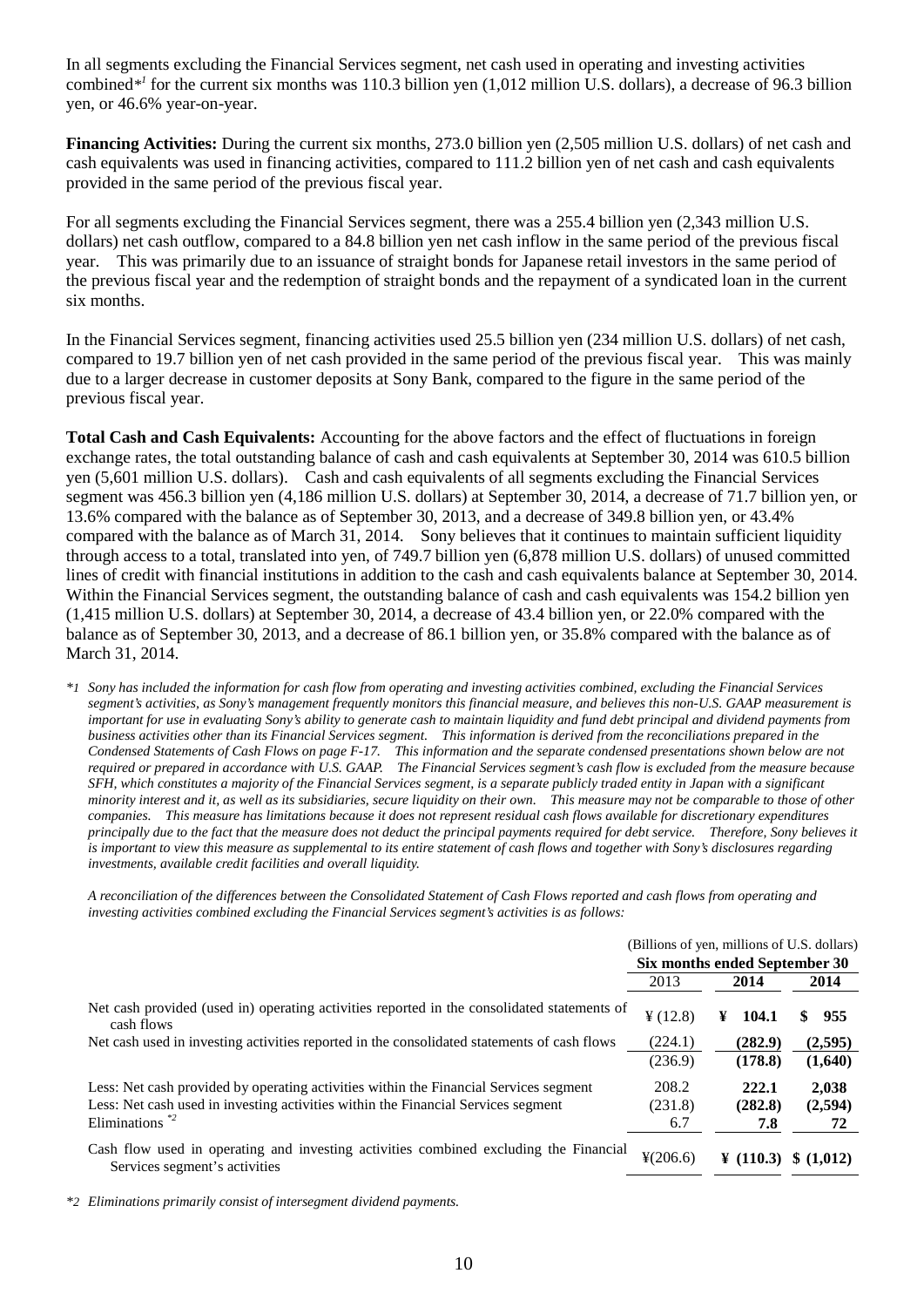In all segments excluding the Financial Services segment, net cash used in operating and investing activities combined*\*<sup>1</sup>* for the current six months was 110.3 billion yen (1,012 million U.S. dollars), a decrease of 96.3 billion yen, or 46.6% year-on-year.

**Financing Activities:** During the current six months, 273.0 billion yen (2,505 million U.S. dollars) of net cash and cash equivalents was used in financing activities, compared to 111.2 billion yen of net cash and cash equivalents provided in the same period of the previous fiscal year.

For all segments excluding the Financial Services segment, there was a 255.4 billion yen (2,343 million U.S. dollars) net cash outflow, compared to a 84.8 billion yen net cash inflow in the same period of the previous fiscal year. This was primarily due to an issuance of straight bonds for Japanese retail investors in the same period of the previous fiscal year and the redemption of straight bonds and the repayment of a syndicated loan in the current six months.

In the Financial Services segment, financing activities used 25.5 billion yen (234 million U.S. dollars) of net cash, compared to 19.7 billion yen of net cash provided in the same period of the previous fiscal year. This was mainly due to a larger decrease in customer deposits at Sony Bank, compared to the figure in the same period of the previous fiscal year.

**Total Cash and Cash Equivalents:** Accounting for the above factors and the effect of fluctuations in foreign exchange rates, the total outstanding balance of cash and cash equivalents at September 30, 2014 was 610.5 billion yen (5,601 million U.S. dollars). Cash and cash equivalents of all segments excluding the Financial Services segment was 456.3 billion yen (4,186 million U.S. dollars) at September 30, 2014, a decrease of 71.7 billion yen, or 13.6% compared with the balance as of September 30, 2013, and a decrease of 349.8 billion yen, or 43.4% compared with the balance as of March 31, 2014. Sony believes that it continues to maintain sufficient liquidity through access to a total, translated into yen, of 749.7 billion yen (6,878 million U.S. dollars) of unused committed lines of credit with financial institutions in addition to the cash and cash equivalents balance at September 30, 2014. Within the Financial Services segment, the outstanding balance of cash and cash equivalents was 154.2 billion yen (1,415 million U.S. dollars) at September 30, 2014, a decrease of 43.4 billion yen, or 22.0% compared with the balance as of September 30, 2013, and a decrease of 86.1 billion yen, or 35.8% compared with the balance as of March 31, 2014.

*\*1 Sony has included the information for cash flow from operating and investing activities combined, excluding the Financial Services segment's activities, as Sony's management frequently monitors this financial measure, and believes this non-U.S. GAAP measurement is important for use in evaluating Sony's ability to generate cash to maintain liquidity and fund debt principal and dividend payments from business activities other than its Financial Services segment. This information is derived from the reconciliations prepared in the Condensed Statements of Cash Flows on page F-17. This information and the separate condensed presentations shown below are not required or prepared in accordance with U.S. GAAP. The Financial Services segment's cash flow is excluded from the measure because SFH, which constitutes a majority of the Financial Services segment, is a separate publicly traded entity in Japan with a significant minority interest and it, as well as its subsidiaries, secure liquidity on their own. This measure may not be comparable to those of other companies. This measure has limitations because it does not represent residual cash flows available for discretionary expenditures principally due to the fact that the measure does not deduct the principal payments required for debt service. Therefore, Sony believes it is important to view this measure as supplemental to its entire statement of cash flows and together with Sony's disclosures regarding investments, available credit facilities and overall liquidity.*

*A reconciliation of the differences between the Consolidated Statement of Cash Flows reported and cash flows from operating and investing activities combined excluding the Financial Services segment's activities is as follows:*

|                                                                                                                        |                      | (Billions of yen, millions of U.S. dollars) |           |
|------------------------------------------------------------------------------------------------------------------------|----------------------|---------------------------------------------|-----------|
|                                                                                                                        |                      | Six months ended September 30               |           |
|                                                                                                                        | 2013                 | 2014                                        | 2014      |
| Net cash provided (used in) operating activities reported in the consolidated statements of<br>cash flows              | $\frac{1}{2}$ (12.8) | ¥<br>104.1                                  | 955<br>\$ |
| Net cash used in investing activities reported in the consolidated statements of cash flows                            | (224.1)              | (282.9)                                     | (2,595)   |
|                                                                                                                        | (236.9)              | (178.8)                                     | (1,640)   |
| Less: Net cash provided by operating activities within the Financial Services segment                                  | 208.2                | 222.1                                       | 2,038     |
| Less: Net cash used in investing activities within the Financial Services segment                                      | (231.8)              | (282.8)                                     | (2,594)   |
| Eliminations $*$ <sup>2</sup>                                                                                          | 6.7                  | 7.8                                         | 72        |
| Cash flow used in operating and investing activities combined excluding the Financial<br>Services segment's activities | ¥(206.6)             | ¥ $(110.3)$                                 | \$(1,012) |

*\*2 Eliminations primarily consist of intersegment dividend payments.*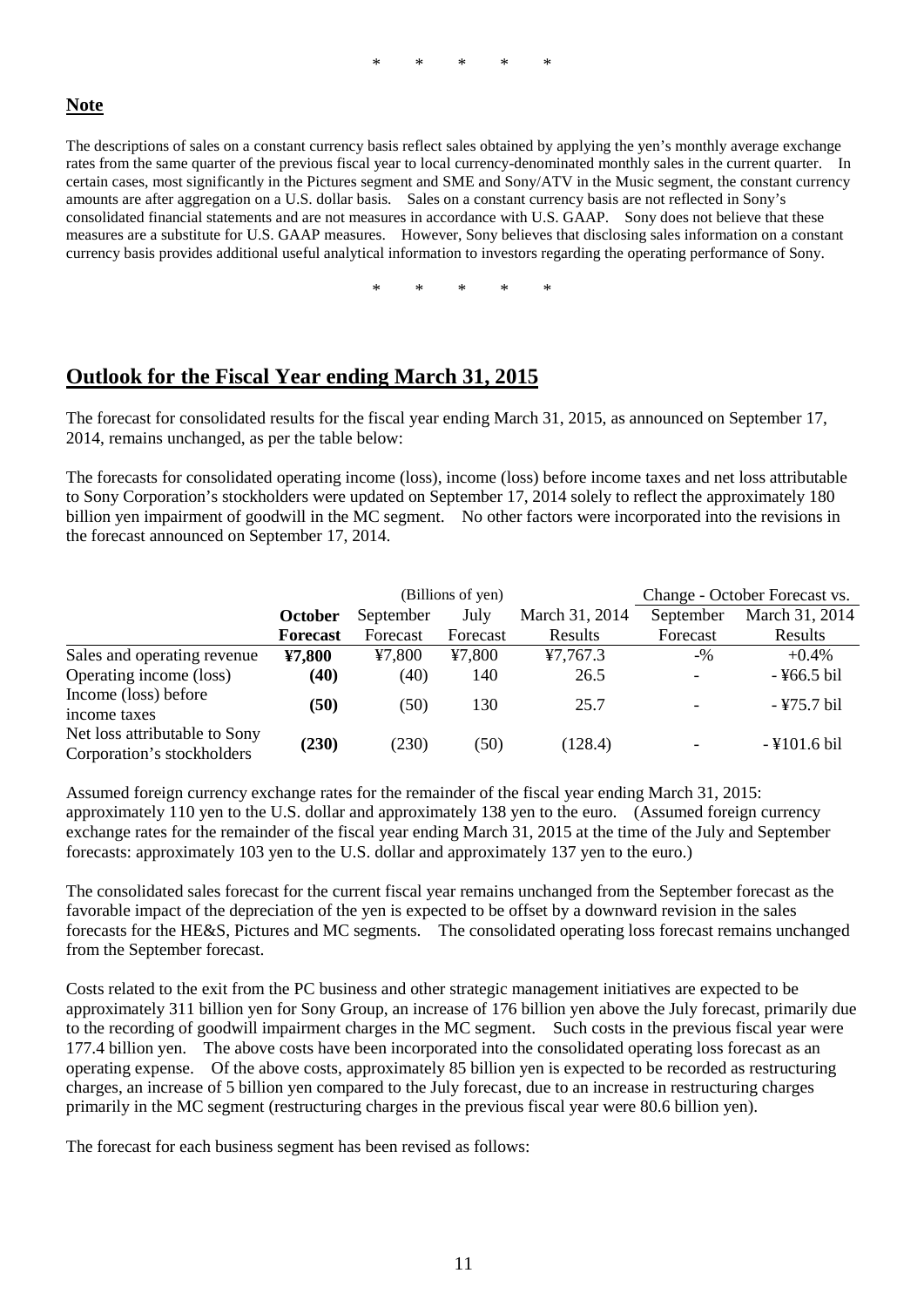### \* \* \* \* \*

# **Note**

The descriptions of sales on a constant currency basis reflect sales obtained by applying the yen's monthly average exchange rates from the same quarter of the previous fiscal year to local currency-denominated monthly sales in the current quarter. In certain cases, most significantly in the Pictures segment and SME and Sony/ATV in the Music segment, the constant currency amounts are after aggregation on a U.S. dollar basis. Sales on a constant currency basis are not reflected in Sony's consolidated financial statements and are not measures in accordance with U.S. GAAP. Sony does not believe that these measures are a substitute for U.S. GAAP measures. However, Sony believes that disclosing sales information on a constant currency basis provides additional useful analytical information to investors regarding the operating performance of Sony.

\* \* \* \* \*

# **Outlook for the Fiscal Year ending March 31, 2015**

The forecast for consolidated results for the fiscal year ending March 31, 2015, as announced on September 17, 2014, remains unchanged, as per the table below:

The forecasts for consolidated operating income (loss), income (loss) before income taxes and net loss attributable to Sony Corporation's stockholders were updated on September 17, 2014 solely to reflect the approximately 180 billion yen impairment of goodwill in the MC segment. No other factors were incorporated into the revisions in the forecast announced on September 17, 2014.

|                                                             |                 |           | (Billions of yen) | Change - October Forecast vs. |                          |                |  |
|-------------------------------------------------------------|-----------------|-----------|-------------------|-------------------------------|--------------------------|----------------|--|
|                                                             | <b>October</b>  | September | July              | March 31, 2014                | September                | March 31, 2014 |  |
|                                                             | <b>Forecast</b> | Forecast  | Forecast          | Results                       | Forecast                 | Results        |  |
| Sales and operating revenue                                 | ¥7,800          | 47,800    | 47,800            | 47,767.3                      | $-9/0$                   | $+0.4\%$       |  |
| Operating income (loss)                                     | (40)            | (40)      | 140               | 26.5                          | $\overline{\phantom{a}}$ | -¥66.5 bil     |  |
| Income (loss) before<br>income taxes                        | (50)            | (50)      | 130               | 25.7                          |                          | $-$ ¥75.7 bil  |  |
| Net loss attributable to Sony<br>Corporation's stockholders | (230)           | (230)     | (50)              | (128.4)                       |                          | $-$ ¥101.6 bil |  |

Assumed foreign currency exchange rates for the remainder of the fiscal year ending March 31, 2015: approximately 110 yen to the U.S. dollar and approximately 138 yen to the euro. (Assumed foreign currency exchange rates for the remainder of the fiscal year ending March 31, 2015 at the time of the July and September forecasts: approximately 103 yen to the U.S. dollar and approximately 137 yen to the euro.)

The consolidated sales forecast for the current fiscal year remains unchanged from the September forecast as the favorable impact of the depreciation of the yen is expected to be offset by a downward revision in the sales forecasts for the HE&S, Pictures and MC segments. The consolidated operating loss forecast remains unchanged from the September forecast.

Costs related to the exit from the PC business and other strategic management initiatives are expected to be approximately 311 billion yen for Sony Group, an increase of 176 billion yen above the July forecast, primarily due to the recording of goodwill impairment charges in the MC segment. Such costs in the previous fiscal year were 177.4 billion yen. The above costs have been incorporated into the consolidated operating loss forecast as an operating expense. Of the above costs, approximately 85 billion yen is expected to be recorded as restructuring charges, an increase of 5 billion yen compared to the July forecast, due to an increase in restructuring charges primarily in the MC segment (restructuring charges in the previous fiscal year were 80.6 billion yen).

The forecast for each business segment has been revised as follows: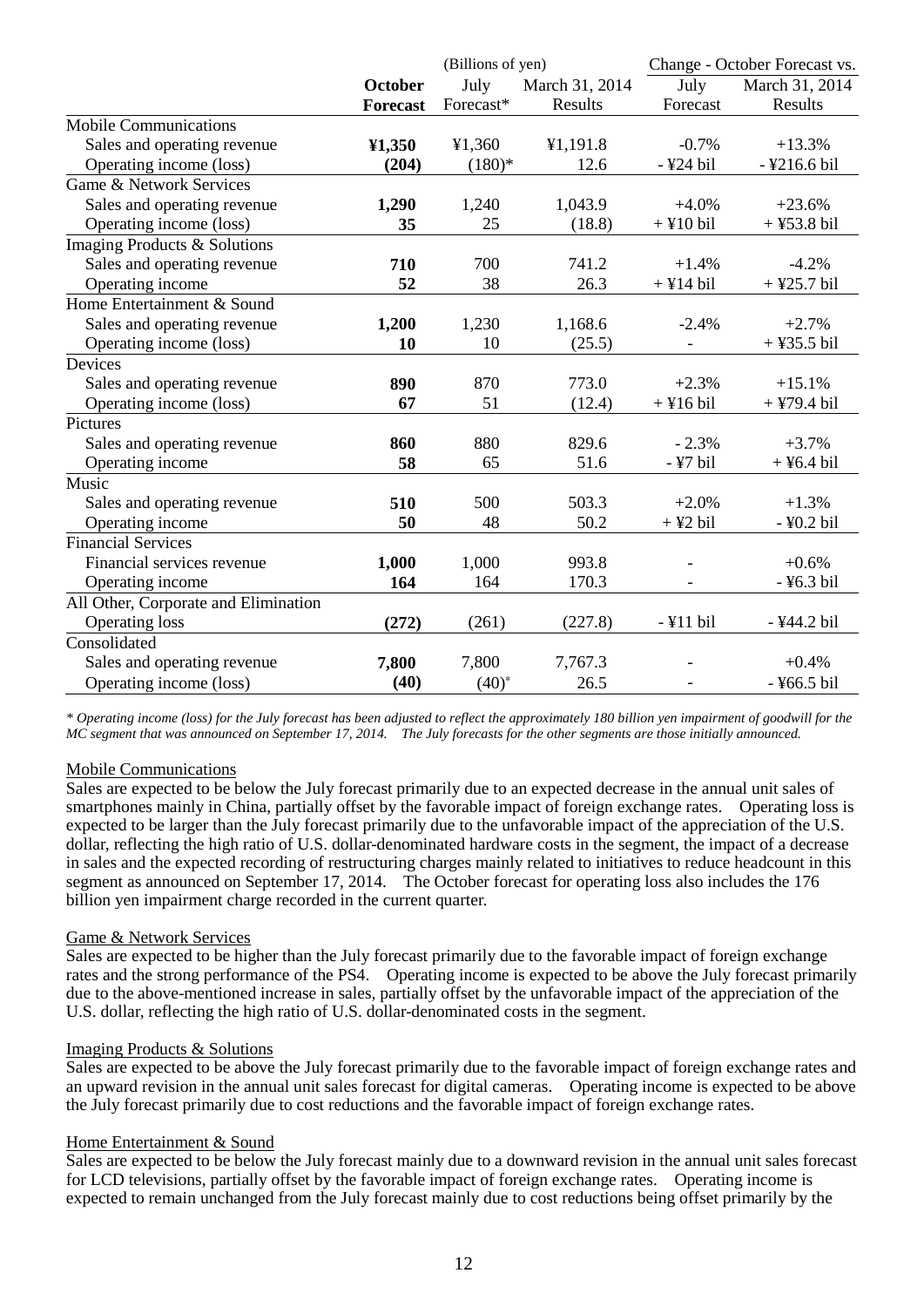|                                      |                 | (Billions of yen) |                | Change - October Forecast vs. |                |  |
|--------------------------------------|-----------------|-------------------|----------------|-------------------------------|----------------|--|
|                                      | October         | July              | March 31, 2014 | July                          | March 31, 2014 |  |
|                                      | <b>Forecast</b> | Forecast*         | Results        | Forecast                      | Results        |  |
| <b>Mobile Communications</b>         |                 |                   |                |                               |                |  |
| Sales and operating revenue          | 41,350          | ¥1,360            | ¥1,191.8       | $-0.7%$                       | $+13.3%$       |  |
| Operating income (loss)              | (204)           | $(180)*$          | 12.6           | -¥24 bil                      | -¥216.6 bil    |  |
| Game & Network Services              |                 |                   |                |                               |                |  |
| Sales and operating revenue          | 1,290           | 1,240             | 1,043.9        | $+4.0%$                       | $+23.6%$       |  |
| Operating income (loss)              | 35              | 25                | (18.8)         | $+$ ¥10 bil                   | $+$ ¥53.8 bil  |  |
| Imaging Products & Solutions         |                 |                   |                |                               |                |  |
| Sales and operating revenue          | 710             | 700               | 741.2          | $+1.4%$                       | $-4.2%$        |  |
| Operating income                     | 52              | 38                | 26.3           | $+$ ¥14 bil                   | $+$ ¥25.7 bil  |  |
| Home Entertainment & Sound           |                 |                   |                |                               |                |  |
| Sales and operating revenue          | 1,200           | 1,230             | 1,168.6        | $-2.4%$                       | $+2.7%$        |  |
| Operating income (loss)              | 10              | 10                | (25.5)         |                               | $+$ ¥35.5 bil  |  |
| Devices                              |                 |                   |                |                               |                |  |
| Sales and operating revenue          | 890             | 870               | 773.0          | $+2.3%$                       | $+15.1%$       |  |
| Operating income (loss)              | 67              | 51                | (12.4)         | $+$ ¥16 bil                   | $+$ ¥79.4 bil  |  |
| $\overline{P}$ ictures               |                 |                   |                |                               |                |  |
| Sales and operating revenue          | 860             | 880               | 829.6          | $-2.3%$                       | $+3.7%$        |  |
| Operating income                     | 58              | 65                | 51.6           | $-$ ¥7 bil                    | $+$ ¥6.4 bil   |  |
| Music                                |                 |                   |                |                               |                |  |
| Sales and operating revenue          | 510             | 500               | 503.3          | $+2.0%$                       | $+1.3%$        |  |
| Operating income                     | 50              | 48                | 50.2           | $+$ ¥2 bil                    | -¥0.2 bil      |  |
| <b>Financial Services</b>            |                 |                   |                |                               |                |  |
| Financial services revenue           | 1,000           | 1,000             | 993.8          |                               | $+0.6%$        |  |
| Operating income                     | 164             | 164               | 170.3          |                               | -¥6.3 bil      |  |
| All Other, Corporate and Elimination |                 |                   |                |                               |                |  |
| <b>Operating loss</b>                | (272)           | (261)             | (227.8)        | $-$ ¥11 bil                   | -¥44.2 bil     |  |
| Consolidated                         |                 |                   |                |                               |                |  |
| Sales and operating revenue          | 7,800           | 7,800             | 7,767.3        |                               | $+0.4%$        |  |
| Operating income (loss)              | (40)            | $(40)^{*}$        | 26.5           |                               | -¥66.5 bil     |  |

*\* Operating income (loss) for the July forecast has been adjusted to reflect the approximately 180 billion yen impairment of goodwill for the MC segment that was announced on September 17, 2014. The July forecasts for the other segments are those initially announced.*

# Mobile Communications

Sales are expected to be below the July forecast primarily due to an expected decrease in the annual unit sales of smartphones mainly in China, partially offset by the favorable impact of foreign exchange rates. Operating loss is expected to be larger than the July forecast primarily due to the unfavorable impact of the appreciation of the U.S. dollar, reflecting the high ratio of U.S. dollar-denominated hardware costs in the segment, the impact of a decrease in sales and the expected recording of restructuring charges mainly related to initiatives to reduce headcount in this segment as announced on September 17, 2014. The October forecast for operating loss also includes the 176 billion yen impairment charge recorded in the current quarter.

### Game & Network Services

Sales are expected to be higher than the July forecast primarily due to the favorable impact of foreign exchange rates and the strong performance of the PS4. Operating income is expected to be above the July forecast primarily due to the above-mentioned increase in sales, partially offset by the unfavorable impact of the appreciation of the U.S. dollar, reflecting the high ratio of U.S. dollar-denominated costs in the segment.

### Imaging Products & Solutions

Sales are expected to be above the July forecast primarily due to the favorable impact of foreign exchange rates and an upward revision in the annual unit sales forecast for digital cameras. Operating income is expected to be above the July forecast primarily due to cost reductions and the favorable impact of foreign exchange rates.

#### Home Entertainment & Sound

Sales are expected to be below the July forecast mainly due to a downward revision in the annual unit sales forecast for LCD televisions, partially offset by the favorable impact of foreign exchange rates. Operating income is expected to remain unchanged from the July forecast mainly due to cost reductions being offset primarily by the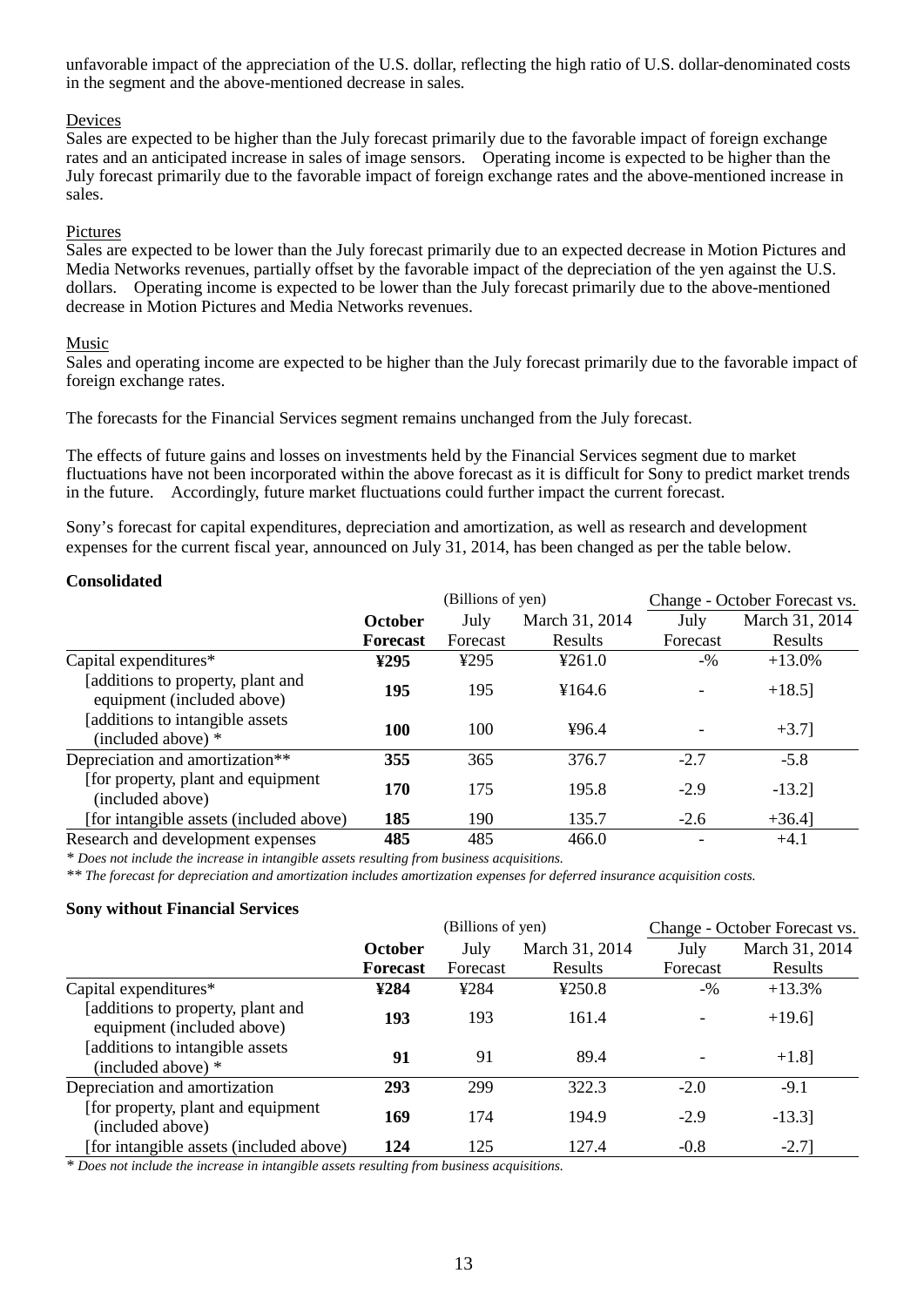unfavorable impact of the appreciation of the U.S. dollar, reflecting the high ratio of U.S. dollar-denominated costs in the segment and the above-mentioned decrease in sales.

# Devices

Sales are expected to be higher than the July forecast primarily due to the favorable impact of foreign exchange rates and an anticipated increase in sales of image sensors. Operating income is expected to be higher than the July forecast primarily due to the favorable impact of foreign exchange rates and the above-mentioned increase in sales.

# Pictures

Sales are expected to be lower than the July forecast primarily due to an expected decrease in Motion Pictures and Media Networks revenues, partially offset by the favorable impact of the depreciation of the yen against the U.S. dollars. Operating income is expected to be lower than the July forecast primarily due to the above-mentioned decrease in Motion Pictures and Media Networks revenues.

# Music

Sales and operating income are expected to be higher than the July forecast primarily due to the favorable impact of foreign exchange rates.

The forecasts for the Financial Services segment remains unchanged from the July forecast.

The effects of future gains and losses on investments held by the Financial Services segment due to market fluctuations have not been incorporated within the above forecast as it is difficult for Sony to predict market trends in the future. Accordingly, future market fluctuations could further impact the current forecast.

Sony's forecast for capital expenditures, depreciation and amortization, as well as research and development expenses for the current fiscal year, announced on July 31, 2014, has been changed as per the table below.

# **Consolidated**

|                                                                 |                 | (Billions of yen) |                | Change - October Forecast vs. |                |  |
|-----------------------------------------------------------------|-----------------|-------------------|----------------|-------------------------------|----------------|--|
|                                                                 | <b>October</b>  | July              | March 31, 2014 | July                          | March 31, 2014 |  |
|                                                                 | <b>Forecast</b> | Forecast          | <b>Results</b> | Forecast                      | Results        |  |
| Capital expenditures*                                           | ¥295            | ¥295              | 4261.0         | $-9/0$                        | $+13.0\%$      |  |
| [additions to property, plant and<br>equipment (included above) | 195             | 195               | ¥164.6         |                               | $+18.5$ ]      |  |
| [additions to intangible assets]<br>(included above) *          | 100             | 100               | 496.4          |                               | $+3.7$ ]       |  |
| Depreciation and amortization**                                 | 355             | 365               | 376.7          | $-2.7$                        | $-5.8$         |  |
| [for property, plant and equipment<br>(included above)          | 170             | 175               | 195.8          | $-2.9$                        | $-13.2$ ]      |  |
| [for intangible assets (included above)                         | 185             | 190               | 135.7          | $-2.6$                        | $+36.4$ ]      |  |
| Research and development expenses                               | 485             | 485               | 466.0          |                               | $+4.1$         |  |

*\* Does not include the increase in intangible assets resulting from business acquisitions.*

*\*\* The forecast for depreciation and amortization includes amortization expenses for deferred insurance acquisition costs.*

# **Sony without Financial Services**

|                                                                 |                 | (Billions of yen) |                | Change - October Forecast vs. |                |  |
|-----------------------------------------------------------------|-----------------|-------------------|----------------|-------------------------------|----------------|--|
|                                                                 | <b>October</b>  | July              | March 31, 2014 | July                          | March 31, 2014 |  |
|                                                                 | <b>Forecast</b> | Forecast          | Results        | Forecast                      | Results        |  |
| Capital expenditures*                                           | ¥284            | ¥284              | 4250.8         | $-9/0$                        | $+13.3%$       |  |
| [additions to property, plant and<br>equipment (included above) | 193             | 193               | 161.4          |                               | $+19.6$ ]      |  |
| [additions to intangible assets]<br>(included above) $*$        | 91              | 91                | 89.4           |                               | $+1.8$ ]       |  |
| Depreciation and amortization                                   | 293             | 299               | 322.3          | $-2.0$                        | $-9.1$         |  |
| [for property, plant and equipment]<br>(included above)         | 169             | 174               | 194.9          | $-2.9$                        | $-13.3$ ]      |  |
| [for intangible assets (included above)                         | 124             | 125               | 127.4          | $-0.8$                        | $-2.7$ ]       |  |

*\* Does not include the increase in intangible assets resulting from business acquisitions.*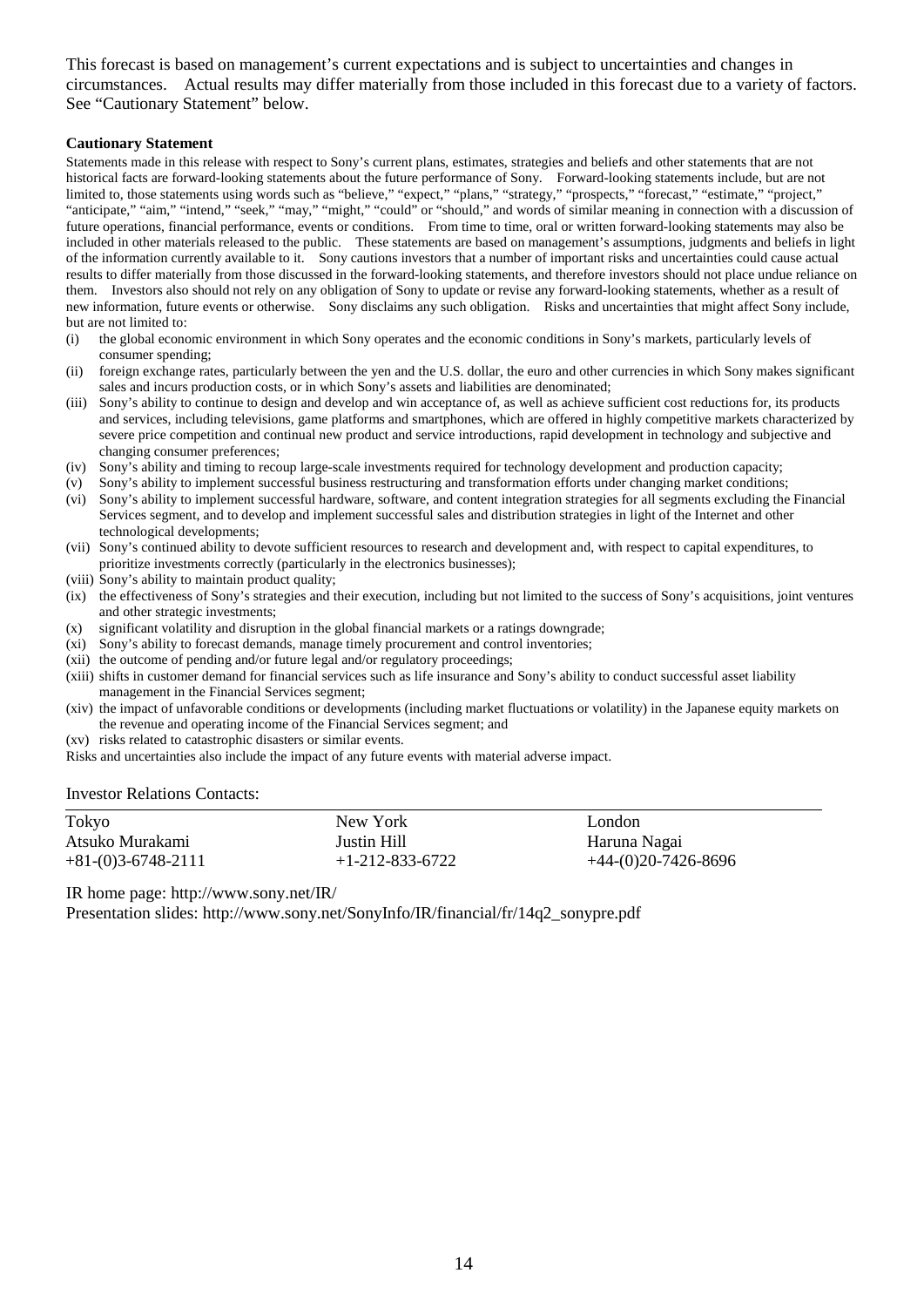This forecast is based on management's current expectations and is subject to uncertainties and changes in circumstances. Actual results may differ materially from those included in this forecast due to a variety of factors. See "Cautionary Statement" below.

### **Cautionary Statement**

Statements made in this release with respect to Sony's current plans, estimates, strategies and beliefs and other statements that are not historical facts are forward-looking statements about the future performance of Sony. Forward-looking statements include, but are not limited to, those statements using words such as "believe," "expect," "plans," "strategy," "prospects," "forecast," "estimate," "project," "anticipate," "aim," "intend," "seek," "may," "might," "could" or "should," and words of similar meaning in connection with a discussion of future operations, financial performance, events or conditions. From time to time, oral or written forward-looking statements may also be included in other materials released to the public. These statements are based on management's assumptions, judgments and beliefs in light of the information currently available to it. Sony cautions investors that a number of important risks and uncertainties could cause actual results to differ materially from those discussed in the forward-looking statements, and therefore investors should not place undue reliance on them. Investors also should not rely on any obligation of Sony to update or revise any forward-looking statements, whether as a result of new information, future events or otherwise. Sony disclaims any such obligation. Risks and uncertainties that might affect Sony include, but are not limited to:

- (i) the global economic environment in which Sony operates and the economic conditions in Sony's markets, particularly levels of consumer spending;
- (ii) foreign exchange rates, particularly between the yen and the U.S. dollar, the euro and other currencies in which Sony makes significant sales and incurs production costs, or in which Sony's assets and liabilities are denominated;
- (iii) Sony's ability to continue to design and develop and win acceptance of, as well as achieve sufficient cost reductions for, its products and services, including televisions, game platforms and smartphones, which are offered in highly competitive markets characterized by severe price competition and continual new product and service introductions, rapid development in technology and subjective and changing consumer preferences;
- (iv) Sony's ability and timing to recoup large-scale investments required for technology development and production capacity;
- (v) Sony's ability to implement successful business restructuring and transformation efforts under changing market conditions; (vi) Sony's ability to implement successful hardware, software, and content integration strategies for all segments excluding the Financial Services segment, and to develop and implement successful sales and distribution strategies in light of the Internet and other
- technological developments; (vii) Sony's continued ability to devote sufficient resources to research and development and, with respect to capital expenditures, to prioritize investments correctly (particularly in the electronics businesses);
- (viii) Sony's ability to maintain product quality;
- (ix) the effectiveness of Sony's strategies and their execution, including but not limited to the success of Sony's acquisitions, joint ventures and other strategic investments;
- (x) significant volatility and disruption in the global financial markets or a ratings downgrade;
- (xi) Sony's ability to forecast demands, manage timely procurement and control inventories;
- (xii) the outcome of pending and/or future legal and/or regulatory proceedings;
- (xiii) shifts in customer demand for financial services such as life insurance and Sony's ability to conduct successful asset liability management in the Financial Services segment;
- (xiv) the impact of unfavorable conditions or developments (including market fluctuations or volatility) in the Japanese equity markets on the revenue and operating income of the Financial Services segment; and
- (xv) risks related to catastrophic disasters or similar events.
- Risks and uncertainties also include the impact of any future events with material adverse impact.

#### Investor Relations Contacts:

| Tokyo                | New York                | London              |
|----------------------|-------------------------|---------------------|
| Atsuko Murakami      | Justin Hill             | Haruna Nagai        |
| $+81-(0)3-6748-2111$ | $+1 - 212 - 833 - 6722$ | +44-(0)20-7426-8696 |

IR home page: http://www.sony.net/IR/

Presentation slides: http://www.sony.net/SonyInfo/IR/financial/fr/14q2\_sonypre.pdf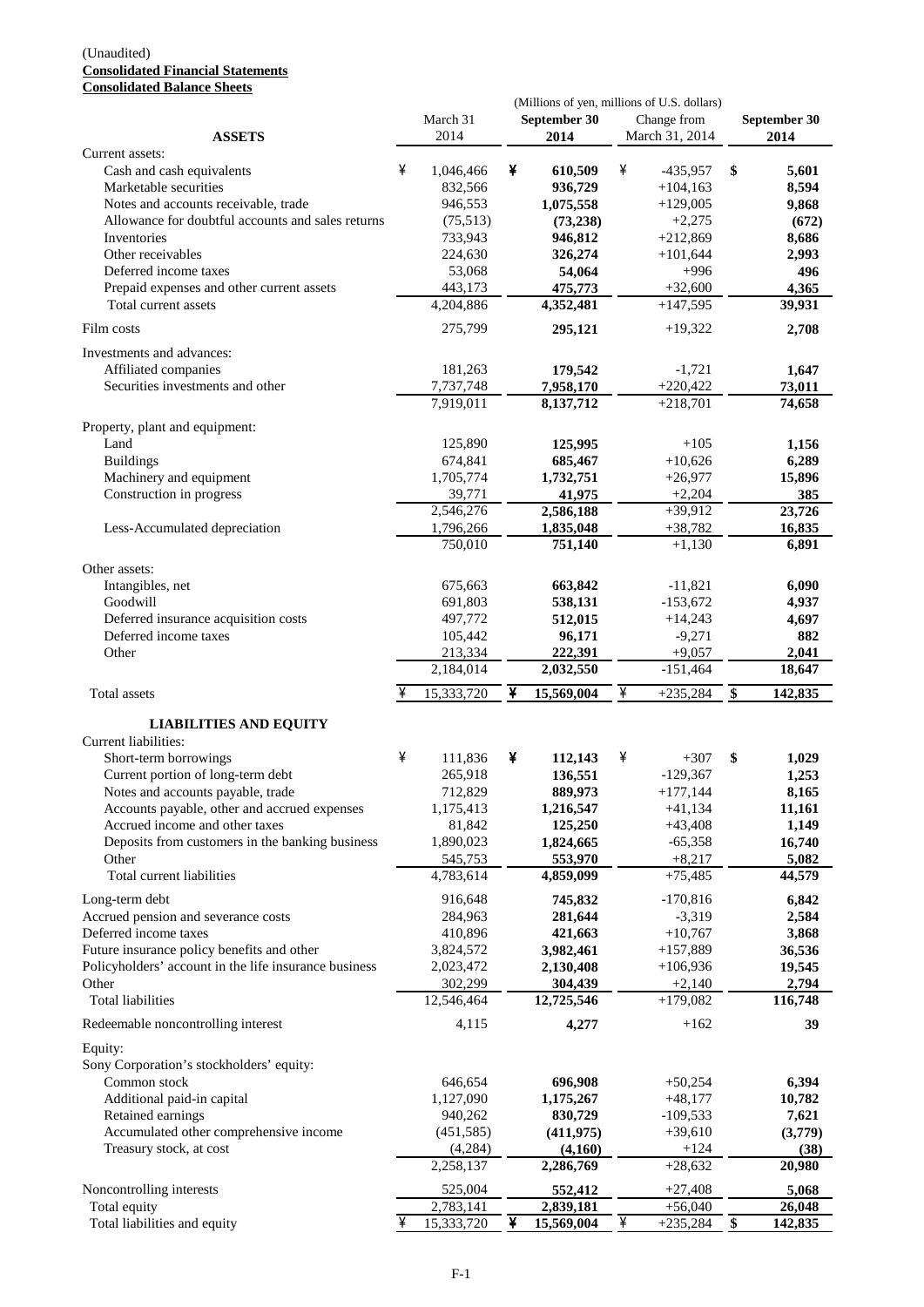#### (Unaudited) **Consolidated Financial Statements Consolidated Balance Sheets**

| Consonuateu Dalance Succes                            | (Millions of yen, millions of U.S. dollars) |                         |   |                       |   |                               |                 |                      |
|-------------------------------------------------------|---------------------------------------------|-------------------------|---|-----------------------|---|-------------------------------|-----------------|----------------------|
| <b>ASSETS</b>                                         |                                             | March 31<br>2014        |   | September 30<br>2014  |   | Change from<br>March 31, 2014 |                 | September 30<br>2014 |
| Current assets:                                       |                                             |                         |   |                       |   |                               |                 |                      |
| Cash and cash equivalents                             | ¥                                           | 1,046,466               | ¥ | 610,509               | ¥ | $-435,957$                    | \$              | 5,601                |
| Marketable securities                                 |                                             | 832.566                 |   | 936,729               |   | $+104,163$                    |                 | 8,594                |
| Notes and accounts receivable, trade                  |                                             | 946,553                 |   | 1,075,558             |   | $+129,005$                    |                 | 9,868                |
| Allowance for doubtful accounts and sales returns     |                                             | (75,513)                |   | (73, 238)             |   | $+2,275$                      |                 | (672)                |
| Inventories                                           |                                             | 733,943                 |   | 946,812               |   | $+212,869$                    |                 | 8,686                |
| Other receivables                                     |                                             | 224,630                 |   | 326,274               |   | $+101,644$                    |                 | 2,993                |
| Deferred income taxes                                 |                                             | 53,068                  |   | 54,064                |   | $+996$                        |                 | 496                  |
| Prepaid expenses and other current assets             |                                             | 443,173                 |   | 475,773               |   | $+32,600$                     |                 | 4,365                |
| Total current assets                                  |                                             | 4,204,886               |   | 4,352,481             |   | $+147,595$                    |                 | 39,931               |
| Film costs                                            |                                             | 275,799                 |   | 295,121               |   | $+19,322$                     |                 | 2,708                |
| Investments and advances:                             |                                             |                         |   |                       |   |                               |                 |                      |
| Affiliated companies                                  |                                             | 181,263                 |   | 179,542               |   | $-1,721$                      |                 | 1,647                |
| Securities investments and other                      |                                             | 7,737,748               |   | 7,958,170             |   | $+220,422$                    |                 | 73,011               |
|                                                       |                                             | 7,919,011               |   | 8,137,712             |   | $+218,701$                    |                 | 74,658               |
| Property, plant and equipment:                        |                                             |                         |   |                       |   |                               |                 |                      |
| Land                                                  |                                             | 125,890                 |   | 125,995               |   | $+105$                        |                 | 1,156                |
| <b>Buildings</b>                                      |                                             | 674,841                 |   | 685,467               |   | $+10,626$                     |                 | 6,289                |
| Machinery and equipment                               |                                             | 1,705,774               |   | 1,732,751             |   | $+26,977$                     |                 | 15,896               |
| Construction in progress                              |                                             | 39,771                  |   | 41,975                |   | $+2,204$                      |                 | 385                  |
|                                                       |                                             | 2,546,276               |   | 2,586,188             |   | $+39,912$                     |                 | 23,726               |
| Less-Accumulated depreciation                         |                                             | 1,796,266               |   | 1,835,048             |   | $+38,782$                     |                 | 16,835               |
|                                                       |                                             | 750,010                 |   | 751,140               |   | $+1,130$                      |                 | 6,891                |
| Other assets:                                         |                                             |                         |   |                       |   |                               |                 |                      |
| Intangibles, net                                      |                                             | 675,663                 |   | 663,842               |   | $-11,821$                     |                 | 6,090                |
| Goodwill                                              |                                             | 691,803                 |   | 538,131               |   | $-153,672$                    |                 | 4,937                |
| Deferred insurance acquisition costs                  |                                             | 497,772                 |   | 512,015               |   | $+14,243$                     |                 | 4,697                |
| Deferred income taxes                                 |                                             | 105,442                 |   | 96,171                |   | $-9,271$                      |                 | 882                  |
| Other                                                 |                                             | 213,334                 |   | 222,391               |   | $+9,057$                      |                 | 2,041                |
|                                                       |                                             | 2,184,014               |   | 2,032,550             |   | $-151,464$                    |                 | 18,647               |
| Total assets                                          |                                             | 15,333,720              | ¥ | 15,569,004            | ¥ | $+235,284$                    | \$              | 142,835              |
| <b>LIABILITIES AND EQUITY</b>                         |                                             |                         |   |                       |   |                               |                 |                      |
| Current liabilities:                                  |                                             |                         |   |                       |   |                               |                 |                      |
| Short-term borrowings                                 | ¥                                           | 111,836                 | ¥ | 112,143               | ¥ | $+307$                        | \$              | 1,029                |
| Current portion of long-term debt                     |                                             | 265,918                 |   | 136,551               |   | $-129,367$                    |                 | 1,253                |
| Notes and accounts payable, trade                     |                                             | 712,829                 |   | 889,973               |   | $+177,144$                    |                 | 8,165                |
| Accounts payable, other and accrued expenses          |                                             | 1,175,413               |   | 1,216,547             |   | $+41,134$                     |                 | 11,161               |
| Accrued income and other taxes                        |                                             | 81,842                  |   | 125,250               |   | $+43,408$                     |                 | 1,149                |
| Deposits from customers in the banking business       |                                             | 1,890,023               |   | 1,824,665             |   | $-65,358$                     |                 | 16,740               |
| Other                                                 |                                             | 545,753                 |   | 553,970               |   | $+8,217$                      |                 | 5,082                |
| Total current liabilities                             |                                             | 4,783,614               |   | 4,859,099             |   | $+75,485$                     |                 | 44,579               |
| Long-term debt                                        |                                             | 916,648                 |   | 745,832               |   | $-170,816$                    |                 | 6,842                |
| Accrued pension and severance costs                   |                                             | 284,963                 |   | 281,644               |   | $-3,319$                      |                 | 2,584                |
| Deferred income taxes                                 |                                             | 410,896                 |   | 421,663               |   | $+10,767$                     |                 | 3,868                |
| Future insurance policy benefits and other            |                                             | 3,824,572               |   | 3,982,461             |   | $+157,889$                    |                 | 36,536               |
| Policyholders' account in the life insurance business |                                             | 2,023,472               |   | 2,130,408             |   | $+106,936$                    |                 | 19,545               |
| Other                                                 |                                             | 302,299                 |   | 304,439               |   | $+2,140$                      |                 | 2,794                |
| <b>Total liabilities</b>                              |                                             | 12,546,464              |   | 12,725,546            |   | $+179,082$                    |                 | 116,748              |
| Redeemable noncontrolling interest                    |                                             | 4,115                   |   | 4,277                 |   | $+162$                        |                 | 39                   |
| Equity:                                               |                                             |                         |   |                       |   |                               |                 |                      |
| Sony Corporation's stockholders' equity:              |                                             |                         |   |                       |   |                               |                 |                      |
| Common stock                                          |                                             | 646,654                 |   | 696,908               |   | $+50,254$                     |                 | 6,394                |
| Additional paid-in capital                            |                                             | 1,127,090               |   | 1,175,267             |   | $+48,177$                     |                 | 10,782               |
| Retained earnings                                     |                                             | 940,262                 |   |                       |   | $-109,533$                    |                 |                      |
| Accumulated other comprehensive income                |                                             | (451, 585)              |   | 830,729<br>(411, 975) |   | $+39,610$                     |                 | 7,621<br>(3,779)     |
| Treasury stock, at cost                               |                                             | (4,284)                 |   | (4,160)               |   | $+124$                        |                 | (38)                 |
|                                                       |                                             | 2,258,137               |   | 2,286,769             |   | $+28,632$                     |                 | 20,980               |
|                                                       |                                             |                         |   |                       |   |                               |                 |                      |
| Noncontrolling interests                              |                                             | 525,004                 |   | 552,412               |   | $+27,408$                     |                 | 5,068                |
| Total equity                                          | ¥                                           | 2,783,141<br>15,333,720 | ¥ | 2,839,181             | ¥ | $+56,040$<br>$+235,284$       | $\overline{\$}$ | 26,048               |
| Total liabilities and equity                          |                                             |                         |   | 15,569,004            |   |                               |                 | 142,835              |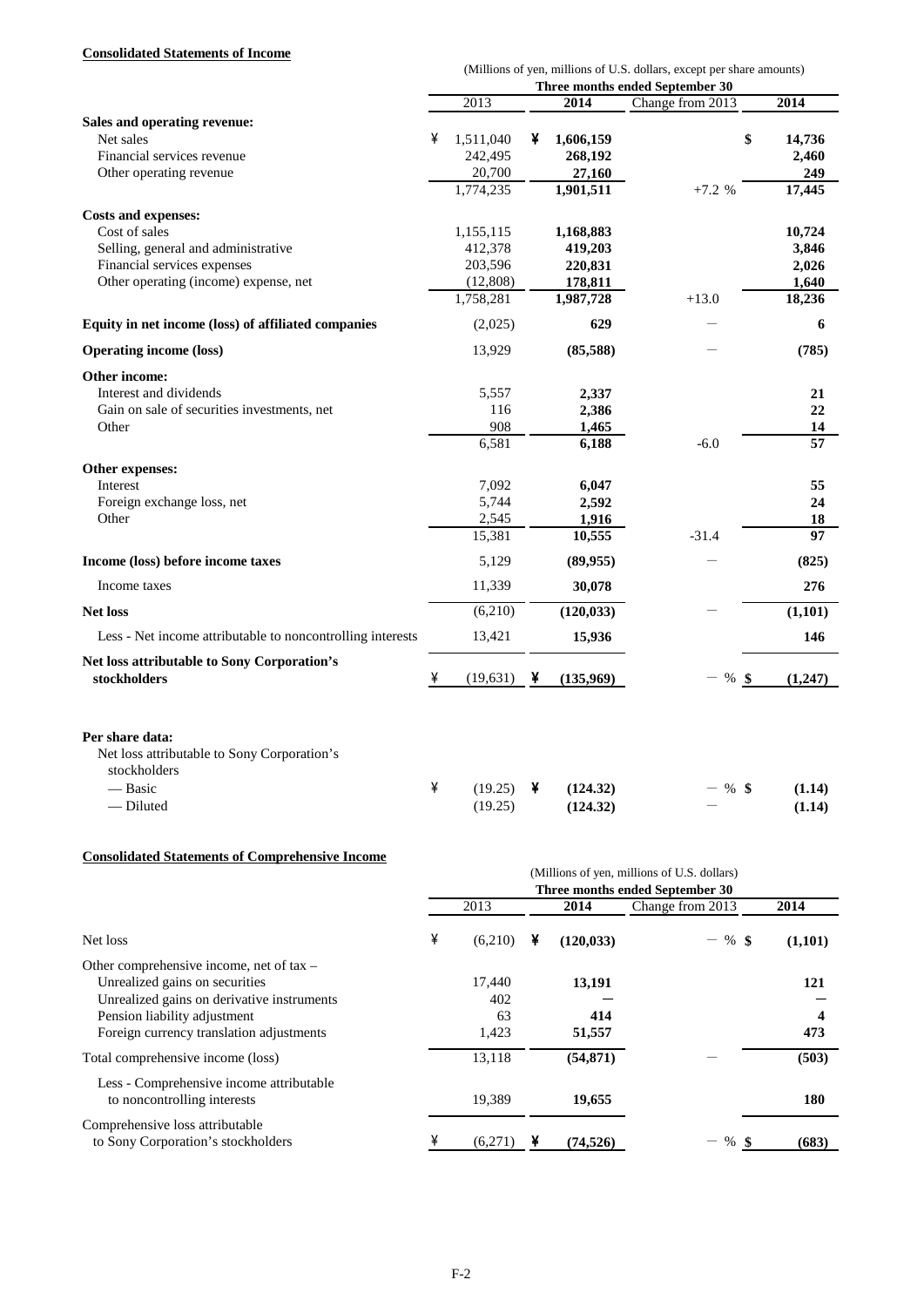# **Consolidated Statements of Income**

|                                                            |   |           |   |            | (Millions of yen, millions of U.S. dollars, except per share amounts) |                 |
|------------------------------------------------------------|---|-----------|---|------------|-----------------------------------------------------------------------|-----------------|
|                                                            |   |           |   |            | Three months ended September 30                                       |                 |
|                                                            |   | 2013      |   | 2014       | Change from 2013                                                      | 2014            |
| Sales and operating revenue:                               |   |           |   |            |                                                                       |                 |
| Net sales                                                  | ¥ | 1,511,040 | ¥ | 1,606,159  | \$                                                                    | 14,736          |
| Financial services revenue                                 |   | 242,495   |   | 268,192    |                                                                       | 2,460           |
| Other operating revenue                                    |   | 20,700    |   | 27,160     |                                                                       | 249             |
|                                                            |   | 1,774,235 |   | 1,901,511  | $+7.2%$                                                               | 17,445          |
| Costs and expenses:                                        |   |           |   |            |                                                                       |                 |
| Cost of sales                                              |   | 1,155,115 |   | 1,168,883  |                                                                       | 10,724          |
| Selling, general and administrative                        |   | 412,378   |   | 419,203    |                                                                       | 3,846           |
| Financial services expenses                                |   | 203,596   |   | 220,831    |                                                                       | 2,026           |
| Other operating (income) expense, net                      |   | (12,808)  |   | 178,811    |                                                                       | 1,640           |
|                                                            |   | 1,758,281 |   | 1,987,728  | $+13.0$                                                               | 18,236          |
| Equity in net income (loss) of affiliated companies        |   | (2,025)   |   | 629        |                                                                       | 6               |
| <b>Operating income (loss)</b>                             |   | 13,929    |   | (85,588)   |                                                                       | (785)           |
| Other income:                                              |   |           |   |            |                                                                       |                 |
| Interest and dividends                                     |   | 5,557     |   | 2,337      |                                                                       | 21              |
| Gain on sale of securities investments, net                |   | 116       |   | 2,386      |                                                                       | 22              |
| Other                                                      |   | 908       |   | 1,465      |                                                                       | 14              |
|                                                            |   | 6,581     |   | 6,188      | $-6.0$                                                                | $\overline{57}$ |
| Other expenses:                                            |   |           |   |            |                                                                       |                 |
| Interest                                                   |   | 7,092     |   | 6,047      |                                                                       | 55              |
| Foreign exchange loss, net                                 |   | 5,744     |   | 2,592      |                                                                       | 24              |
| Other                                                      |   | 2,545     |   | 1,916      |                                                                       | 18              |
|                                                            |   | 15,381    |   | 10,555     | $-31.4$                                                               | 97              |
| Income (loss) before income taxes                          |   | 5,129     |   | (89,955)   |                                                                       | (825)           |
| Income taxes                                               |   | 11,339    |   | 30,078     |                                                                       | 276             |
| <b>Net loss</b>                                            |   | (6,210)   |   | (120, 033) |                                                                       | (1,101)         |
| Less - Net income attributable to noncontrolling interests |   | 13,421    |   | 15,936     |                                                                       | 146             |
| Net loss attributable to Sony Corporation's                |   |           |   |            |                                                                       |                 |
| stockholders                                               | ¥ | (19,631)  | ¥ | (135,969)  | %<br>-S                                                               | (1,247)         |
| Per share data:                                            |   |           |   |            |                                                                       |                 |
| Net loss attributable to Sony Corporation's                |   |           |   |            |                                                                       |                 |
| stockholders                                               |   |           |   |            |                                                                       |                 |
| — Basic                                                    | ¥ | (19.25)   | ¥ | (124.32)   | %\$                                                                   | (1.14)          |
| - Diluted                                                  |   | (19.25)   |   | (124.32)   |                                                                       | (1.14)          |

## **Consolidated Statements of Comprehensive Income**

| Consonance statements of Comprenensive income                                                                                                                                                          | (Millions of yen, millions of U.S. dollars)<br>Three months ended September 30<br>Change from 2013<br>2013<br>2014<br>2014 |                              |   |                         |           |                 |  |  |  |
|--------------------------------------------------------------------------------------------------------------------------------------------------------------------------------------------------------|----------------------------------------------------------------------------------------------------------------------------|------------------------------|---|-------------------------|-----------|-----------------|--|--|--|
| Net loss                                                                                                                                                                                               | ¥                                                                                                                          | (6,210)                      | ¥ | (120, 033)              | $-$ % \$  | (1,101)         |  |  |  |
| Other comprehensive income, net of tax $-$<br>Unrealized gains on securities<br>Unrealized gains on derivative instruments<br>Pension liability adjustment<br>Foreign currency translation adjustments |                                                                                                                            | 17,440<br>402<br>63<br>1,423 |   | 13,191<br>414<br>51,557 |           | 121<br>4<br>473 |  |  |  |
| Total comprehensive income (loss)                                                                                                                                                                      |                                                                                                                            | 13,118                       |   | (54, 871)               |           | (503)           |  |  |  |
| Less - Comprehensive income attributable<br>to noncontrolling interests                                                                                                                                |                                                                                                                            | 19,389                       |   | 19,655                  |           | 180             |  |  |  |
| Comprehensive loss attributable<br>to Sony Corporation's stockholders                                                                                                                                  |                                                                                                                            | (6,271)                      |   | (74, 526)               | %<br>- \$ | (683)           |  |  |  |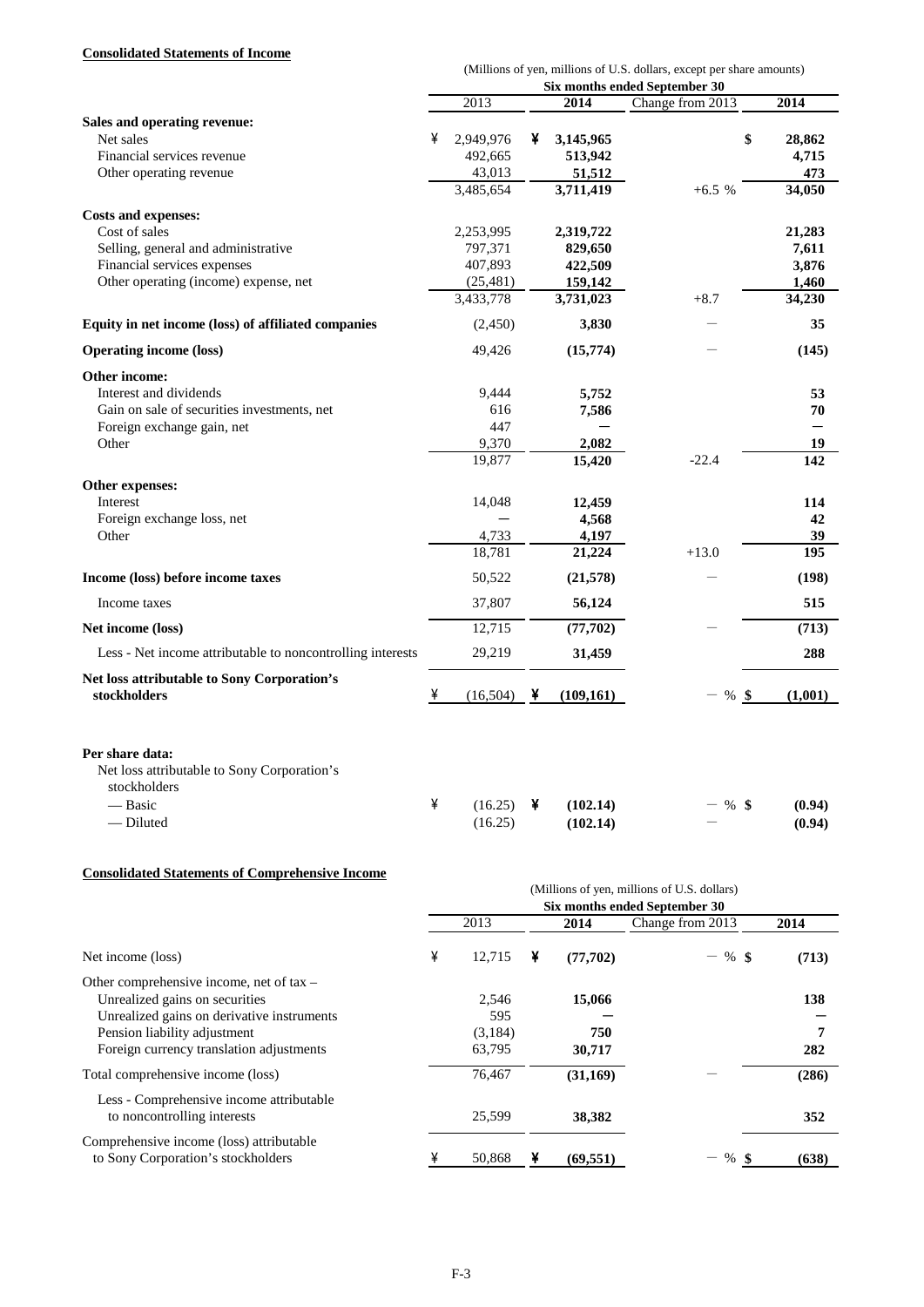## **Consolidated Statements of Income**

| Consonuateu statements of filcome                                                         |   |           |   |            |                                                                                                        |         |
|-------------------------------------------------------------------------------------------|---|-----------|---|------------|--------------------------------------------------------------------------------------------------------|---------|
|                                                                                           |   |           |   |            | (Millions of yen, millions of U.S. dollars, except per share amounts)<br>Six months ended September 30 |         |
|                                                                                           |   | 2013      |   | 2014       | Change from 2013                                                                                       | 2014    |
| Sales and operating revenue:                                                              |   |           |   |            |                                                                                                        |         |
| Net sales                                                                                 | ¥ | 2,949,976 | ¥ | 3,145,965  | \$                                                                                                     | 28,862  |
| Financial services revenue                                                                |   | 492,665   |   | 513,942    |                                                                                                        | 4,715   |
| Other operating revenue                                                                   |   | 43,013    |   | 51,512     |                                                                                                        | 473     |
|                                                                                           |   | 3,485,654 |   | 3,711,419  | $+6.5%$                                                                                                | 34,050  |
|                                                                                           |   |           |   |            |                                                                                                        |         |
| <b>Costs and expenses:</b>                                                                |   |           |   |            |                                                                                                        |         |
| Cost of sales                                                                             |   | 2,253,995 |   | 2,319,722  |                                                                                                        | 21,283  |
| Selling, general and administrative                                                       |   | 797,371   |   | 829,650    |                                                                                                        | 7,611   |
| Financial services expenses                                                               |   | 407,893   |   | 422,509    |                                                                                                        | 3,876   |
| Other operating (income) expense, net                                                     |   | (25, 481) |   | 159,142    |                                                                                                        | 1,460   |
|                                                                                           |   | 3,433,778 |   | 3,731,023  | $+8.7$                                                                                                 | 34,230  |
| Equity in net income (loss) of affiliated companies                                       |   | (2,450)   |   | 3,830      |                                                                                                        | 35      |
| <b>Operating income (loss)</b>                                                            |   | 49,426    |   | (15,774)   |                                                                                                        | (145)   |
| Other income:                                                                             |   |           |   |            |                                                                                                        |         |
| Interest and dividends                                                                    |   | 9,444     |   | 5,752      |                                                                                                        | 53      |
| Gain on sale of securities investments, net                                               |   | 616       |   | 7,586      |                                                                                                        | 70      |
| Foreign exchange gain, net                                                                |   | 447       |   |            |                                                                                                        | —       |
| Other                                                                                     |   | 9,370     |   | 2,082      |                                                                                                        | 19      |
|                                                                                           |   | 19,877    |   | 15,420     | $-22.4$                                                                                                | 142     |
| Other expenses:                                                                           |   |           |   |            |                                                                                                        |         |
| Interest                                                                                  |   | 14,048    |   | 12,459     |                                                                                                        | 114     |
| Foreign exchange loss, net                                                                |   |           |   | 4,568      |                                                                                                        | 42      |
| Other                                                                                     |   | 4,733     |   | 4,197      |                                                                                                        | 39      |
|                                                                                           |   | 18,781    |   | 21,224     | $+13.0$                                                                                                | 195     |
| Income (loss) before income taxes                                                         |   | 50,522    |   | (21,578)   |                                                                                                        | (198)   |
| Income taxes                                                                              |   | 37,807    |   | 56,124     |                                                                                                        | 515     |
| Net income (loss)                                                                         |   | 12,715    |   | (77, 702)  |                                                                                                        | (713)   |
| Less - Net income attributable to noncontrolling interests                                |   | 29,219    |   | 31,459     |                                                                                                        | 288     |
| Net loss attributable to Sony Corporation's                                               |   |           |   |            |                                                                                                        |         |
| stockholders                                                                              | ¥ | (16,504)  | ¥ | (109, 161) | $-$ %<br>-\$                                                                                           | (1,001) |
| Per share data:<br>Net loss attributable to Sony Corporation's<br>stockholders<br>— Basic | ¥ | (16.25)   | ¥ | (102.14)   | -%\$                                                                                                   | (0.94)  |

## **Consolidated Statements of Comprehensive Income**

|                                                                                                                                                                                                      |   |                                   |   |                         | (Millions of yen, millions of U.S. dollars)<br>Six months ended September 30 |                 |
|------------------------------------------------------------------------------------------------------------------------------------------------------------------------------------------------------|---|-----------------------------------|---|-------------------------|------------------------------------------------------------------------------|-----------------|
|                                                                                                                                                                                                      |   | 2013                              |   | 2014                    | Change from 2013                                                             | 2014            |
| Net income (loss)                                                                                                                                                                                    | ¥ | 12,715                            | ¥ | (77,702)                | $-$ % \$                                                                     | (713)           |
| Other comprehensive income, net of tax –<br>Unrealized gains on securities<br>Unrealized gains on derivative instruments<br>Pension liability adjustment<br>Foreign currency translation adjustments |   | 2,546<br>595<br>(3,184)<br>63,795 |   | 15,066<br>750<br>30,717 |                                                                              | 138<br>7<br>282 |
| Total comprehensive income (loss)                                                                                                                                                                    |   | 76,467                            |   | (31,169)                |                                                                              | (286)           |
| Less - Comprehensive income attributable<br>to noncontrolling interests                                                                                                                              |   | 25,599                            |   | 38,382                  |                                                                              | 352             |
| Comprehensive income (loss) attributable<br>to Sony Corporation's stockholders                                                                                                                       |   | 50.868                            |   | (69, 551)               | %                                                                            | (638)           |

— Diluted (16.25) **(102.14)** - **(0.94)**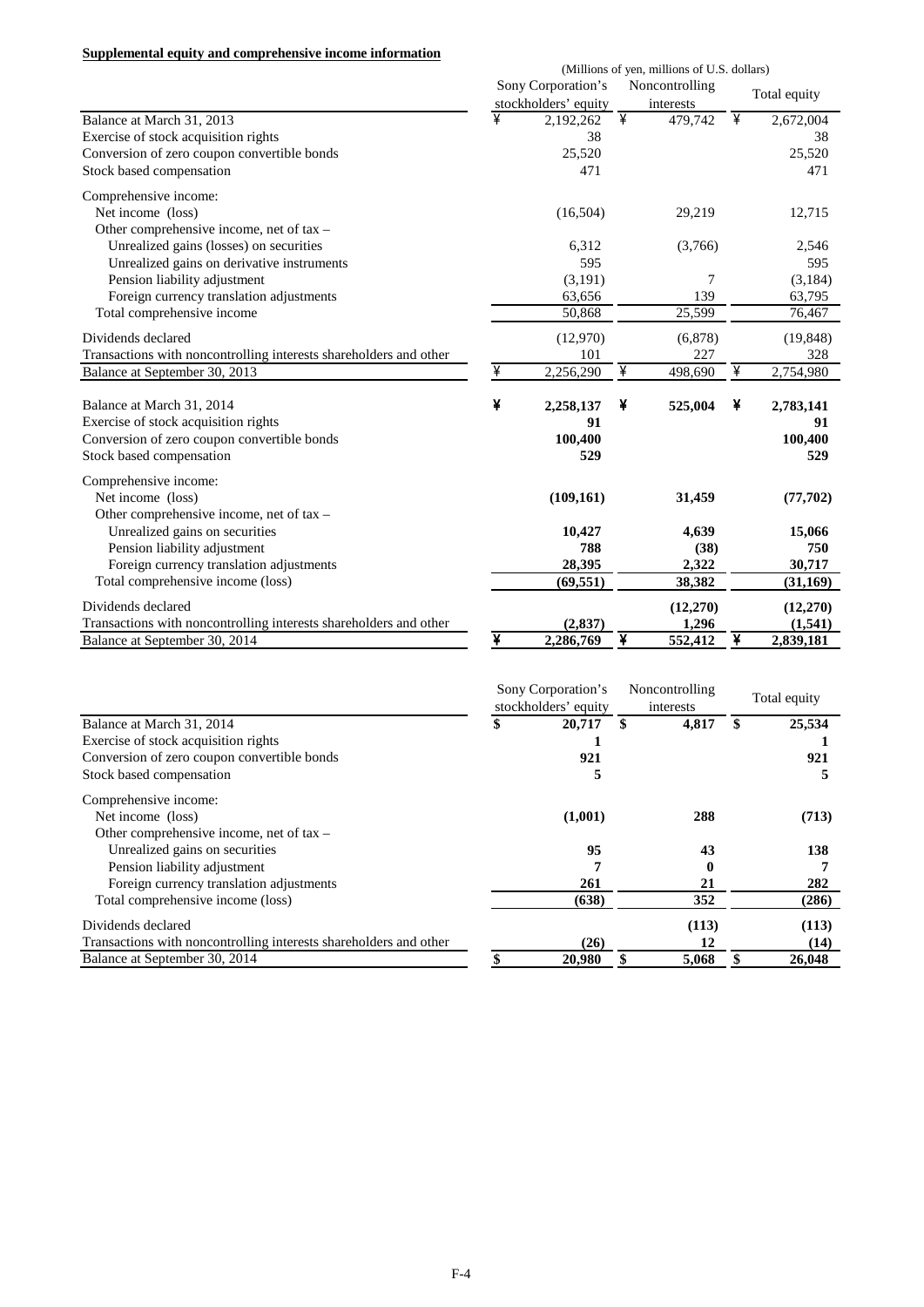|  |  | Supplemental equity and comprehensive income information |  |
|--|--|----------------------------------------------------------|--|
|  |  |                                                          |  |

|                                                                   | (Millions of yen, millions of U.S. dollars) |                      |   |                |   |              |  |  |  |  |
|-------------------------------------------------------------------|---------------------------------------------|----------------------|---|----------------|---|--------------|--|--|--|--|
|                                                                   |                                             | Sony Corporation's   |   | Noncontrolling |   | Total equity |  |  |  |  |
|                                                                   |                                             | stockholders' equity |   | interests      |   |              |  |  |  |  |
| Balance at March 31, 2013                                         | ¥                                           | 2,192,262            | ¥ | 479,742        | ¥ | 2,672,004    |  |  |  |  |
| Exercise of stock acquisition rights                              |                                             | 38                   |   |                |   | 38           |  |  |  |  |
| Conversion of zero coupon convertible bonds                       |                                             | 25,520               |   |                |   | 25,520       |  |  |  |  |
| Stock based compensation                                          |                                             | 471                  |   |                |   | 471          |  |  |  |  |
| Comprehensive income:                                             |                                             |                      |   |                |   |              |  |  |  |  |
| Net income (loss)                                                 |                                             | (16,504)             |   | 29,219         |   | 12,715       |  |  |  |  |
| Other comprehensive income, net of tax -                          |                                             |                      |   |                |   |              |  |  |  |  |
| Unrealized gains (losses) on securities                           |                                             | 6,312                |   | (3,766)        |   | 2,546        |  |  |  |  |
| Unrealized gains on derivative instruments                        |                                             | 595                  |   |                |   | 595          |  |  |  |  |
| Pension liability adjustment                                      |                                             | (3,191)              |   | 7              |   | (3,184)      |  |  |  |  |
| Foreign currency translation adjustments                          |                                             | 63,656               |   | 139            |   | 63,795       |  |  |  |  |
| Total comprehensive income                                        |                                             | 50,868               |   | 25,599         |   | 76,467       |  |  |  |  |
| Dividends declared                                                |                                             | (12,970)             |   | (6,878)        |   | (19, 848)    |  |  |  |  |
| Transactions with noncontrolling interests shareholders and other |                                             | 101                  |   | 227            |   | 328          |  |  |  |  |
| Balance at September 30, 2013                                     | ¥                                           | 2,256,290            | ¥ | 498,690        | ¥ | 2,754,980    |  |  |  |  |
| Balance at March 31, 2014                                         | ¥                                           |                      | ¥ |                | ¥ |              |  |  |  |  |
|                                                                   |                                             | 2,258,137            |   | 525,004        |   | 2,783,141    |  |  |  |  |
| Exercise of stock acquisition rights                              |                                             | 91                   |   |                |   | 91           |  |  |  |  |
| Conversion of zero coupon convertible bonds                       |                                             | 100,400              |   |                |   | 100,400      |  |  |  |  |
| Stock based compensation                                          |                                             | 529                  |   |                |   | 529          |  |  |  |  |
| Comprehensive income:                                             |                                             |                      |   |                |   |              |  |  |  |  |
| Net income (loss)                                                 |                                             | (109, 161)           |   | 31,459         |   | (77,702)     |  |  |  |  |
| Other comprehensive income, net of tax -                          |                                             |                      |   |                |   |              |  |  |  |  |
| Unrealized gains on securities                                    |                                             | 10,427               |   | 4,639          |   | 15,066       |  |  |  |  |
| Pension liability adjustment                                      |                                             | 788                  |   | (38)           |   | 750          |  |  |  |  |
| Foreign currency translation adjustments                          |                                             | 28,395               |   | 2,322          |   | 30,717       |  |  |  |  |
| Total comprehensive income (loss)                                 |                                             | (69, 551)            |   | 38,382         |   | (31, 169)    |  |  |  |  |
| Dividends declared                                                |                                             |                      |   | (12,270)       |   | (12,270)     |  |  |  |  |
| Transactions with noncontrolling interests shareholders and other |                                             | (2, 837)             |   | 1,296          |   | (1,541)      |  |  |  |  |
| Balance at September 30, 2014                                     | ¥                                           | 2,286,769            | ¥ | 552,412        | ¥ | 2,839,181    |  |  |  |  |

|                                                                   | Sony Corporation's<br>stockholders' equity | Noncontrolling<br>interests | Total equity |
|-------------------------------------------------------------------|--------------------------------------------|-----------------------------|--------------|
| Balance at March 31, 2014                                         | 20,717                                     | \$<br>4,817                 | 25,534       |
| Exercise of stock acquisition rights                              |                                            |                             |              |
| Conversion of zero coupon convertible bonds                       | 921                                        |                             | 921          |
| Stock based compensation                                          | 5                                          |                             |              |
| Comprehensive income:                                             |                                            |                             |              |
| Net income (loss)                                                 | (1,001)                                    | 288                         | (713)        |
| Other comprehensive income, net of $tax -$                        |                                            |                             |              |
| Unrealized gains on securities                                    | 95                                         | 43                          | 138          |
| Pension liability adjustment                                      |                                            |                             |              |
| Foreign currency translation adjustments                          | 261                                        | 21                          | 282          |
| Total comprehensive income (loss)                                 | (638)                                      | 352                         | (286)        |
| Dividends declared                                                |                                            | (113)                       | (113)        |
| Transactions with noncontrolling interests shareholders and other | (26)                                       | 12                          | (14)         |
| Balance at September 30, 2014                                     | 20.980                                     | \$<br>5,068                 | 26,048       |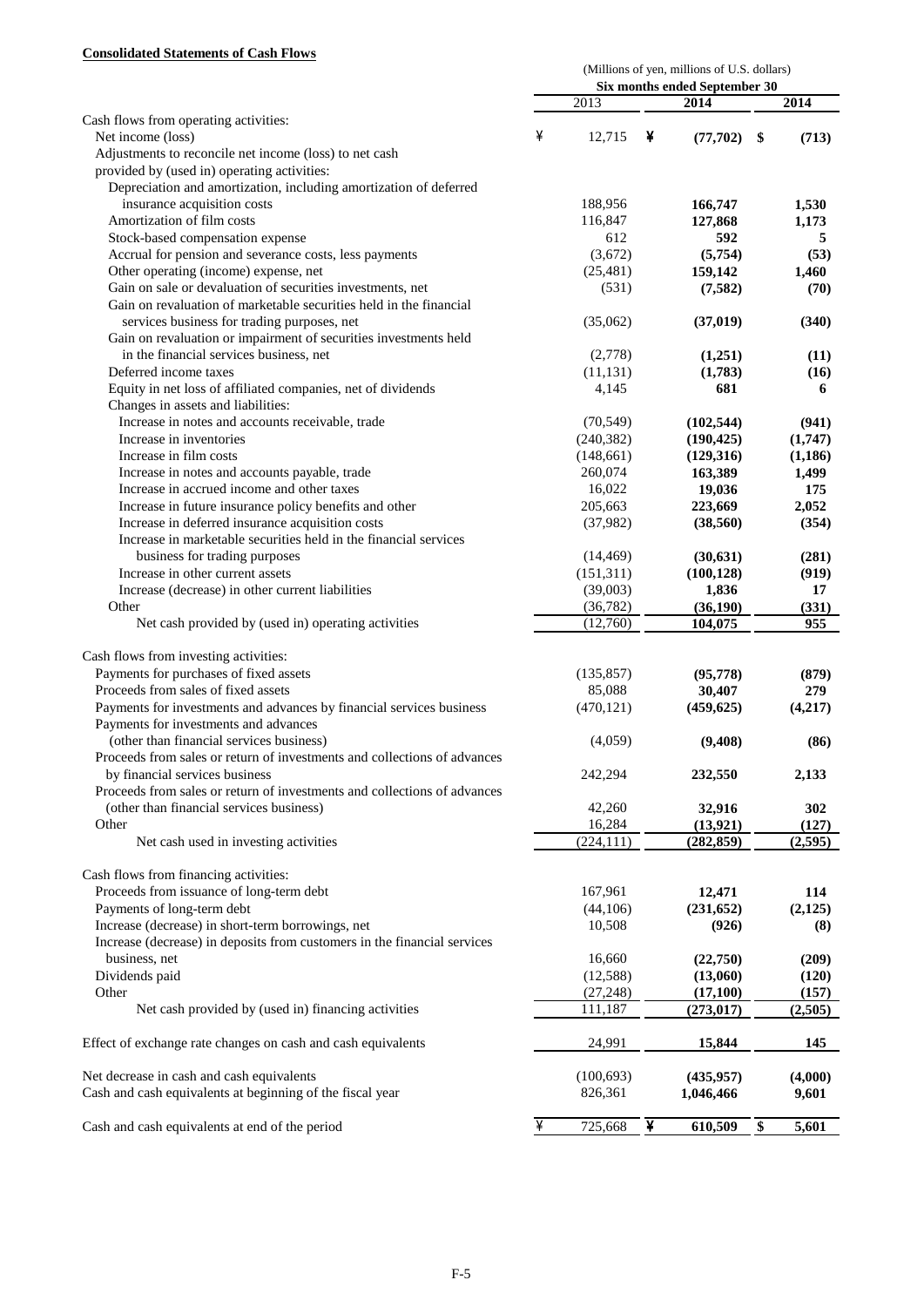# **Consolidated Statements of Cash Flows**

|                                                                          | (Millions of yen, millions of U.S. dollars) |            |   |                               |    |          |  |  |
|--------------------------------------------------------------------------|---------------------------------------------|------------|---|-------------------------------|----|----------|--|--|
|                                                                          |                                             |            |   | Six months ended September 30 |    |          |  |  |
|                                                                          |                                             | 2013       |   | 2014                          |    | 2014     |  |  |
| Cash flows from operating activities:<br>Net income (loss)               | ¥                                           | 12,715     | ¥ | (77, 702)                     | \$ | (713)    |  |  |
| Adjustments to reconcile net income (loss) to net cash                   |                                             |            |   |                               |    |          |  |  |
| provided by (used in) operating activities:                              |                                             |            |   |                               |    |          |  |  |
| Depreciation and amortization, including amortization of deferred        |                                             |            |   |                               |    |          |  |  |
| insurance acquisition costs                                              |                                             | 188,956    |   | 166,747                       |    | 1,530    |  |  |
| Amortization of film costs                                               |                                             | 116,847    |   | 127,868                       |    | 1,173    |  |  |
| Stock-based compensation expense                                         |                                             | 612        |   | 592                           |    | 5        |  |  |
| Accrual for pension and severance costs, less payments                   |                                             | (3,672)    |   | (5,754)                       |    | (53)     |  |  |
| Other operating (income) expense, net                                    |                                             | (25, 481)  |   | 159,142                       |    | 1,460    |  |  |
| Gain on sale or devaluation of securities investments, net               |                                             | (531)      |   | (7, 582)                      |    | (70)     |  |  |
| Gain on revaluation of marketable securities held in the financial       |                                             |            |   |                               |    |          |  |  |
| services business for trading purposes, net                              |                                             | (35,062)   |   | (37, 019)                     |    | (340)    |  |  |
| Gain on revaluation or impairment of securities investments held         |                                             |            |   |                               |    |          |  |  |
| in the financial services business, net                                  |                                             | (2,778)    |   | (1,251)                       |    | (11)     |  |  |
| Deferred income taxes                                                    |                                             | (11, 131)  |   | (1,783)                       |    | (16)     |  |  |
| Equity in net loss of affiliated companies, net of dividends             |                                             | 4,145      |   | 681                           |    | 6        |  |  |
| Changes in assets and liabilities:                                       |                                             |            |   |                               |    |          |  |  |
| Increase in notes and accounts receivable, trade                         |                                             | (70, 549)  |   | (102, 544)                    |    | (941)    |  |  |
| Increase in inventories                                                  |                                             | (240, 382) |   | (190, 425)                    |    | (1,747)  |  |  |
| Increase in film costs                                                   |                                             | (148, 661) |   | (129,316)                     |    | (1, 186) |  |  |
| Increase in notes and accounts payable, trade                            |                                             | 260,074    |   | 163,389                       |    | 1,499    |  |  |
| Increase in accrued income and other taxes                               |                                             | 16,022     |   | 19,036                        |    | 175      |  |  |
| Increase in future insurance policy benefits and other                   |                                             | 205,663    |   | 223,669                       |    | 2,052    |  |  |
| Increase in deferred insurance acquisition costs                         |                                             | (37,982)   |   | (38, 560)                     |    | (354)    |  |  |
| Increase in marketable securities held in the financial services         |                                             |            |   |                               |    |          |  |  |
| business for trading purposes                                            |                                             | (14, 469)  |   | (30, 631)                     |    | (281)    |  |  |
| Increase in other current assets                                         |                                             | (151, 311) |   | (100, 128)                    |    | (919)    |  |  |
| Increase (decrease) in other current liabilities                         |                                             | (39,003)   |   | 1,836                         |    | 17       |  |  |
| Other                                                                    |                                             | (36, 782)  |   | (36, 190)                     |    | (331)    |  |  |
| Net cash provided by (used in) operating activities                      |                                             | (12,760)   |   | 104,075                       |    | 955      |  |  |
|                                                                          |                                             |            |   |                               |    |          |  |  |
| Cash flows from investing activities:                                    |                                             |            |   |                               |    |          |  |  |
| Payments for purchases of fixed assets                                   |                                             | (135, 857) |   | (95, 778)                     |    | (879)    |  |  |
| Proceeds from sales of fixed assets                                      |                                             | 85,088     |   | 30,407                        |    | 279      |  |  |
| Payments for investments and advances by financial services business     |                                             | (470, 121) |   | (459, 625)                    |    | (4,217)  |  |  |
| Payments for investments and advances                                    |                                             |            |   |                               |    |          |  |  |
| (other than financial services business)                                 |                                             | (4,059)    |   | (9,408)                       |    | (86)     |  |  |
| Proceeds from sales or return of investments and collections of advances |                                             |            |   |                               |    |          |  |  |
| by financial services business                                           |                                             | 242,294    |   | 232,550                       |    | 2,133    |  |  |
| Proceeds from sales or return of investments and collections of advances |                                             |            |   |                               |    |          |  |  |
| (other than financial services business)                                 |                                             | 42,260     |   | 32,916                        |    | 302      |  |  |
| Other                                                                    |                                             | 16,284     |   | (13, 921)                     |    | (127)    |  |  |
| Net cash used in investing activities                                    |                                             | (224, 111) |   | (282, 859)                    |    | (2, 595) |  |  |
|                                                                          |                                             |            |   |                               |    |          |  |  |
| Cash flows from financing activities:                                    |                                             |            |   |                               |    |          |  |  |
| Proceeds from issuance of long-term debt                                 |                                             | 167,961    |   | 12,471                        |    | 114      |  |  |
| Payments of long-term debt                                               |                                             | (44,106)   |   | (231, 652)                    |    | (2, 125) |  |  |
| Increase (decrease) in short-term borrowings, net                        |                                             | 10,508     |   | (926)                         |    | (8)      |  |  |
| Increase (decrease) in deposits from customers in the financial services |                                             |            |   |                               |    |          |  |  |
| business, net                                                            |                                             | 16,660     |   | (22,750)                      |    | (209)    |  |  |
| Dividends paid                                                           |                                             | (12, 588)  |   | (13,060)                      |    | (120)    |  |  |
| Other                                                                    |                                             | (27, 248)  |   | (17,100)                      |    | (157)    |  |  |
| Net cash provided by (used in) financing activities                      |                                             | 111,187    |   | (273, 017)                    |    | (2,505)  |  |  |
|                                                                          |                                             |            |   |                               |    |          |  |  |
| Effect of exchange rate changes on cash and cash equivalents             |                                             | 24,991     |   | 15,844                        |    | 145      |  |  |
|                                                                          |                                             |            |   |                               |    |          |  |  |
| Net decrease in cash and cash equivalents                                |                                             | (100, 693) |   | (435, 957)                    |    | (4,000)  |  |  |
| Cash and cash equivalents at beginning of the fiscal year                |                                             | 826,361    |   | 1,046,466                     |    | 9,601    |  |  |
| Cash and cash equivalents at end of the period                           | ¥                                           | 725,668    | ¥ | 610,509                       | \$ | 5,601    |  |  |
|                                                                          |                                             |            |   |                               |    |          |  |  |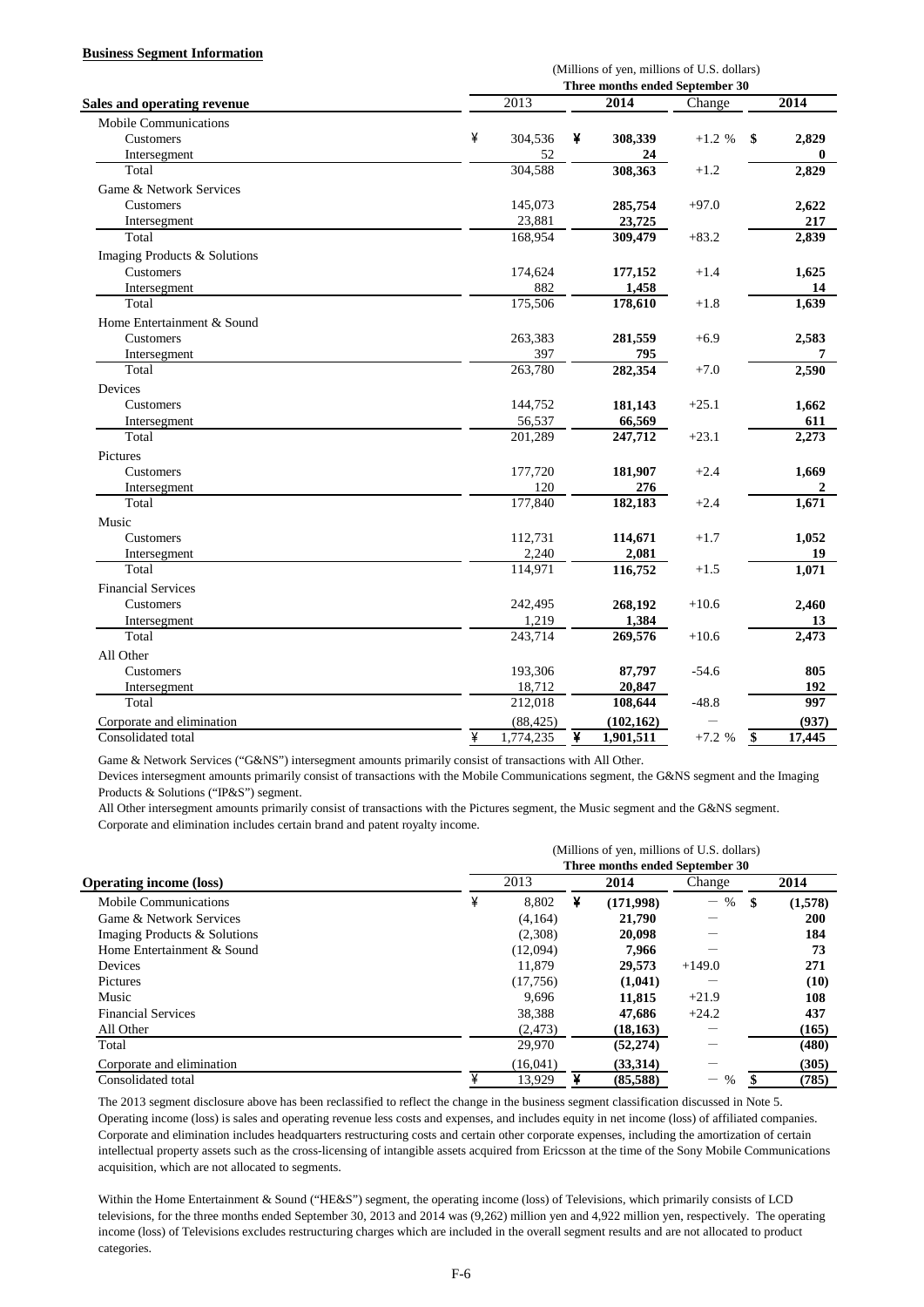#### **Business Segment Information**

|                                    |   | (Millions of yen, millions of U.S. dollars) |   |                                 |          |                 |        |  |  |  |  |
|------------------------------------|---|---------------------------------------------|---|---------------------------------|----------|-----------------|--------|--|--|--|--|
|                                    |   |                                             |   | Three months ended September 30 |          |                 |        |  |  |  |  |
| <b>Sales and operating revenue</b> |   | 2013                                        |   | 2014                            | Change   |                 | 2014   |  |  |  |  |
| <b>Mobile Communications</b>       |   |                                             |   |                                 |          |                 |        |  |  |  |  |
| Customers                          | ¥ | 304,536                                     | ¥ | 308,339                         | $+1.2 %$ | \$              | 2,829  |  |  |  |  |
| Intersegment                       |   | 52                                          |   | 24                              |          |                 | 0      |  |  |  |  |
| Total                              |   | 304,588                                     |   | 308,363                         | $+1.2$   |                 | 2,829  |  |  |  |  |
| Game & Network Services            |   |                                             |   |                                 |          |                 |        |  |  |  |  |
| Customers                          |   | 145,073                                     |   | 285,754                         | $+97.0$  |                 | 2,622  |  |  |  |  |
| Intersegment                       |   | 23,881                                      |   | 23,725                          |          |                 | 217    |  |  |  |  |
| Total                              |   | 168,954                                     |   | 309,479                         | $+83.2$  |                 | 2,839  |  |  |  |  |
| Imaging Products & Solutions       |   |                                             |   |                                 |          |                 |        |  |  |  |  |
| Customers                          |   | 174,624                                     |   | 177,152                         | $+1.4$   |                 | 1,625  |  |  |  |  |
| Intersegment                       |   | 882                                         |   | 1,458                           |          |                 | 14     |  |  |  |  |
| Total                              |   | 175,506                                     |   | 178,610                         | $+1.8$   |                 | 1,639  |  |  |  |  |
| Home Entertainment & Sound         |   |                                             |   |                                 |          |                 |        |  |  |  |  |
| Customers                          |   | 263,383                                     |   | 281,559                         | $+6.9$   |                 | 2,583  |  |  |  |  |
| Intersegment                       |   | 397                                         |   | 795                             |          |                 | 7      |  |  |  |  |
| Total                              |   | 263,780                                     |   | 282,354                         | $+7.0$   |                 | 2,590  |  |  |  |  |
| Devices                            |   |                                             |   |                                 |          |                 |        |  |  |  |  |
| Customers                          |   | 144,752                                     |   | 181,143                         | $+25.1$  |                 | 1,662  |  |  |  |  |
| Intersegment                       |   | 56,537                                      |   | 66,569                          |          |                 | 611    |  |  |  |  |
| Total                              |   | 201,289                                     |   | 247,712                         | $+23.1$  |                 | 2,273  |  |  |  |  |
| Pictures                           |   |                                             |   |                                 |          |                 |        |  |  |  |  |
| Customers                          |   | 177,720                                     |   | 181,907                         | $+2.4$   |                 | 1,669  |  |  |  |  |
| Intersegment                       |   | 120                                         |   | 276                             |          |                 | 2      |  |  |  |  |
| Total                              |   | 177,840                                     |   | 182,183                         | $+2.4$   |                 | 1,671  |  |  |  |  |
| Music                              |   |                                             |   |                                 |          |                 |        |  |  |  |  |
| Customers                          |   | 112,731                                     |   | 114,671                         | $+1.7$   |                 | 1.052  |  |  |  |  |
| Intersegment                       |   | 2,240                                       |   | 2,081                           |          |                 | 19     |  |  |  |  |
| Total                              |   | 114,971                                     |   | 116,752                         | $+1.5$   |                 | 1,071  |  |  |  |  |
| <b>Financial Services</b>          |   |                                             |   |                                 |          |                 |        |  |  |  |  |
| Customers                          |   | 242,495                                     |   | 268,192                         | $+10.6$  |                 | 2,460  |  |  |  |  |
| Intersegment                       |   | 1,219                                       |   | 1,384                           |          |                 | 13     |  |  |  |  |
| Total                              |   | 243,714                                     |   | 269,576                         | $+10.6$  |                 | 2,473  |  |  |  |  |
| All Other                          |   |                                             |   |                                 |          |                 |        |  |  |  |  |
| Customers                          |   | 193,306                                     |   | 87,797                          | $-54.6$  |                 | 805    |  |  |  |  |
| Intersegment                       |   | 18,712                                      |   | 20,847                          |          |                 | 192    |  |  |  |  |
| Total                              |   | 212,018                                     |   | 108,644                         | $-48.8$  |                 | 997    |  |  |  |  |
| Corporate and elimination          |   | (88, 425)                                   |   | (102, 162)                      |          |                 | (937)  |  |  |  |  |
| Consolidated total                 | ¥ | 1,774,235                                   | ¥ | 1,901,511                       | $+7.2 %$ | $\overline{\$}$ | 17,445 |  |  |  |  |

Game & Network Services ("G&NS") intersegment amounts primarily consist of transactions with All Other.

Devices intersegment amounts primarily consist of transactions with the Mobile Communications segment, the G&NS segment and the Imaging Products & Solutions ("IP&S") segment.

All Other intersegment amounts primarily consist of transactions with the Pictures segment, the Music segment and the G&NS segment. Corporate and elimination includes certain brand and patent royalty income.

|                                | (Millions of yen, millions of U.S. dollars) |                                 |   |           |           |      |         |  |  |  |  |
|--------------------------------|---------------------------------------------|---------------------------------|---|-----------|-----------|------|---------|--|--|--|--|
|                                |                                             | Three months ended September 30 |   |           |           |      |         |  |  |  |  |
| <b>Operating income (loss)</b> |                                             | 2013                            |   | 2014      | Change    |      | 2014    |  |  |  |  |
| Mobile Communications          | ¥                                           | 8,802                           | ¥ | (171,998) | $-$ %     | - \$ | (1,578) |  |  |  |  |
| Game & Network Services        |                                             | (4.164)                         |   | 21,790    |           |      | 200     |  |  |  |  |
| Imaging Products & Solutions   |                                             | (2,308)                         |   | 20.098    |           |      | 184     |  |  |  |  |
| Home Entertainment & Sound     |                                             | (12,094)                        |   | 7.966     |           |      | 73      |  |  |  |  |
| Devices                        |                                             | 11.879                          |   | 29,573    | $+149.0$  |      | 271     |  |  |  |  |
| Pictures                       |                                             | (17,756)                        |   | (1,041)   |           |      | (10)    |  |  |  |  |
| Music                          |                                             | 9.696                           |   | 11,815    | $+21.9$   |      | 108     |  |  |  |  |
| <b>Financial Services</b>      |                                             | 38,388                          |   | 47.686    | $+24.2$   |      | 437     |  |  |  |  |
| All Other                      |                                             | (2, 473)                        |   | (18, 163) |           |      | (165)   |  |  |  |  |
| Total                          |                                             | 29,970                          |   | (52, 274) |           |      | (480)   |  |  |  |  |
| Corporate and elimination      |                                             | (16.041)                        |   | (33.314)  |           |      | (305)   |  |  |  |  |
| Consolidated total             | ¥                                           | 13,929                          |   | (85,588)  | $\%$<br>— |      | (785)   |  |  |  |  |

The 2013 segment disclosure above has been reclassified to reflect the change in the business segment classification discussed in Note 5. Operating income (loss) is sales and operating revenue less costs and expenses, and includes equity in net income (loss) of affiliated companies. Corporate and elimination includes headquarters restructuring costs and certain other corporate expenses, including the amortization of certain intellectual property assets such as the cross-licensing of intangible assets acquired from Ericsson at the time of the Sony Mobile Communications acquisition, which are not allocated to segments.

Within the Home Entertainment & Sound ("HE&S") segment, the operating income (loss) of Televisions, which primarily consists of LCD televisions, for the three months ended September 30, 2013 and 2014 was (9,262) million yen and 4,922 million yen, respectively. The operating income (loss) of Televisions excludes restructuring charges which are included in the overall segment results and are not allocated to product categories.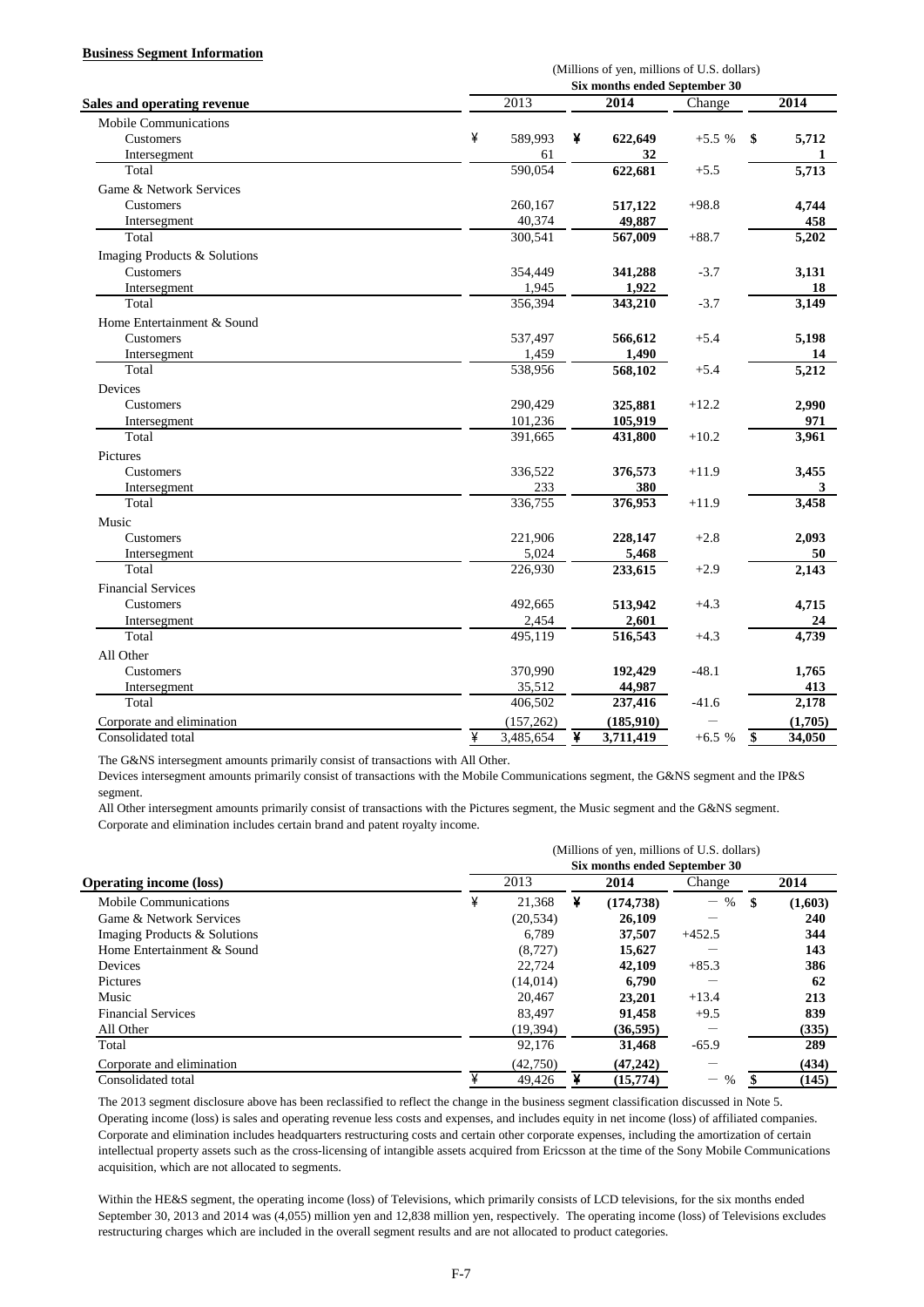#### **Business Segment Information**

|                                    | (Millions of yen, millions of U.S. dollars) |                      |   |                               |         |                 |         |  |  |  |
|------------------------------------|---------------------------------------------|----------------------|---|-------------------------------|---------|-----------------|---------|--|--|--|
|                                    |                                             |                      |   | Six months ended September 30 |         |                 |         |  |  |  |
| <b>Sales and operating revenue</b> |                                             | 2013                 |   | 2014                          | Change  |                 | 2014    |  |  |  |
| <b>Mobile Communications</b>       |                                             |                      |   |                               |         |                 |         |  |  |  |
| Customers                          | ¥                                           | 589,993              | ¥ | 622,649                       | $+5.5%$ | \$              | 5,712   |  |  |  |
| Intersegment                       |                                             | 61                   |   | 32                            |         |                 | 1       |  |  |  |
| Total                              |                                             | 590.054              |   | 622,681                       | $+5.5$  |                 | 5,713   |  |  |  |
| Game & Network Services            |                                             |                      |   |                               |         |                 |         |  |  |  |
| Customers                          |                                             | 260,167              |   | 517,122                       | $+98.8$ |                 | 4,744   |  |  |  |
| Intersegment                       |                                             | 40,374               |   | 49,887                        |         |                 | 458     |  |  |  |
| Total                              |                                             | 300,541              |   | $\overline{567,009}$          | $+88.7$ |                 | 5,202   |  |  |  |
| Imaging Products & Solutions       |                                             |                      |   |                               |         |                 |         |  |  |  |
| Customers                          |                                             | 354,449              |   | 341,288                       | $-3.7$  |                 | 3,131   |  |  |  |
| Intersegment                       |                                             | 1,945                |   | 1,922                         |         |                 | 18      |  |  |  |
| Total                              |                                             | 356,394              |   | 343,210                       | $-3.7$  |                 | 3,149   |  |  |  |
| Home Entertainment & Sound         |                                             |                      |   |                               |         |                 |         |  |  |  |
| <b>Customers</b>                   |                                             | 537,497              |   | 566,612                       | $+5.4$  |                 | 5,198   |  |  |  |
| Intersegment                       |                                             | 1,459                |   | 1,490                         |         |                 | 14      |  |  |  |
| Total                              |                                             | 538,956              |   | 568,102                       | $+5.4$  |                 | 5,212   |  |  |  |
| Devices                            |                                             |                      |   |                               |         |                 |         |  |  |  |
| Customers                          |                                             | 290,429              |   | 325,881                       | $+12.2$ |                 | 2,990   |  |  |  |
| Intersegment                       |                                             | 101,236              |   | 105,919                       |         |                 | 971     |  |  |  |
| Total                              |                                             | 391,665              |   | 431,800                       | $+10.2$ |                 | 3,961   |  |  |  |
| Pictures                           |                                             |                      |   |                               |         |                 |         |  |  |  |
| <b>Customers</b>                   |                                             | 336,522              |   | 376,573                       | $+11.9$ |                 | 3,455   |  |  |  |
| Intersegment                       |                                             | 233                  |   | 380                           |         |                 | 3       |  |  |  |
| Total                              |                                             | 336,755              |   | 376,953                       | $+11.9$ |                 | 3,458   |  |  |  |
| Music                              |                                             |                      |   |                               |         |                 |         |  |  |  |
| Customers                          |                                             | 221,906              |   | 228,147                       | $+2.8$  |                 | 2,093   |  |  |  |
| Intersegment                       |                                             | 5,024                |   | 5,468                         |         |                 | 50      |  |  |  |
| Total                              |                                             | 226,930              |   | 233,615                       | $+2.9$  |                 | 2,143   |  |  |  |
| <b>Financial Services</b>          |                                             |                      |   |                               |         |                 |         |  |  |  |
| Customers                          |                                             | 492,665              |   | 513,942                       | $+4.3$  |                 | 4,715   |  |  |  |
| Intersegment                       |                                             | 2,454                |   | 2,601                         |         |                 | 24      |  |  |  |
| Total                              |                                             | $\overline{495,}119$ |   | 516,543                       | $+4.3$  |                 | 4,739   |  |  |  |
| All Other                          |                                             |                      |   |                               |         |                 |         |  |  |  |
| Customers                          |                                             | 370,990              |   | 192,429                       | $-48.1$ |                 | 1,765   |  |  |  |
| Intersegment                       |                                             | 35,512               |   | 44,987                        |         |                 | 413     |  |  |  |
| Total                              |                                             | 406,502              |   | 237,416                       | $-41.6$ |                 | 2,178   |  |  |  |
| Corporate and elimination          |                                             | (157, 262)           |   | (185, 910)                    |         |                 | (1,705) |  |  |  |
| Consolidated total                 | ¥                                           | 3,485,654            | ¥ | 3,711,419                     | $+6.5%$ | $\overline{\$}$ | 34,050  |  |  |  |

The G&NS intersegment amounts primarily consist of transactions with All Other.

Devices intersegment amounts primarily consist of transactions with the Mobile Communications segment, the G&NS segment and the IP&S segment.

All Other intersegment amounts primarily consist of transactions with the Pictures segment, the Music segment and the G&NS segment. Corporate and elimination includes certain brand and patent royalty income.

|                                | (Millions of yen, millions of U.S. dollars) |           |   |                               |                           |    |         |  |  |  |
|--------------------------------|---------------------------------------------|-----------|---|-------------------------------|---------------------------|----|---------|--|--|--|
|                                |                                             |           |   | Six months ended September 30 |                           |    |         |  |  |  |
| <b>Operating income (loss)</b> |                                             | 2013      |   |                               | Change                    |    | 2014    |  |  |  |
| Mobile Communications          | ¥                                           | 21.368    | ¥ | (174, 738)                    | $\%$<br>$\qquad \qquad -$ | \$ | (1,603) |  |  |  |
| Game & Network Services        |                                             | (20, 534) |   | 26,109                        | –                         |    | 240     |  |  |  |
| Imaging Products & Solutions   |                                             | 6.789     |   | 37,507                        | $+452.5$                  |    | 344     |  |  |  |
| Home Entertainment & Sound     |                                             | (8, 727)  |   | 15,627                        |                           |    | 143     |  |  |  |
| Devices                        |                                             | 22,724    |   | 42,109                        | $+85.3$                   |    | 386     |  |  |  |
| <b>Pictures</b>                |                                             | (14, 014) |   | 6.790                         |                           |    | 62      |  |  |  |
| Music                          |                                             | 20.467    |   | 23,201                        | $+13.4$                   |    | 213     |  |  |  |
| <b>Financial Services</b>      |                                             | 83.497    |   | 91.458                        | $+9.5$                    |    | 839     |  |  |  |
| All Other                      |                                             | (19,394)  |   | (36, 595)                     |                           |    | (335)   |  |  |  |
| Total                          |                                             | 92.176    |   | 31,468                        | $-65.9$                   |    | 289     |  |  |  |
| Corporate and elimination      |                                             | (42,750)  |   | (47, 242)                     |                           |    | (434)   |  |  |  |
| Consolidated total             | ¥                                           | 49.426    |   | (15,774)                      | %<br>—                    |    | (145)   |  |  |  |

The 2013 segment disclosure above has been reclassified to reflect the change in the business segment classification discussed in Note 5. Operating income (loss) is sales and operating revenue less costs and expenses, and includes equity in net income (loss) of affiliated companies. Corporate and elimination includes headquarters restructuring costs and certain other corporate expenses, including the amortization of certain intellectual property assets such as the cross-licensing of intangible assets acquired from Ericsson at the time of the Sony Mobile Communications acquisition, which are not allocated to segments.

Within the HE&S segment, the operating income (loss) of Televisions, which primarily consists of LCD televisions, for the six months ended September 30, 2013 and 2014 was (4,055) million yen and 12,838 million yen, respectively. The operating income (loss) of Televisions excludes restructuring charges which are included in the overall segment results and are not allocated to product categories.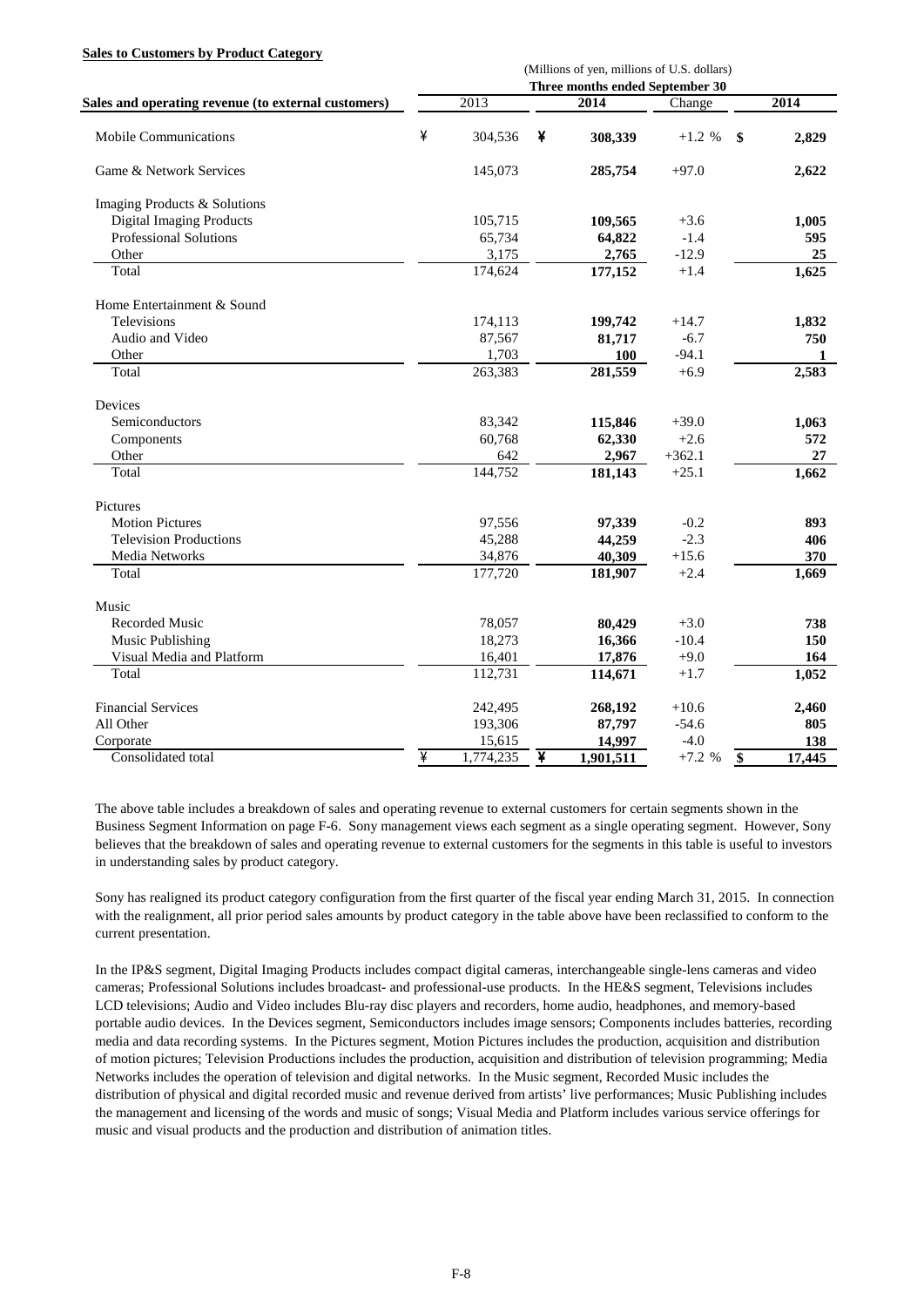#### **Sales to Customers by Product Category**

|                                                     | (Millions of yen, millions of U.S. dollars)<br>Three months ended September 30 |           |   |           |          |                 |        |  |  |  |
|-----------------------------------------------------|--------------------------------------------------------------------------------|-----------|---|-----------|----------|-----------------|--------|--|--|--|
|                                                     |                                                                                |           |   |           |          |                 |        |  |  |  |
| Sales and operating revenue (to external customers) |                                                                                | 2013      |   | 2014      | Change   |                 | 2014   |  |  |  |
| <b>Mobile Communications</b>                        | ¥                                                                              | 304,536   | ¥ | 308,339   | $+1.2 %$ | \$              | 2,829  |  |  |  |
| Game & Network Services                             |                                                                                | 145,073   |   | 285,754   | $+97.0$  |                 | 2,622  |  |  |  |
| Imaging Products & Solutions                        |                                                                                |           |   |           |          |                 |        |  |  |  |
| <b>Digital Imaging Products</b>                     |                                                                                | 105,715   |   | 109,565   | $+3.6$   |                 | 1,005  |  |  |  |
| Professional Solutions                              |                                                                                | 65,734    |   | 64,822    | $-1.4$   |                 | 595    |  |  |  |
| Other                                               |                                                                                | 3,175     |   | 2,765     | $-12.9$  |                 | 25     |  |  |  |
| Total                                               |                                                                                | 174,624   |   | 177,152   | $+1.4$   |                 | 1,625  |  |  |  |
| Home Entertainment & Sound                          |                                                                                |           |   |           |          |                 |        |  |  |  |
| Televisions                                         |                                                                                | 174,113   |   | 199,742   | $+14.7$  |                 | 1,832  |  |  |  |
| Audio and Video                                     |                                                                                | 87,567    |   | 81,717    | $-6.7$   |                 | 750    |  |  |  |
| Other                                               |                                                                                | 1,703     |   | 100       | $-94.1$  |                 | 1      |  |  |  |
| Total                                               |                                                                                | 263,383   |   | 281,559   | $+6.9$   |                 | 2,583  |  |  |  |
| Devices                                             |                                                                                |           |   |           |          |                 |        |  |  |  |
| Semiconductors                                      |                                                                                | 83,342    |   | 115,846   | $+39.0$  |                 | 1,063  |  |  |  |
| Components                                          |                                                                                | 60,768    |   | 62,330    | $+2.6$   |                 | 572    |  |  |  |
| Other                                               |                                                                                | 642       |   | 2,967     | $+362.1$ |                 | 27     |  |  |  |
| Total                                               |                                                                                | 144,752   |   | 181,143   | $+25.1$  |                 | 1,662  |  |  |  |
| Pictures                                            |                                                                                |           |   |           |          |                 |        |  |  |  |
| <b>Motion Pictures</b>                              |                                                                                | 97,556    |   | 97,339    | $-0.2$   |                 | 893    |  |  |  |
| <b>Television Productions</b>                       |                                                                                | 45,288    |   | 44,259    | $-2.3$   |                 | 406    |  |  |  |
| Media Networks                                      |                                                                                | 34,876    |   | 40,309    | $+15.6$  |                 | 370    |  |  |  |
| Total                                               |                                                                                | 177,720   |   | 181,907   | $+2.4$   |                 | 1,669  |  |  |  |
| Music                                               |                                                                                |           |   |           |          |                 |        |  |  |  |
| <b>Recorded Music</b>                               |                                                                                | 78,057    |   | 80,429    | $+3.0$   |                 | 738    |  |  |  |
| Music Publishing                                    |                                                                                | 18,273    |   | 16,366    | $-10.4$  |                 | 150    |  |  |  |
| Visual Media and Platform                           |                                                                                | 16,401    |   | 17,876    | $+9.0$   |                 | 164    |  |  |  |
| Total                                               |                                                                                | 112,731   |   | 114,671   | $+1.7$   |                 | 1,052  |  |  |  |
| <b>Financial Services</b>                           |                                                                                | 242,495   |   | 268,192   | $+10.6$  |                 | 2,460  |  |  |  |
| All Other                                           |                                                                                | 193,306   |   | 87,797    | $-54.6$  |                 | 805    |  |  |  |
| Corporate                                           |                                                                                | 15,615    |   | 14,997    | $-4.0$   |                 | 138    |  |  |  |
| Consolidated total                                  | ¥                                                                              | 1,774,235 | ¥ | 1,901,511 | $+7.2%$  | $\overline{\$}$ | 17,445 |  |  |  |

The above table includes a breakdown of sales and operating revenue to external customers for certain segments shown in the Business Segment Information on page F-6. Sony management views each segment as a single operating segment. However, Sony believes that the breakdown of sales and operating revenue to external customers for the segments in this table is useful to investors in understanding sales by product category.

Sony has realigned its product category configuration from the first quarter of the fiscal year ending March 31, 2015. In connection with the realignment, all prior period sales amounts by product category in the table above have been reclassified to conform to the current presentation.

In the IP&S segment, Digital Imaging Products includes compact digital cameras, interchangeable single-lens cameras and video cameras; Professional Solutions includes broadcast- and professional-use products. In the HE&S segment, Televisions includes LCD televisions; Audio and Video includes Blu-ray disc players and recorders, home audio, headphones, and memory-based portable audio devices. In the Devices segment, Semiconductors includes image sensors; Components includes batteries, recording media and data recording systems. In the Pictures segment, Motion Pictures includes the production, acquisition and distribution of motion pictures; Television Productions includes the production, acquisition and distribution of television programming; Media Networks includes the operation of television and digital networks. In the Music segment, Recorded Music includes the distribution of physical and digital recorded music and revenue derived from artists' live performances; Music Publishing includes the management and licensing of the words and music of songs; Visual Media and Platform includes various service offerings for music and visual products and the production and distribution of animation titles.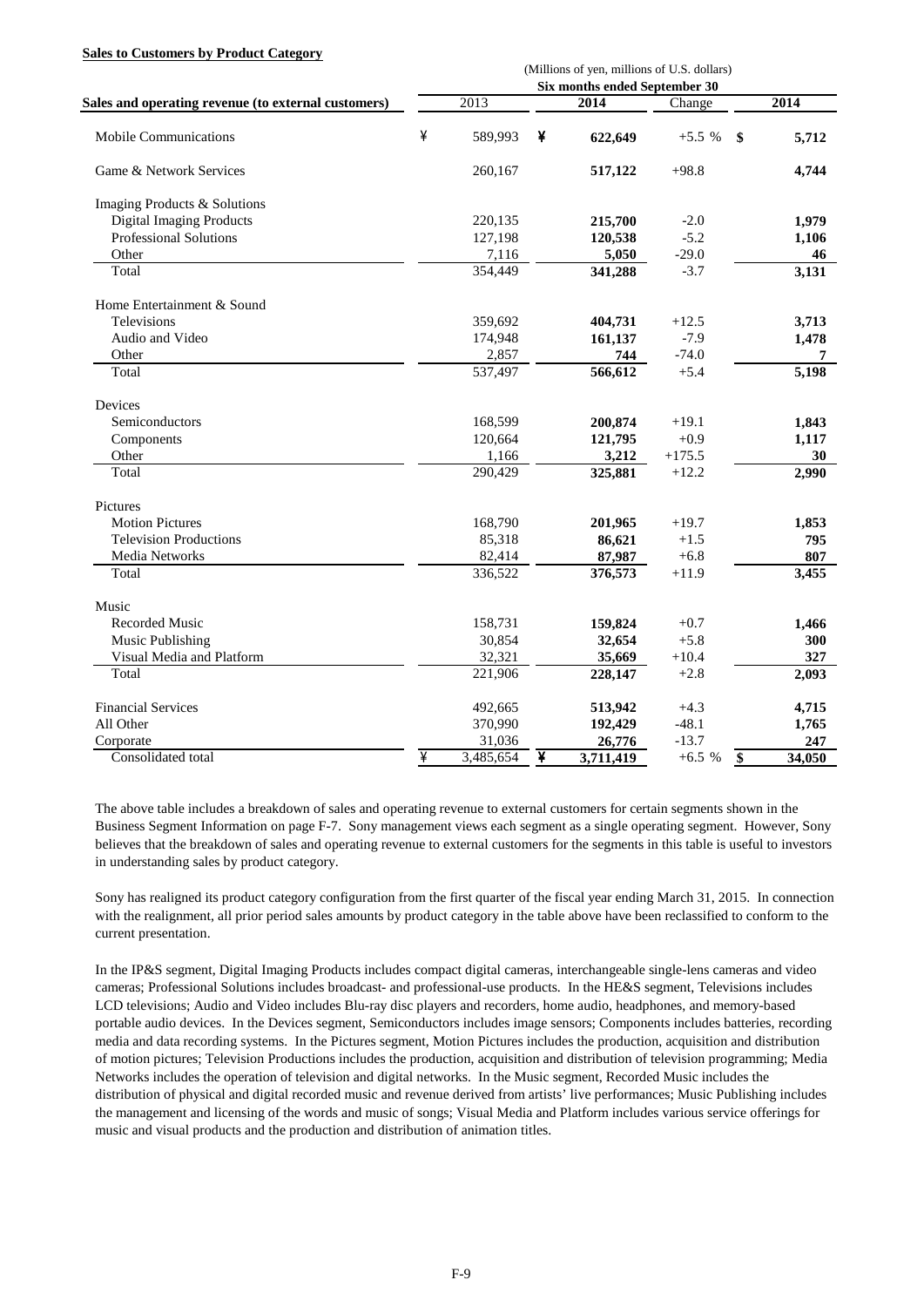#### **Sales to Customers by Product Category**

|                                                     | (Millions of yen, millions of U.S. dollars)<br>Six months ended September 30 |           |   |           |          |    |        |  |  |  |
|-----------------------------------------------------|------------------------------------------------------------------------------|-----------|---|-----------|----------|----|--------|--|--|--|
|                                                     |                                                                              |           |   |           |          |    |        |  |  |  |
| Sales and operating revenue (to external customers) |                                                                              | 2013      |   | 2014      | Change   |    | 2014   |  |  |  |
| <b>Mobile Communications</b>                        | ¥                                                                            | 589,993   | ¥ | 622,649   | $+5.5%$  | \$ | 5,712  |  |  |  |
| Game & Network Services                             |                                                                              | 260,167   |   | 517,122   | $+98.8$  |    | 4,744  |  |  |  |
| Imaging Products & Solutions                        |                                                                              |           |   |           |          |    |        |  |  |  |
| <b>Digital Imaging Products</b>                     |                                                                              | 220,135   |   | 215,700   | $-2.0$   |    | 1,979  |  |  |  |
| Professional Solutions                              |                                                                              | 127,198   |   | 120,538   | $-5.2$   |    | 1,106  |  |  |  |
| Other                                               |                                                                              | 7,116     |   | 5,050     | $-29.0$  |    | 46     |  |  |  |
| Total                                               |                                                                              | 354,449   |   | 341,288   | $-3.7$   |    | 3,131  |  |  |  |
| Home Entertainment & Sound                          |                                                                              |           |   |           |          |    |        |  |  |  |
| Televisions                                         |                                                                              | 359,692   |   | 404,731   | $+12.5$  |    | 3,713  |  |  |  |
| Audio and Video                                     |                                                                              | 174,948   |   | 161,137   | $-7.9$   |    | 1,478  |  |  |  |
| Other                                               |                                                                              | 2,857     |   | 744       | $-74.0$  |    |        |  |  |  |
| Total                                               |                                                                              | 537,497   |   | 566,612   | $+5.4$   |    | 5,198  |  |  |  |
| Devices                                             |                                                                              |           |   |           |          |    |        |  |  |  |
| Semiconductors                                      |                                                                              | 168,599   |   | 200,874   | $+19.1$  |    | 1,843  |  |  |  |
| Components                                          |                                                                              | 120,664   |   | 121,795   | $+0.9$   |    | 1,117  |  |  |  |
| Other                                               |                                                                              | 1,166     |   | 3,212     | $+175.5$ |    | 30     |  |  |  |
| Total                                               |                                                                              | 290,429   |   | 325,881   | $+12.2$  |    | 2,990  |  |  |  |
| Pictures                                            |                                                                              |           |   |           |          |    |        |  |  |  |
| <b>Motion Pictures</b>                              |                                                                              | 168,790   |   | 201,965   | $+19.7$  |    | 1,853  |  |  |  |
| <b>Television Productions</b>                       |                                                                              | 85,318    |   | 86,621    | $+1.5$   |    | 795    |  |  |  |
| Media Networks                                      |                                                                              | 82,414    |   | 87,987    | $+6.8$   |    | 807    |  |  |  |
| Total                                               |                                                                              | 336,522   |   | 376,573   | $+11.9$  |    | 3,455  |  |  |  |
| Music                                               |                                                                              |           |   |           |          |    |        |  |  |  |
| <b>Recorded Music</b>                               |                                                                              | 158,731   |   | 159,824   | $+0.7$   |    | 1,466  |  |  |  |
| Music Publishing                                    |                                                                              | 30.854    |   | 32,654    | $+5.8$   |    | 300    |  |  |  |
| Visual Media and Platform                           |                                                                              | 32,321    |   | 35,669    | $+10.4$  |    | 327    |  |  |  |
| Total                                               |                                                                              | 221,906   |   | 228,147   | $+2.8$   |    | 2,093  |  |  |  |
| <b>Financial Services</b>                           |                                                                              | 492,665   |   | 513,942   | $+4.3$   |    | 4,715  |  |  |  |
| All Other                                           |                                                                              | 370,990   |   | 192,429   | $-48.1$  |    | 1,765  |  |  |  |
| Corporate                                           |                                                                              | 31,036    |   | 26,776    | $-13.7$  |    | 247    |  |  |  |
| Consolidated total                                  | ¥                                                                            | 3,485,654 | ¥ | 3,711,419 | $+6.5%$  | \$ | 34,050 |  |  |  |

The above table includes a breakdown of sales and operating revenue to external customers for certain segments shown in the Business Segment Information on page F-7. Sony management views each segment as a single operating segment. However, Sony believes that the breakdown of sales and operating revenue to external customers for the segments in this table is useful to investors in understanding sales by product category.

Sony has realigned its product category configuration from the first quarter of the fiscal year ending March 31, 2015. In connection with the realignment, all prior period sales amounts by product category in the table above have been reclassified to conform to the current presentation.

In the IP&S segment, Digital Imaging Products includes compact digital cameras, interchangeable single-lens cameras and video cameras; Professional Solutions includes broadcast- and professional-use products. In the HE&S segment, Televisions includes LCD televisions; Audio and Video includes Blu-ray disc players and recorders, home audio, headphones, and memory-based portable audio devices. In the Devices segment, Semiconductors includes image sensors; Components includes batteries, recording media and data recording systems. In the Pictures segment, Motion Pictures includes the production, acquisition and distribution of motion pictures; Television Productions includes the production, acquisition and distribution of television programming; Media Networks includes the operation of television and digital networks. In the Music segment, Recorded Music includes the distribution of physical and digital recorded music and revenue derived from artists' live performances; Music Publishing includes the management and licensing of the words and music of songs; Visual Media and Platform includes various service offerings for music and visual products and the production and distribution of animation titles.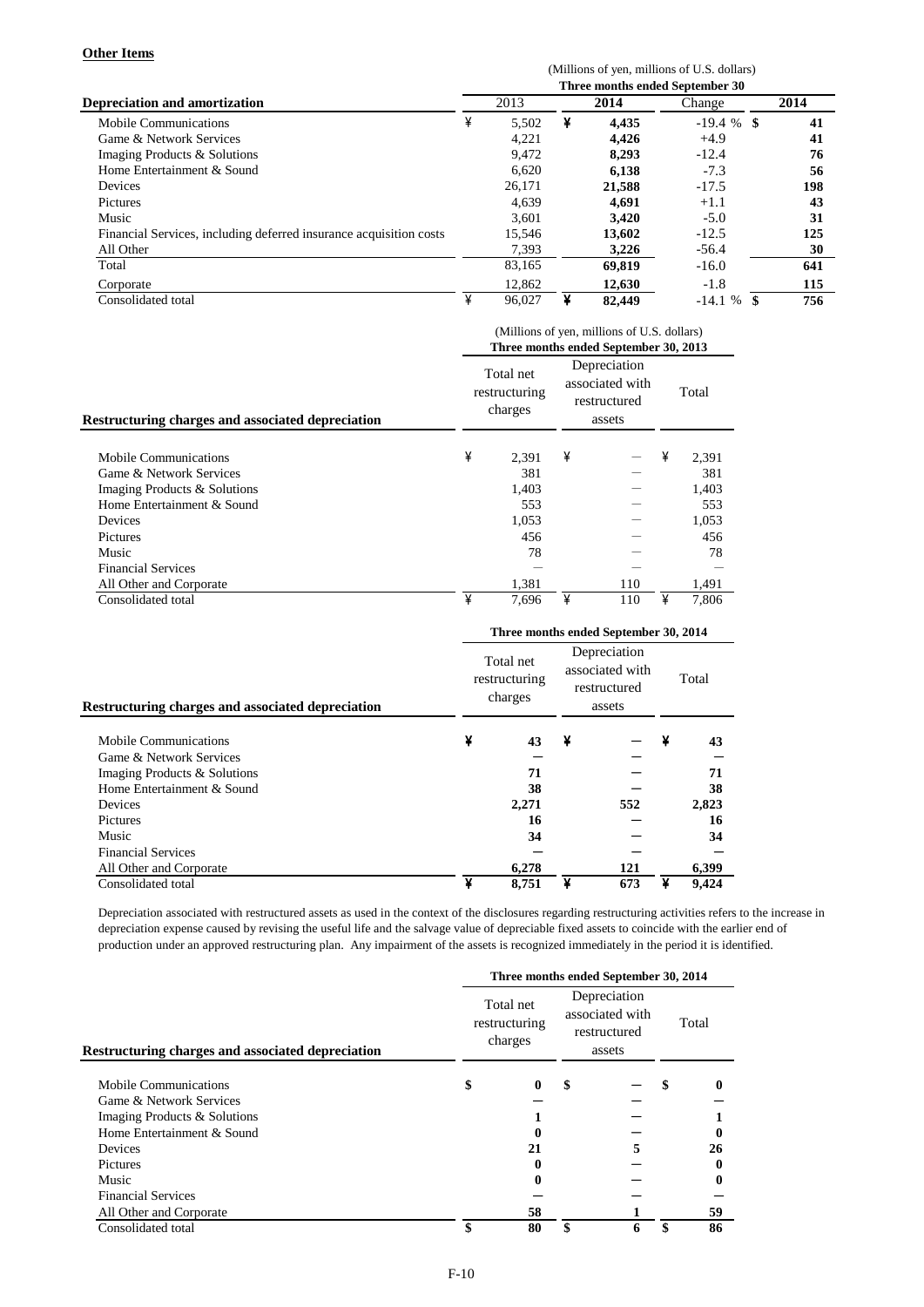### **Other Items**

(Millions of yen, millions of U.S. dollars)

|                                                                    | Three months ended September 30 |        |   |        |             |      |  |  |  |  |  |
|--------------------------------------------------------------------|---------------------------------|--------|---|--------|-------------|------|--|--|--|--|--|
| <b>Depreciation and amortization</b>                               | 2013                            |        |   | 2014   | Change      | 2014 |  |  |  |  |  |
| Mobile Communications                                              | ¥                               | 5,502  | ¥ | 4,435  | $-19.4%$ \$ | 41   |  |  |  |  |  |
| Game & Network Services                                            |                                 | 4.221  |   | 4.426  | $+4.9$      | 41   |  |  |  |  |  |
| Imaging Products & Solutions                                       |                                 | 9.472  |   | 8.293  | $-12.4$     | 76   |  |  |  |  |  |
| Home Entertainment & Sound                                         |                                 | 6.620  |   | 6,138  | $-7.3$      | 56   |  |  |  |  |  |
| <b>Devices</b>                                                     |                                 | 26.171 |   | 21,588 | $-17.5$     | 198  |  |  |  |  |  |
| <b>Pictures</b>                                                    |                                 | 4,639  |   | 4.691  | $+1.1$      | 43   |  |  |  |  |  |
| Music                                                              |                                 | 3.601  |   | 3.420  | $-5.0$      | 31   |  |  |  |  |  |
| Financial Services, including deferred insurance acquisition costs |                                 | 15,546 |   | 13.602 | $-12.5$     | 125  |  |  |  |  |  |
| All Other                                                          |                                 | 7,393  |   | 3,226  | $-56.4$     | 30   |  |  |  |  |  |
| Total                                                              |                                 | 83,165 |   | 69.819 | $-16.0$     | 641  |  |  |  |  |  |
| Corporate                                                          |                                 | 12,862 |   | 12.630 | $-1.8$      | 115  |  |  |  |  |  |
| Consolidated total                                                 |                                 | 96.027 |   | 82,449 | $-14.1%$    | 756  |  |  |  |  |  |

|                                                   | (Millions of yen, millions of U.S. dollars) |                                       |                                                           |     |   |       |  |  |  |  |
|---------------------------------------------------|---------------------------------------------|---------------------------------------|-----------------------------------------------------------|-----|---|-------|--|--|--|--|
|                                                   |                                             |                                       | Three months ended September 30, 2013                     |     |   |       |  |  |  |  |
| Restructuring charges and associated depreciation |                                             | Total net<br>restructuring<br>charges | Depreciation<br>associated with<br>restructured<br>assets |     |   | Total |  |  |  |  |
| Mobile Communications                             | ¥                                           | 2.391                                 | ¥                                                         |     | ¥ | 2,391 |  |  |  |  |
| Game & Network Services                           |                                             | 381                                   |                                                           |     |   | 381   |  |  |  |  |
| Imaging Products & Solutions                      |                                             | 1,403                                 |                                                           |     |   | 1,403 |  |  |  |  |
| Home Entertainment & Sound                        |                                             | 553                                   |                                                           |     |   | 553   |  |  |  |  |
| Devices                                           |                                             | 1,053                                 |                                                           |     |   | 1,053 |  |  |  |  |
| Pictures                                          |                                             | 456                                   |                                                           |     |   | 456   |  |  |  |  |
| Music                                             |                                             | 78                                    |                                                           |     |   | 78    |  |  |  |  |
| <b>Financial Services</b>                         |                                             |                                       |                                                           |     |   |       |  |  |  |  |
| All Other and Corporate                           |                                             | 1,381                                 |                                                           | 110 |   | 1,491 |  |  |  |  |
| Consolidated total                                | ¥                                           | 7,696                                 | ¥                                                         | 110 | ¥ | 7.806 |  |  |  |  |

|                                                   | Three months ended September 30, 2014 |                                       |                                                           |     |   |       |  |  |  |  |
|---------------------------------------------------|---------------------------------------|---------------------------------------|-----------------------------------------------------------|-----|---|-------|--|--|--|--|
| Restructuring charges and associated depreciation |                                       | Total net<br>restructuring<br>charges | Depreciation<br>associated with<br>restructured<br>assets |     |   | Total |  |  |  |  |
| Mobile Communications                             | ¥                                     | 43                                    | ¥                                                         |     | ¥ | 43    |  |  |  |  |
| Game & Network Services                           |                                       |                                       |                                                           |     |   |       |  |  |  |  |
| Imaging Products & Solutions                      |                                       | 71                                    |                                                           |     |   | 71    |  |  |  |  |
| Home Entertainment & Sound                        |                                       | 38                                    |                                                           |     |   | 38    |  |  |  |  |
| Devices                                           |                                       | 2,271                                 |                                                           | 552 |   | 2,823 |  |  |  |  |
| Pictures                                          |                                       | 16                                    |                                                           |     |   | 16    |  |  |  |  |
| Music                                             |                                       | 34                                    |                                                           |     |   | 34    |  |  |  |  |
| <b>Financial Services</b>                         |                                       |                                       |                                                           |     |   |       |  |  |  |  |
| All Other and Corporate                           |                                       | 6.278                                 |                                                           | 121 |   | 6,399 |  |  |  |  |
| Consolidated total                                | ¥                                     | 8,751                                 | ¥                                                         | 673 | ¥ | 9.424 |  |  |  |  |

Depreciation associated with restructured assets as used in the context of the disclosures regarding restructuring activities refers to the increase in depreciation expense caused by revising the useful life and the salvage value of depreciable fixed assets to coincide with the earlier end of production under an approved restructuring plan. Any impairment of the assets is recognized immediately in the period it is identified.

|                                                          | Three months ended September 30, 2014 |    |                                                           |       |    |    |  |  |  |  |
|----------------------------------------------------------|---------------------------------------|----|-----------------------------------------------------------|-------|----|----|--|--|--|--|
| <b>Restructuring charges and associated depreciation</b> | Total net<br>restructuring<br>charges |    | Depreciation<br>associated with<br>restructured<br>assets | Total |    |    |  |  |  |  |
| Mobile Communications                                    | \$                                    | 0  | \$                                                        |       | \$ | 0  |  |  |  |  |
| Game & Network Services                                  |                                       |    |                                                           |       |    |    |  |  |  |  |
| Imaging Products & Solutions                             |                                       |    |                                                           |       |    |    |  |  |  |  |
| Home Entertainment & Sound                               |                                       |    |                                                           |       |    |    |  |  |  |  |
| <b>Devices</b>                                           |                                       | 21 |                                                           | 5     |    | 26 |  |  |  |  |
| <b>Pictures</b>                                          |                                       | 0  |                                                           |       |    | 0  |  |  |  |  |
| Music                                                    |                                       |    |                                                           |       |    |    |  |  |  |  |
| <b>Financial Services</b>                                |                                       |    |                                                           |       |    |    |  |  |  |  |
| All Other and Corporate                                  |                                       | 58 |                                                           |       |    | 59 |  |  |  |  |
| Consolidated total                                       | \$                                    | 80 | \$                                                        | 6     | \$ | 86 |  |  |  |  |
|                                                          |                                       |    |                                                           |       |    |    |  |  |  |  |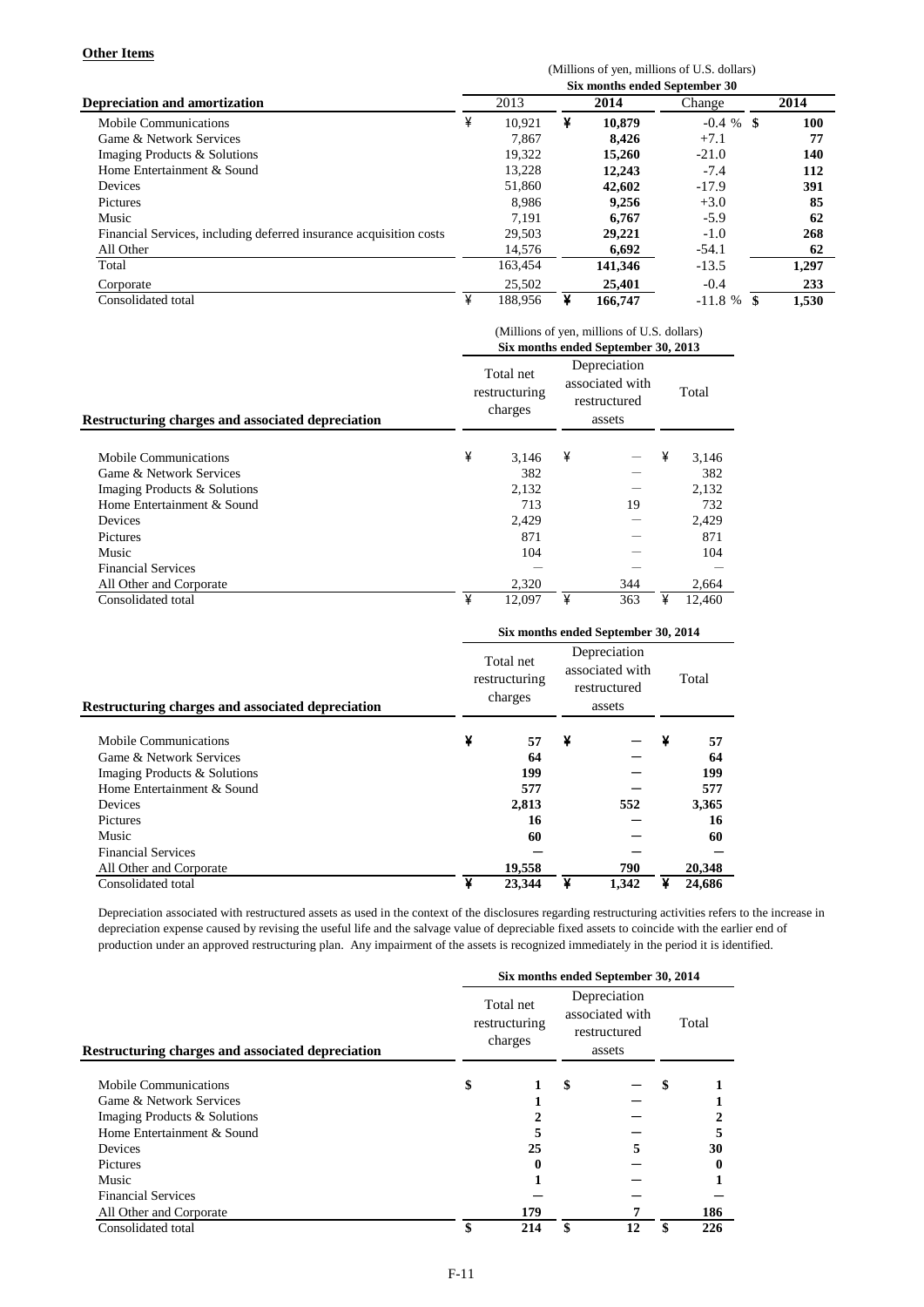### **Other Items**

(Millions of yen, millions of U.S. dollars)

|                                                                    | Six months ended September 30 |         |   |         |              |            |  |  |  |  |  |
|--------------------------------------------------------------------|-------------------------------|---------|---|---------|--------------|------------|--|--|--|--|--|
| <b>Depreciation and amortization</b>                               |                               | 2013    |   | 2014    | Change       | 2014       |  |  |  |  |  |
| Mobile Communications                                              | ¥                             | 10.921  | ¥ | 10.879  | $-0.4 \%$ \$ | <b>100</b> |  |  |  |  |  |
| Game & Network Services                                            |                               | 7.867   |   | 8.426   | $+7.1$       | 77         |  |  |  |  |  |
| Imaging Products & Solutions                                       |                               | 19.322  |   | 15,260  | $-21.0$      | 140        |  |  |  |  |  |
| Home Entertainment & Sound                                         |                               | 13.228  |   | 12,243  | $-7.4$       | 112        |  |  |  |  |  |
| Devices                                                            |                               | 51,860  |   | 42,602  | $-17.9$      | 391        |  |  |  |  |  |
| <b>Pictures</b>                                                    |                               | 8.986   |   | 9.256   | $+3.0$       | 85         |  |  |  |  |  |
| Music                                                              |                               | 7.191   |   | 6.767   | $-5.9$       | 62         |  |  |  |  |  |
| Financial Services, including deferred insurance acquisition costs |                               | 29,503  |   | 29,221  | $-1.0$       | 268        |  |  |  |  |  |
| All Other                                                          |                               | 14.576  |   | 6,692   | $-54.1$      | 62         |  |  |  |  |  |
| Total                                                              |                               | 163,454 |   | 141,346 | $-13.5$      | 1,297      |  |  |  |  |  |
| Corporate                                                          |                               | 25,502  |   | 25,401  | $-0.4$       | 233        |  |  |  |  |  |
| Consolidated total                                                 | ¥                             | 188.956 | ¥ | 166,747 | $-11.8%$     | 1,530      |  |  |  |  |  |

| <b>Restructuring charges and associated depreciation</b><br><b>Mobile Communications</b><br>Game & Network Services<br>Imaging Products & Solutions | (Millions of yen, millions of U.S. dollars)<br>Six months ended September 30, 2013 |                                       |                                                           |     |   |        |  |  |  |  |
|-----------------------------------------------------------------------------------------------------------------------------------------------------|------------------------------------------------------------------------------------|---------------------------------------|-----------------------------------------------------------|-----|---|--------|--|--|--|--|
|                                                                                                                                                     |                                                                                    | Total net<br>restructuring<br>charges | Depreciation<br>associated with<br>restructured<br>assets |     |   | Total  |  |  |  |  |
|                                                                                                                                                     | ¥                                                                                  | 3,146                                 | ¥                                                         |     | ¥ | 3,146  |  |  |  |  |
|                                                                                                                                                     |                                                                                    | 382                                   |                                                           |     |   | 382    |  |  |  |  |
|                                                                                                                                                     |                                                                                    | 2,132                                 |                                                           |     |   | 2,132  |  |  |  |  |
| Home Entertainment & Sound                                                                                                                          |                                                                                    | 713                                   |                                                           | 19  |   | 732    |  |  |  |  |
| Devices                                                                                                                                             |                                                                                    | 2.429                                 |                                                           |     |   | 2,429  |  |  |  |  |
| Pictures                                                                                                                                            |                                                                                    | 871                                   |                                                           |     |   | 871    |  |  |  |  |
| Music                                                                                                                                               |                                                                                    | 104                                   |                                                           |     |   | 104    |  |  |  |  |
| <b>Financial Services</b>                                                                                                                           |                                                                                    |                                       |                                                           |     |   |        |  |  |  |  |
| All Other and Corporate                                                                                                                             |                                                                                    | 2,320                                 |                                                           | 344 |   | 2,664  |  |  |  |  |
| Consolidated total                                                                                                                                  | ¥                                                                                  | 12.097                                | ¥                                                         | 363 | ¥ | 12.460 |  |  |  |  |

|                                                                            | Six months ended September 30, 2014 |                                       |                                                           |       |   |        |  |  |  |
|----------------------------------------------------------------------------|-------------------------------------|---------------------------------------|-----------------------------------------------------------|-------|---|--------|--|--|--|
| Restructuring charges and associated depreciation<br>Mobile Communications |                                     | Total net<br>restructuring<br>charges | Depreciation<br>associated with<br>restructured<br>assets |       |   | Total  |  |  |  |
|                                                                            | ¥                                   | 57                                    | ¥                                                         |       | ¥ | 57     |  |  |  |
| Game & Network Services                                                    |                                     | 64                                    |                                                           |       |   | 64     |  |  |  |
| Imaging Products & Solutions                                               |                                     | 199                                   |                                                           |       |   | 199    |  |  |  |
| Home Entertainment & Sound                                                 |                                     | 577                                   |                                                           |       |   | 577    |  |  |  |
| Devices                                                                    |                                     | 2,813                                 |                                                           | 552   |   | 3,365  |  |  |  |
| Pictures                                                                   |                                     | 16                                    |                                                           |       |   | 16     |  |  |  |
| Music                                                                      |                                     | 60                                    |                                                           |       |   | 60     |  |  |  |
| <b>Financial Services</b>                                                  |                                     |                                       |                                                           |       |   |        |  |  |  |
| All Other and Corporate                                                    |                                     | 19,558                                |                                                           | 790   |   | 20,348 |  |  |  |
| Consolidated total                                                         | ¥                                   | 23,344                                | ¥                                                         | 1,342 | ¥ | 24,686 |  |  |  |

Depreciation associated with restructured assets as used in the context of the disclosures regarding restructuring activities refers to the increase in depreciation expense caused by revising the useful life and the salvage value of depreciable fixed assets to coincide with the earlier end of production under an approved restructuring plan. Any impairment of the assets is recognized immediately in the period it is identified.

|                                                          | Six months ended September 30, 2014   |     |                                                           |    |       |     |  |  |  |
|----------------------------------------------------------|---------------------------------------|-----|-----------------------------------------------------------|----|-------|-----|--|--|--|
| <b>Restructuring charges and associated depreciation</b> | Total net<br>restructuring<br>charges |     | Depreciation<br>associated with<br>restructured<br>assets |    | Total |     |  |  |  |
| Mobile Communications                                    | \$                                    |     | \$                                                        |    | \$    |     |  |  |  |
| Game & Network Services                                  |                                       |     |                                                           |    |       |     |  |  |  |
| Imaging Products & Solutions                             |                                       |     |                                                           |    |       |     |  |  |  |
| Home Entertainment & Sound                               |                                       |     |                                                           |    |       |     |  |  |  |
| <b>Devices</b>                                           |                                       | 25  |                                                           | 5  |       | 30  |  |  |  |
| Pictures                                                 |                                       | 0   |                                                           |    |       | 0   |  |  |  |
| Music                                                    |                                       |     |                                                           |    |       |     |  |  |  |
| <b>Financial Services</b>                                |                                       |     |                                                           |    |       |     |  |  |  |
| All Other and Corporate                                  |                                       | 179 |                                                           |    |       | 186 |  |  |  |
| Consolidated total                                       | \$                                    | 214 | \$                                                        | 12 | \$    | 226 |  |  |  |
|                                                          |                                       |     |                                                           |    |       |     |  |  |  |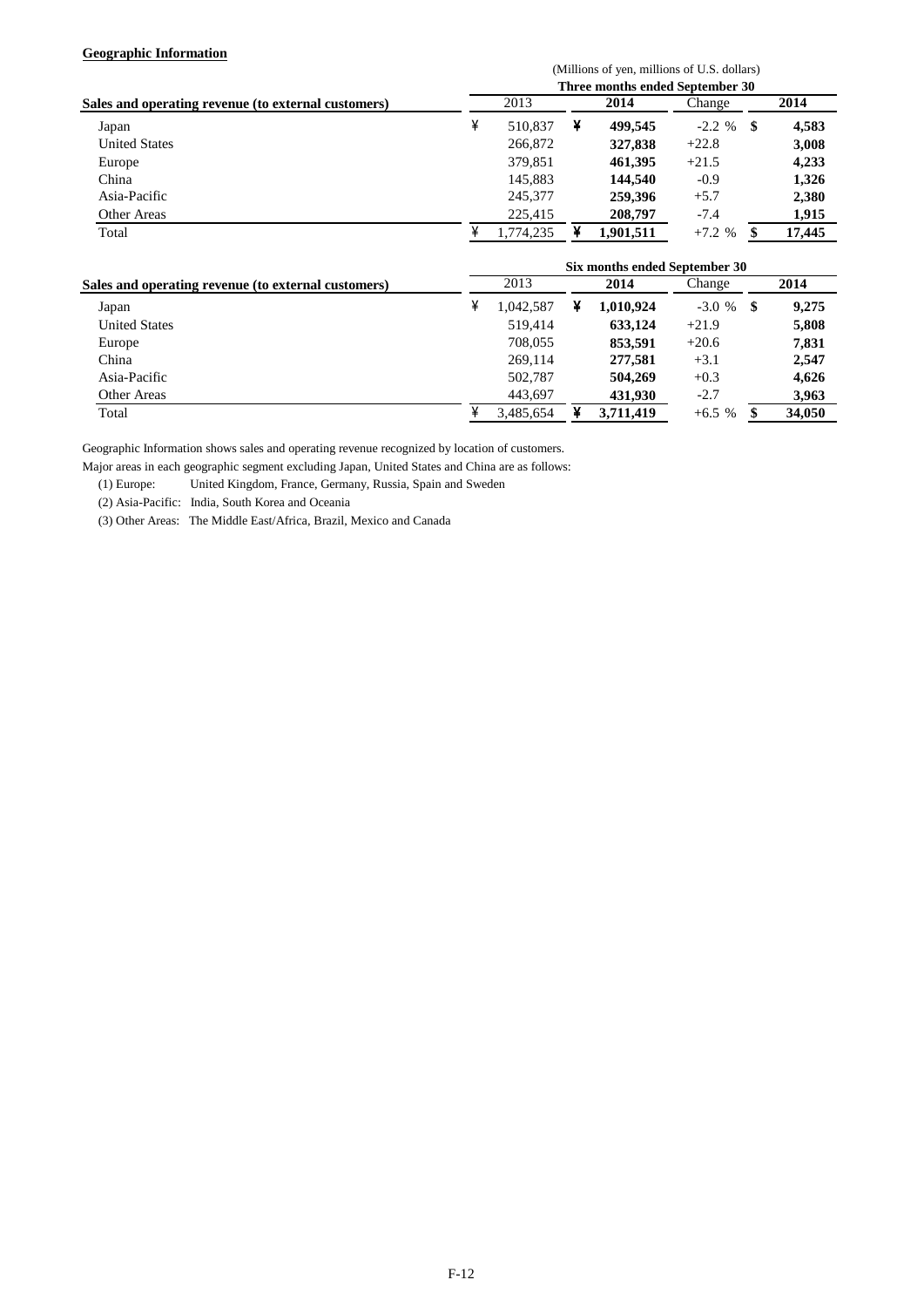### **Geographic Information**

| $500 - 100$                                         | (Millions of yen, millions of U.S. dollars)<br>Three months ended September 30 |           |   |           |           |     |        |  |  |  |
|-----------------------------------------------------|--------------------------------------------------------------------------------|-----------|---|-----------|-----------|-----|--------|--|--|--|
| Sales and operating revenue (to external customers) |                                                                                | 2013      |   | 2014      | Change    |     | 2014   |  |  |  |
| Japan                                               | ¥                                                                              | 510.837   | ¥ | 499,545   | $-2.2 \%$ | - 5 | 4,583  |  |  |  |
| <b>United States</b>                                |                                                                                | 266,872   |   | 327,838   | $+22.8$   |     | 3,008  |  |  |  |
| Europe                                              |                                                                                | 379,851   |   | 461.395   | $+21.5$   |     | 4,233  |  |  |  |
| China                                               |                                                                                | 145,883   |   | 144.540   | $-0.9$    |     | 1,326  |  |  |  |
| Asia-Pacific                                        |                                                                                | 245,377   |   | 259,396   | $+5.7$    |     | 2,380  |  |  |  |
| Other Areas                                         |                                                                                | 225,415   |   | 208,797   | $-7.4$    |     | 1,915  |  |  |  |
| Total                                               |                                                                                | 1.774.235 |   | 1.901.511 | $+7.2%$   |     | 17.445 |  |  |  |

|                                                     | Six months ended September 30 |           |  |           |         |     |        |  |  |  |
|-----------------------------------------------------|-------------------------------|-----------|--|-----------|---------|-----|--------|--|--|--|
| Sales and operating revenue (to external customers) |                               | 2013      |  | 2014      | Change  |     | 2014   |  |  |  |
| Japan                                               |                               | 1,042,587 |  | 1.010.924 | $-3.0%$ | -SS | 9.275  |  |  |  |
| <b>United States</b>                                |                               | 519,414   |  | 633.124   | $+21.9$ |     | 5,808  |  |  |  |
| Europe                                              |                               | 708,055   |  | 853,591   | $+20.6$ |     | 7,831  |  |  |  |
| China                                               |                               | 269,114   |  | 277,581   | $+3.1$  |     | 2,547  |  |  |  |
| Asia-Pacific                                        |                               | 502,787   |  | 504,269   | $+0.3$  |     | 4,626  |  |  |  |
| Other Areas                                         |                               | 443,697   |  | 431,930   | $-2.7$  |     | 3,963  |  |  |  |
| Total                                               |                               | 3.485.654 |  | 3.711.419 | $+6.5%$ |     | 34,050 |  |  |  |

Geographic Information shows sales and operating revenue recognized by location of customers.

Major areas in each geographic segment excluding Japan, United States and China are as follows:

(1) Europe: United Kingdom, France, Germany, Russia, Spain and Sweden

(2) Asia-Pacific: India, South Korea and Oceania

(3) Other Areas: The Middle East/Africa, Brazil, Mexico and Canada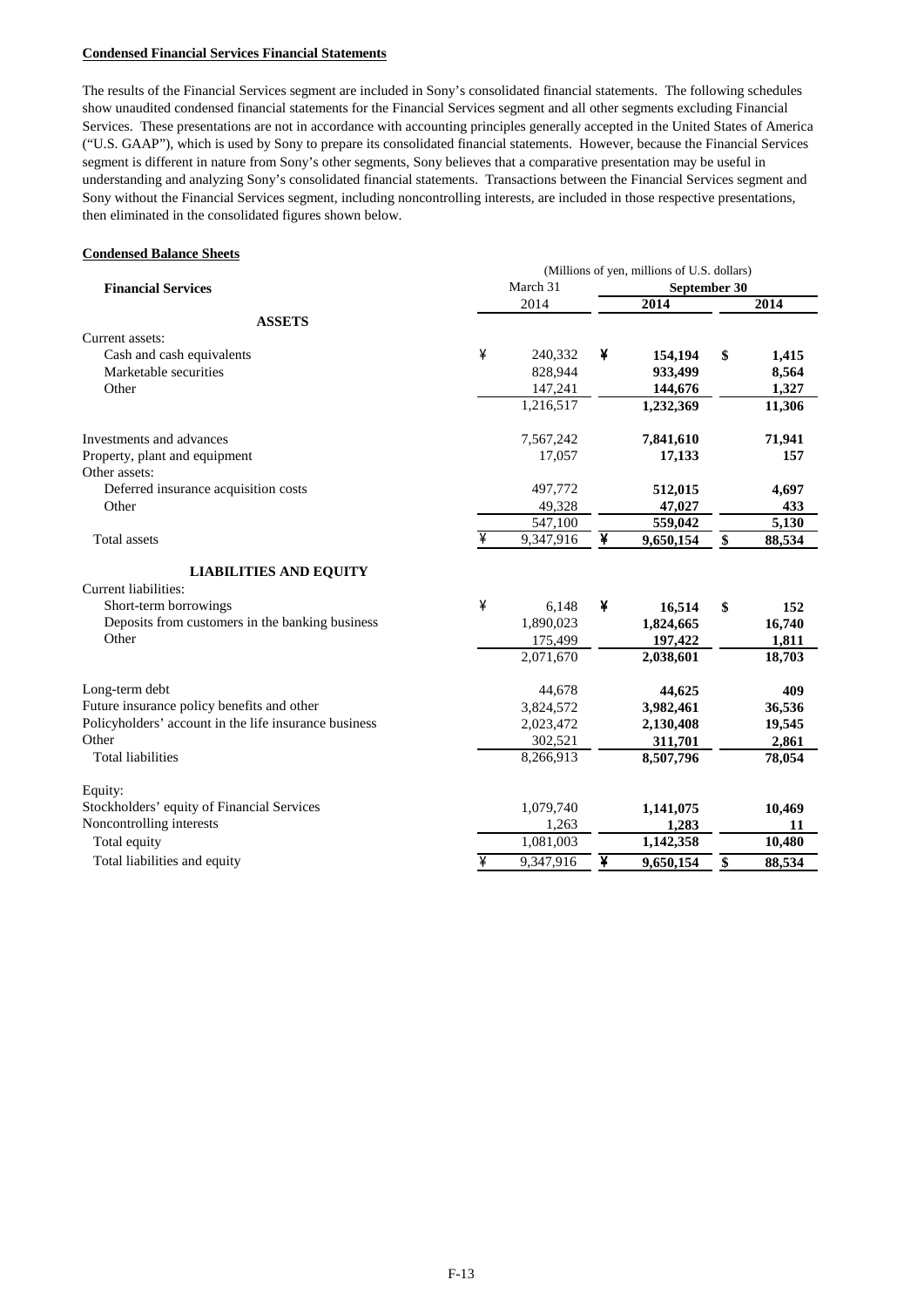#### **Condensed Financial Services Financial Statements**

The results of the Financial Services segment are included in Sony's consolidated financial statements. The following schedules show unaudited condensed financial statements for the Financial Services segment and all other segments excluding Financial Services. These presentations are not in accordance with accounting principles generally accepted in the United States of America ("U.S. GAAP"), which is used by Sony to prepare its consolidated financial statements. However, because the Financial Services segment is different in nature from Sony's other segments, Sony believes that a comparative presentation may be useful in understanding and analyzing Sony's consolidated financial statements. Transactions between the Financial Services segment and Sony without the Financial Services segment, including noncontrolling interests, are included in those respective presentations, then eliminated in the consolidated figures shown below.

#### **Condensed Balance Sheets**

|                                                       | (Millions of yen, millions of U.S. dollars) |           |   |              |    |        |  |  |  |  |
|-------------------------------------------------------|---------------------------------------------|-----------|---|--------------|----|--------|--|--|--|--|
| <b>Financial Services</b>                             |                                             | March 31  |   | September 30 |    |        |  |  |  |  |
|                                                       |                                             | 2014      |   | 2014         |    | 2014   |  |  |  |  |
| <b>ASSETS</b>                                         |                                             |           |   |              |    |        |  |  |  |  |
| Current assets:                                       |                                             |           |   |              |    |        |  |  |  |  |
| Cash and cash equivalents                             | ¥                                           | 240,332   | ¥ | 154,194      | \$ | 1,415  |  |  |  |  |
| Marketable securities                                 |                                             | 828,944   |   | 933,499      |    | 8,564  |  |  |  |  |
| Other                                                 |                                             | 147,241   |   | 144,676      |    | 1,327  |  |  |  |  |
|                                                       |                                             | 1,216,517 |   | 1,232,369    |    | 11,306 |  |  |  |  |
| Investments and advances                              |                                             | 7,567,242 |   | 7,841,610    |    | 71,941 |  |  |  |  |
| Property, plant and equipment                         |                                             | 17,057    |   | 17,133       |    | 157    |  |  |  |  |
| Other assets:                                         |                                             |           |   |              |    |        |  |  |  |  |
| Deferred insurance acquisition costs                  |                                             | 497,772   |   | 512,015      |    | 4,697  |  |  |  |  |
| Other                                                 |                                             | 49,328    |   | 47,027       |    | 433    |  |  |  |  |
|                                                       |                                             | 547,100   |   | 559,042      |    | 5,130  |  |  |  |  |
| Total assets                                          | ¥                                           | 9,347,916 | ¥ | 9,650,154    | \$ | 88,534 |  |  |  |  |
| <b>LIABILITIES AND EQUITY</b>                         |                                             |           |   |              |    |        |  |  |  |  |
| Current liabilities:                                  |                                             |           |   |              |    |        |  |  |  |  |
| Short-term borrowings                                 | ¥                                           | 6,148     | ¥ | 16,514       | \$ | 152    |  |  |  |  |
| Deposits from customers in the banking business       |                                             | 1,890,023 |   | 1,824,665    |    | 16,740 |  |  |  |  |
| Other                                                 |                                             | 175,499   |   | 197,422      |    | 1,811  |  |  |  |  |
|                                                       |                                             | 2,071,670 |   | 2,038,601    |    | 18,703 |  |  |  |  |
| Long-term debt                                        |                                             | 44,678    |   | 44,625       |    | 409    |  |  |  |  |
| Future insurance policy benefits and other            |                                             | 3,824,572 |   | 3,982,461    |    | 36,536 |  |  |  |  |
| Policyholders' account in the life insurance business |                                             | 2,023,472 |   | 2,130,408    |    | 19,545 |  |  |  |  |
| Other                                                 |                                             | 302,521   |   | 311,701      |    | 2,861  |  |  |  |  |
| <b>Total liabilities</b>                              |                                             | 8,266,913 |   | 8,507,796    |    | 78,054 |  |  |  |  |
| Equity:                                               |                                             |           |   |              |    |        |  |  |  |  |
| Stockholders' equity of Financial Services            |                                             | 1,079,740 |   | 1,141,075    |    | 10,469 |  |  |  |  |
| Noncontrolling interests                              |                                             | 1,263     |   | 1,283        |    | 11     |  |  |  |  |
| Total equity                                          |                                             | 1,081,003 |   | 1,142,358    |    | 10,480 |  |  |  |  |
| Total liabilities and equity                          | ¥                                           | 9,347,916 | ¥ | 9,650,154    | \$ | 88,534 |  |  |  |  |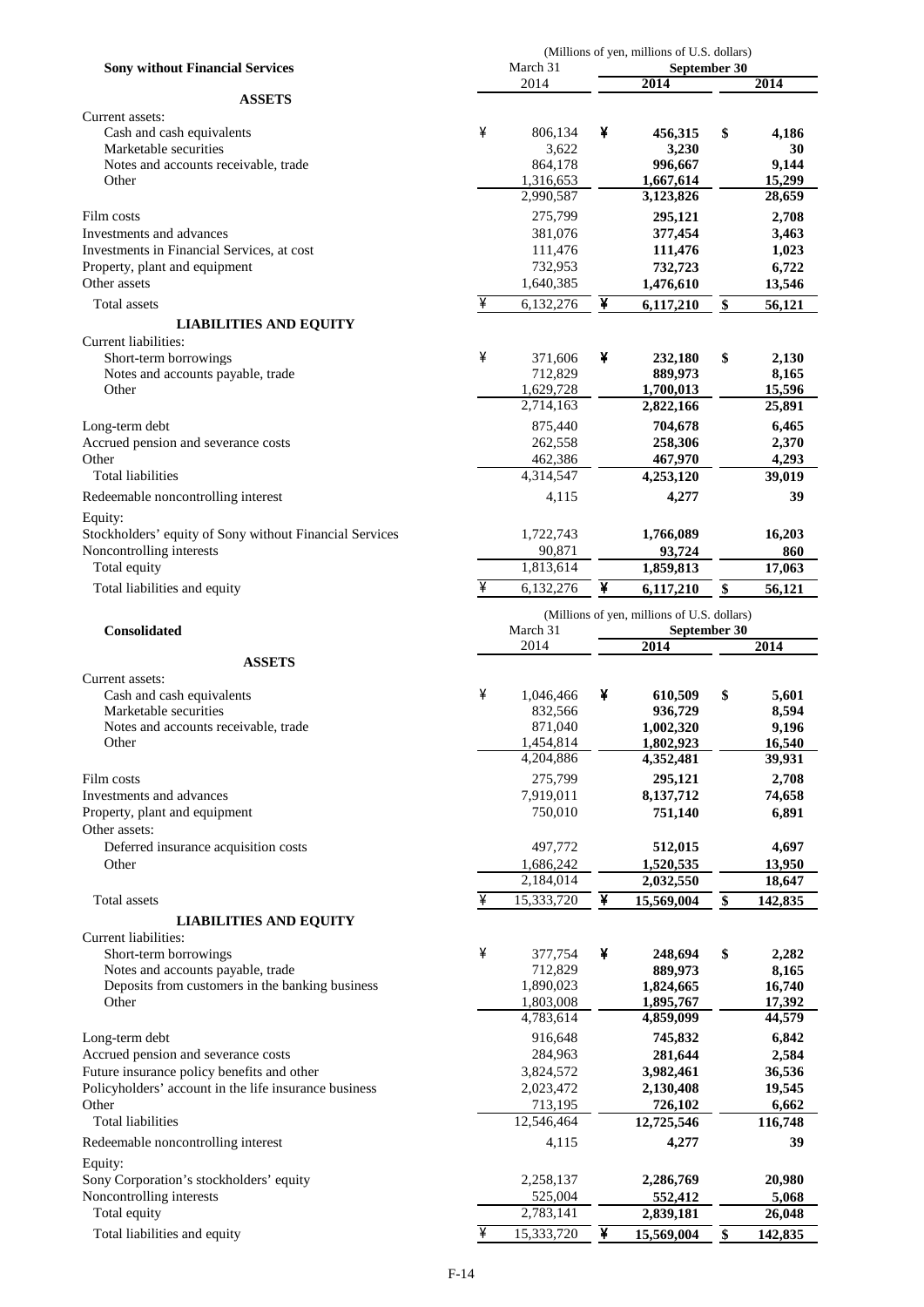|                                                           |   | (Millions of yen, millions of U.S. dollars) |   |                                             |    |                  |  |
|-----------------------------------------------------------|---|---------------------------------------------|---|---------------------------------------------|----|------------------|--|
| <b>Sony without Financial Services</b>                    |   | March 31<br>2014                            |   | September 30<br>2014                        |    | 2014             |  |
| <b>ASSETS</b>                                             |   |                                             |   |                                             |    |                  |  |
| Current assets:                                           |   |                                             |   |                                             |    |                  |  |
| Cash and cash equivalents                                 | ¥ | 806,134                                     | ¥ | 456,315                                     | \$ | 4,186            |  |
| Marketable securities                                     |   | 3,622                                       |   | 3,230                                       |    | 30               |  |
| Notes and accounts receivable, trade                      |   | 864,178                                     |   | 996.667                                     |    | 9,144            |  |
| Other                                                     |   | 1,316,653                                   |   | 1,667,614                                   |    | 15,299           |  |
|                                                           |   | 2,990,587                                   |   | 3,123,826                                   |    | 28,659           |  |
| Film costs                                                |   | 275,799                                     |   | 295,121                                     |    | 2,708            |  |
| Investments and advances                                  |   | 381,076                                     |   | 377,454                                     |    | 3,463            |  |
| Investments in Financial Services, at cost                |   | 111,476                                     |   | 111,476                                     |    | 1,023            |  |
| Property, plant and equipment                             |   | 732,953                                     |   | 732,723                                     |    | 6,722            |  |
| Other assets                                              |   | 1,640,385                                   |   | 1,476,610                                   |    | 13,546           |  |
| Total assets                                              | ¥ | 6,132,276                                   | ¥ | 6,117,210                                   | \$ | 56,121           |  |
| <b>LIABILITIES AND EQUITY</b>                             |   |                                             |   |                                             |    |                  |  |
| Current liabilities:                                      |   |                                             |   |                                             |    |                  |  |
| Short-term borrowings                                     | ¥ | 371,606                                     | ¥ | 232,180                                     | \$ | 2,130            |  |
| Notes and accounts payable, trade                         |   | 712,829                                     |   | 889,973                                     |    | 8,165            |  |
| Other                                                     |   | 1,629,728                                   |   | 1,700,013                                   |    | 15,596           |  |
|                                                           |   | 2,714,163                                   |   | 2,822,166                                   |    | 25,891           |  |
| Long-term debt                                            |   | 875,440                                     |   | 704,678                                     |    | 6,465            |  |
| Accrued pension and severance costs                       |   | 262,558                                     |   | 258,306                                     |    | 2,370            |  |
| Other                                                     |   | 462,386                                     |   | 467,970                                     |    | 4,293            |  |
| <b>Total liabilities</b>                                  |   | 4,314,547                                   |   | 4,253,120                                   |    | 39,019           |  |
| Redeemable noncontrolling interest                        |   | 4,115                                       |   | 4,277                                       |    | 39               |  |
| Equity:                                                   |   |                                             |   |                                             |    |                  |  |
| Stockholders' equity of Sony without Financial Services   |   | 1,722,743                                   |   | 1,766,089                                   |    | 16,203           |  |
| Noncontrolling interests                                  |   | 90,871                                      |   | 93,724                                      |    | 860              |  |
| Total equity                                              |   | 1,813,614                                   |   | 1,859,813                                   |    | 17,063           |  |
|                                                           | ¥ |                                             | ¥ |                                             |    |                  |  |
| Total liabilities and equity                              |   | 6,132,276                                   |   | 6,117,210                                   | \$ | 56,121           |  |
|                                                           |   |                                             |   | (Millions of yen, millions of U.S. dollars) |    |                  |  |
| <b>Consolidated</b>                                       |   | March 31                                    |   | September 30                                |    |                  |  |
|                                                           |   | 2014                                        |   | 2014                                        |    | 2014             |  |
| <b>ASSETS</b>                                             |   |                                             |   |                                             |    |                  |  |
| Current assets:                                           |   |                                             |   |                                             |    |                  |  |
| Cash and cash equivalents                                 | ¥ | 1,046,466                                   | ¥ | 610,509                                     | \$ | 5,601            |  |
| Marketable securities                                     |   | 832,566                                     |   | 936,729                                     |    | 8,594            |  |
| Notes and accounts receivable, trade                      |   | 871,040<br>1,454,814                        |   | 1,002,320<br>1,802,923                      |    | 9,196            |  |
| Other                                                     |   | 4,204,886                                   |   | 4,352,481                                   |    | 16,540<br>39,931 |  |
|                                                           |   |                                             |   |                                             |    |                  |  |
| Film costs                                                |   | 275,799                                     |   | 295,121                                     |    | 2,708<br>74,658  |  |
| Investments and advances<br>Property, plant and equipment |   |                                             |   |                                             |    |                  |  |
|                                                           |   | 7,919,011                                   |   | 8,137,712                                   |    |                  |  |
|                                                           |   | 750,010                                     |   | 751,140                                     |    | 6,891            |  |
| Other assets:                                             |   |                                             |   |                                             |    |                  |  |
| Deferred insurance acquisition costs                      |   | 497,772                                     |   | 512,015                                     |    | 4,697            |  |
| Other                                                     |   | 1,686,242                                   |   | 1,520,535                                   |    | 13,950           |  |
|                                                           |   | 2,184,014                                   |   | 2,032,550                                   |    | 18,647           |  |
| Total assets                                              | ¥ | 15,333,720                                  | ¥ | 15,569,004                                  | \$ | 142,835          |  |
| <b>LIABILITIES AND EQUITY</b>                             |   |                                             |   |                                             |    |                  |  |
| Current liabilities:                                      |   |                                             |   |                                             |    |                  |  |
| Short-term borrowings                                     | ¥ | 377,754                                     | ¥ | 248,694                                     | \$ | 2,282            |  |
| Notes and accounts payable, trade                         |   | 712,829                                     |   | 889,973                                     |    | 8,165            |  |
| Deposits from customers in the banking business           |   | 1,890,023                                   |   | 1,824,665                                   |    | 16,740           |  |
| Other                                                     |   | 1,803,008                                   |   | 1,895,767                                   |    | 17,392           |  |
|                                                           |   | 4,783,614                                   |   | 4,859,099                                   |    | 44,579           |  |
| Long-term debt                                            |   | 916,648                                     |   | 745,832                                     |    | 6,842            |  |
| Accrued pension and severance costs                       |   | 284,963                                     |   | 281,644                                     |    | 2,584            |  |
| Future insurance policy benefits and other                |   | 3,824,572                                   |   | 3,982,461                                   |    | 36,536           |  |
| Policyholders' account in the life insurance business     |   | 2,023,472                                   |   | 2,130,408                                   |    | 19,545           |  |
| Other                                                     |   | 713,195                                     |   | 726,102                                     |    | 6,662            |  |
| <b>Total liabilities</b>                                  |   | 12,546,464                                  |   | 12,725,546                                  |    | 116,748          |  |
| Redeemable noncontrolling interest                        |   | 4,115                                       |   | 4,277                                       |    | 39               |  |
| Equity:                                                   |   |                                             |   |                                             |    |                  |  |
| Sony Corporation's stockholders' equity                   |   | 2,258,137                                   |   | 2,286,769                                   |    | 20,980           |  |
| Noncontrolling interests                                  |   | 525,004                                     |   | 552,412                                     |    | 5,068            |  |
| Total equity                                              |   | 2,783,141                                   |   | 2,839,181                                   |    | 26,048           |  |
| Total liabilities and equity                              | ¥ | 15,333,720                                  | ¥ | 15,569,004                                  | \$ | 142,835          |  |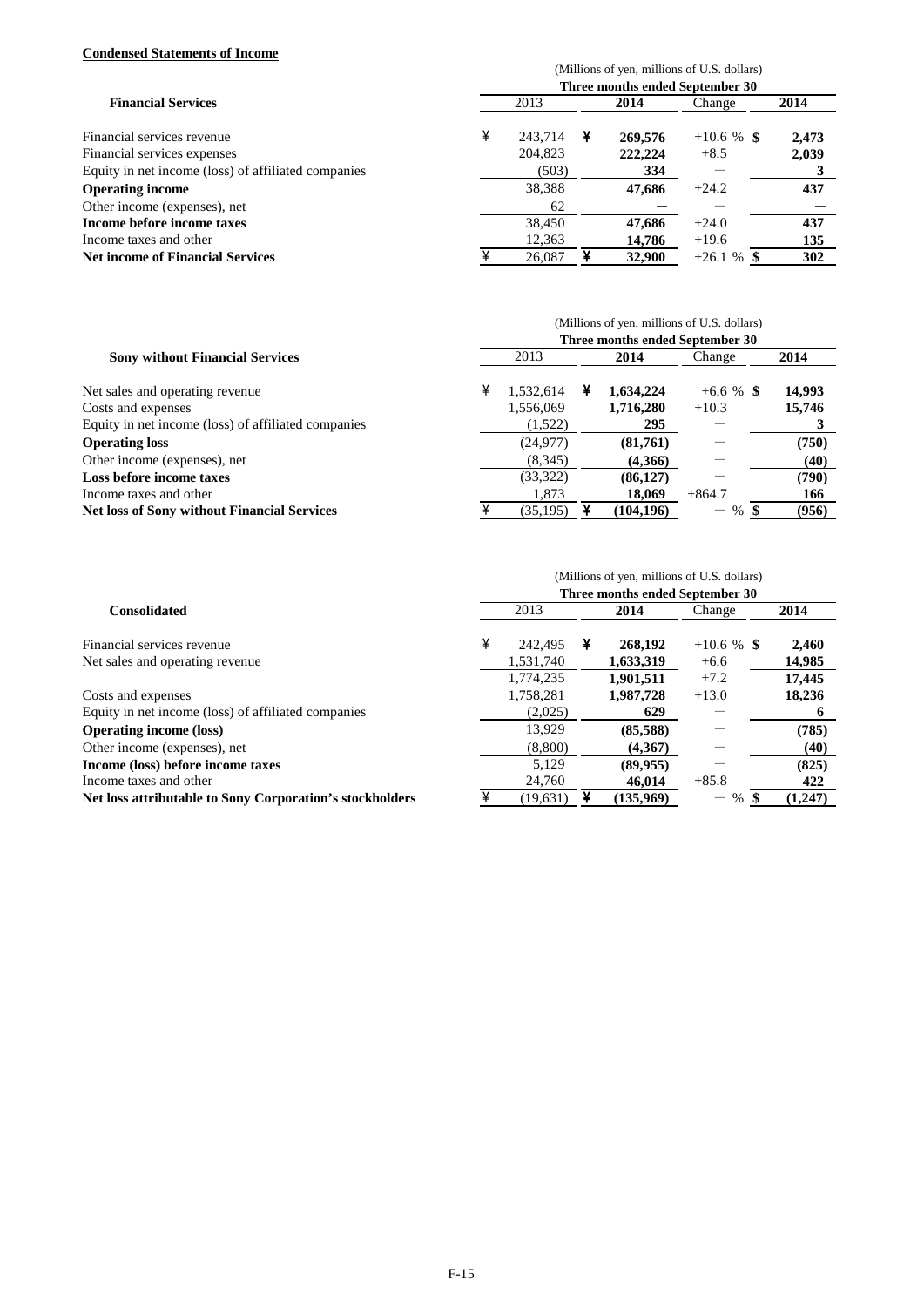## **Condensed Statements of Income**

|                                                     | (Millions of yen, millions of U.S. dollars) |                                 |   |         |               |       |  |  |  |  |
|-----------------------------------------------------|---------------------------------------------|---------------------------------|---|---------|---------------|-------|--|--|--|--|
|                                                     |                                             | Three months ended September 30 |   |         |               |       |  |  |  |  |
| <b>Financial Services</b>                           |                                             | 2013                            |   | 2014    | Change        | 2014  |  |  |  |  |
| Financial services revenue                          | ¥                                           | 243,714                         | ¥ | 269,576 | $+10.6 \%$ \$ | 2,473 |  |  |  |  |
| Financial services expenses                         |                                             | 204,823                         |   | 222,224 | $+8.5$        | 2,039 |  |  |  |  |
| Equity in net income (loss) of affiliated companies |                                             | (503)                           |   | 334     |               |       |  |  |  |  |
| <b>Operating income</b>                             |                                             | 38,388                          |   | 47,686  | $+24.2$       | 437   |  |  |  |  |
| Other income (expenses), net                        |                                             | 62                              |   |         |               |       |  |  |  |  |
| Income before income taxes                          |                                             | 38,450                          |   | 47,686  | $+24.0$       | 437   |  |  |  |  |
| Income taxes and other                              |                                             | 12,363                          |   | 14,786  | $+19.6$       | 135   |  |  |  |  |
| <b>Net income of Financial Services</b>             |                                             | 26,087                          |   | 32,900  | $+26.1%$      | 302   |  |  |  |  |

|                                                     |   |           |   | (Millions of yen, millions of U.S. dollars) |                             |        |
|-----------------------------------------------------|---|-----------|---|---------------------------------------------|-----------------------------|--------|
|                                                     |   |           |   | Three months ended September 30             |                             |        |
| <b>Sony without Financial Services</b>              |   | 2013      |   | 2014                                        | Change                      | 2014   |
| Net sales and operating revenue                     | ¥ | 1,532,614 | ¥ | 1,634,224                                   | $+6.6 \%$ \$                | 14,993 |
| Costs and expenses                                  |   | 1,556,069 |   | 1,716,280                                   | $+10.3$                     | 15,746 |
| Equity in net income (loss) of affiliated companies |   | (1,522)   |   | 295                                         |                             |        |
| <b>Operating loss</b>                               |   | (24, 977) |   | (81,761)                                    |                             | (750)  |
| Other income (expenses), net                        |   | (8,345)   |   | (4,366)                                     |                             | (40)   |
| Loss before income taxes                            |   | (33,322)  |   | (86, 127)                                   |                             | (790)  |
| Income taxes and other                              |   | 1.873     |   | 18,069                                      | $+864.7$                    | 166    |
| <b>Net loss of Sony without Financial Services</b>  |   | (35, 195) |   | (104, 196)                                  | $%$ \$<br>$\qquad \qquad -$ | (956)  |

|                                                          | (Millions of yen, millions of U.S. dollars)<br>Three months ended September 30 |           |   |           |                                        |         |  |  |  |  |
|----------------------------------------------------------|--------------------------------------------------------------------------------|-----------|---|-----------|----------------------------------------|---------|--|--|--|--|
| <b>Consolidated</b>                                      |                                                                                | 2013      |   | 2014      | Change                                 | 2014    |  |  |  |  |
| Financial services revenue                               | ¥                                                                              | 242,495   | ¥ | 268,192   | $+10.6 %$ \$                           | 2,460   |  |  |  |  |
| Net sales and operating revenue                          |                                                                                | 1,531,740 |   | 1,633,319 | $+6.6$                                 | 14,985  |  |  |  |  |
|                                                          |                                                                                | 1,774,235 |   | 1.901.511 | $+7.2$                                 | 17.445  |  |  |  |  |
| Costs and expenses                                       |                                                                                | 1,758,281 |   | 1,987,728 | $+13.0$                                | 18.236  |  |  |  |  |
| Equity in net income (loss) of affiliated companies      |                                                                                | (2,025)   |   | 629       |                                        |         |  |  |  |  |
| <b>Operating income (loss)</b>                           |                                                                                | 13.929    |   | (85,588)  |                                        | (785)   |  |  |  |  |
| Other income (expenses), net                             |                                                                                | (8,800)   |   | (4.367)   |                                        | (40)    |  |  |  |  |
| Income (loss) before income taxes                        |                                                                                | 5.129     |   | (89, 955) |                                        | (825)   |  |  |  |  |
| Income taxes and other                                   |                                                                                | 24.760    |   | 46,014    | $+85.8$                                | 422     |  |  |  |  |
| Net loss attributable to Sony Corporation's stockholders |                                                                                | (19.631)  |   | (135.969) | $\%$<br>$\qquad \qquad \longleftarrow$ | (1,247) |  |  |  |  |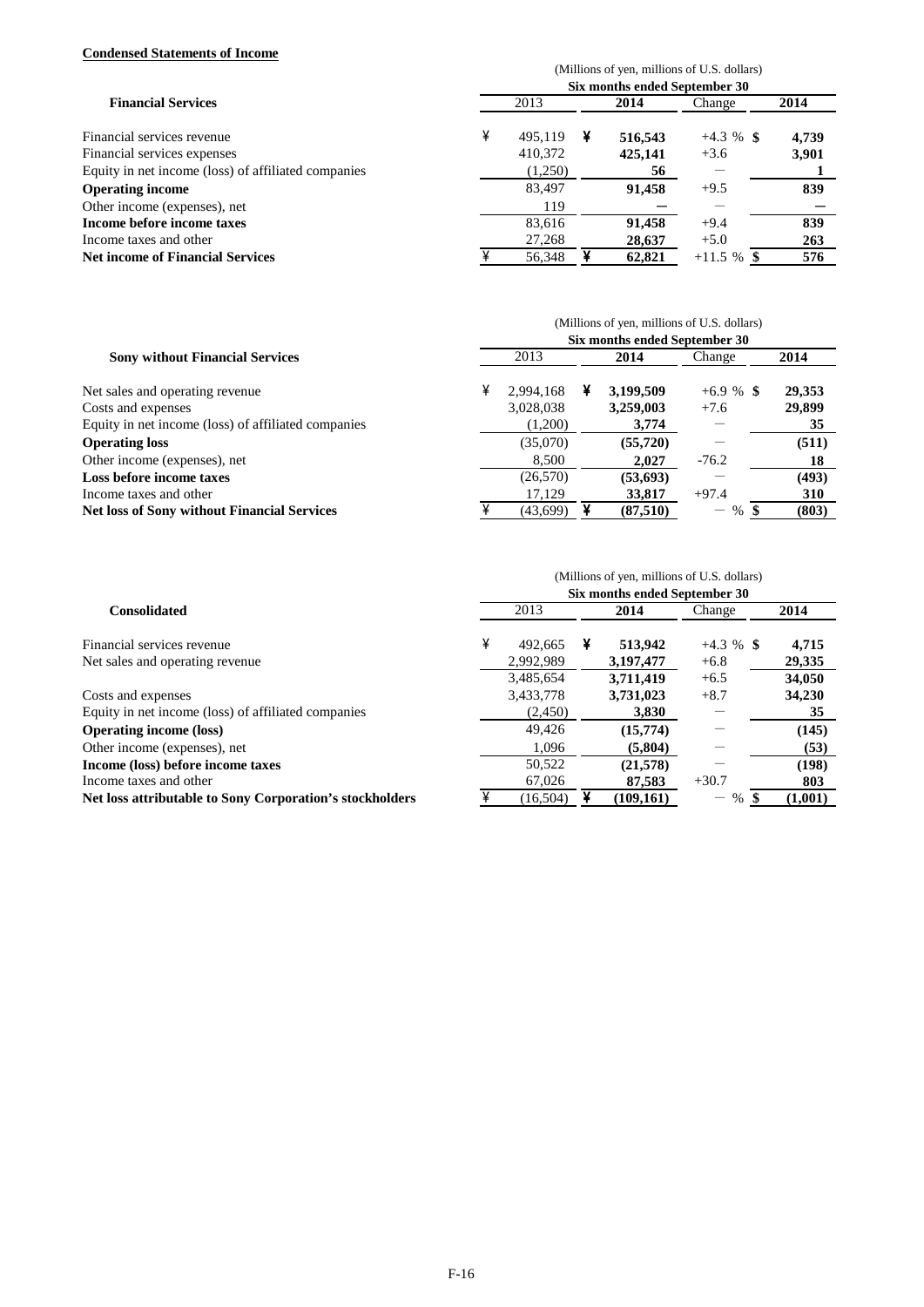## **Condensed Statements of Income**

| сонасноса глассините от тисопис                     |                                             |         |   |         |               |       |  |  |  |  |
|-----------------------------------------------------|---------------------------------------------|---------|---|---------|---------------|-------|--|--|--|--|
|                                                     | (Millions of yen, millions of U.S. dollars) |         |   |         |               |       |  |  |  |  |
| <b>Financial Services</b>                           | Six months ended September 30               |         |   |         |               |       |  |  |  |  |
|                                                     |                                             | 2013    |   | 2014    | Change        | 2014  |  |  |  |  |
| Financial services revenue                          | ¥                                           | 495,119 | ¥ | 516,543 | $+4.3 \%$ \$  | 4,739 |  |  |  |  |
| Financial services expenses                         |                                             | 410,372 |   | 425,141 | $+3.6$        | 3,901 |  |  |  |  |
| Equity in net income (loss) of affiliated companies |                                             | (1,250) |   | 56      |               |       |  |  |  |  |
| <b>Operating income</b>                             |                                             | 83,497  |   | 91.458  | $+9.5$        | 839   |  |  |  |  |
| Other income (expenses), net                        |                                             | 119     |   |         |               |       |  |  |  |  |
| Income before income taxes                          |                                             | 83.616  |   | 91.458  | $+9.4$        | 839   |  |  |  |  |
| Income taxes and other                              |                                             | 27,268  |   | 28,637  | $+5.0$        | 263   |  |  |  |  |
| <b>Net income of Financial Services</b>             |                                             | 56.348  |   | 62,821  | $+11.5 \%$ \$ | 576   |  |  |  |  |

|                                                     | (Millions of yen, millions of U.S. dollars) |           |   |           |                          |            |  |  |  |  |
|-----------------------------------------------------|---------------------------------------------|-----------|---|-----------|--------------------------|------------|--|--|--|--|
| <b>Sony without Financial Services</b>              | Six months ended September 30               |           |   |           |                          |            |  |  |  |  |
|                                                     |                                             | 2013      |   | 2014      | Change                   | 2014       |  |  |  |  |
| Net sales and operating revenue                     | ¥                                           | 2.994.168 | ¥ | 3,199,509 | $+6.9 \%$ \$             | 29,353     |  |  |  |  |
| Costs and expenses                                  |                                             | 3,028,038 |   | 3,259,003 | $+7.6$                   | 29,899     |  |  |  |  |
| Equity in net income (loss) of affiliated companies |                                             | (1,200)   |   | 3,774     |                          | 35         |  |  |  |  |
| <b>Operating loss</b>                               |                                             | (35,070)  |   | (55, 720) |                          | (511)      |  |  |  |  |
| Other income (expenses), net                        |                                             | 8.500     |   | 2.027     | $-76.2$                  | 18         |  |  |  |  |
| Loss before income taxes                            |                                             | (26, 570) |   | (53, 693) |                          | (493)      |  |  |  |  |
| Income taxes and other                              |                                             | 17.129    |   | 33,817    | $+97.4$                  | <b>310</b> |  |  |  |  |
| <b>Net loss of Sony without Financial Services</b>  |                                             | (43,699)  |   | (87,510)  | %\$<br>$\qquad \qquad -$ | (803)      |  |  |  |  |

# (Millions of yen, millions of U.S. dollars)

|                                                          | Six months ended September 30 |           |   |            |                                        |         |  |  |  |  |  |
|----------------------------------------------------------|-------------------------------|-----------|---|------------|----------------------------------------|---------|--|--|--|--|--|
| <b>Consolidated</b>                                      |                               | 2013      |   | 2014       | Change                                 | 2014    |  |  |  |  |  |
| Financial services revenue                               | ¥                             | 492.665   | ¥ | 513,942    | $+4.3 \%$ \$                           | 4,715   |  |  |  |  |  |
| Net sales and operating revenue                          |                               | 2,992,989 |   | 3,197,477  | $+6.8$                                 | 29,335  |  |  |  |  |  |
|                                                          |                               | 3,485,654 |   | 3,711,419  | $+6.5$                                 | 34,050  |  |  |  |  |  |
| Costs and expenses                                       |                               | 3,433,778 |   | 3,731,023  | $+8.7$                                 | 34,230  |  |  |  |  |  |
| Equity in net income (loss) of affiliated companies      |                               | (2,450)   |   | 3,830      |                                        | 35      |  |  |  |  |  |
| <b>Operating income (loss)</b>                           |                               | 49,426    |   | (15,774)   |                                        | (145)   |  |  |  |  |  |
| Other income (expenses), net                             |                               | 1.096     |   | (5,804)    |                                        | (53)    |  |  |  |  |  |
| Income (loss) before income taxes                        |                               | 50,522    |   | (21,578)   |                                        | (198)   |  |  |  |  |  |
| Income taxes and other                                   |                               | 67,026    |   | 87,583     | $+30.7$                                | 803     |  |  |  |  |  |
| Net loss attributable to Sony Corporation's stockholders |                               | (16, 504) |   | (109, 161) | $\%$<br>$\qquad \qquad \longleftarrow$ | (1,001) |  |  |  |  |  |
|                                                          |                               |           |   |            |                                        |         |  |  |  |  |  |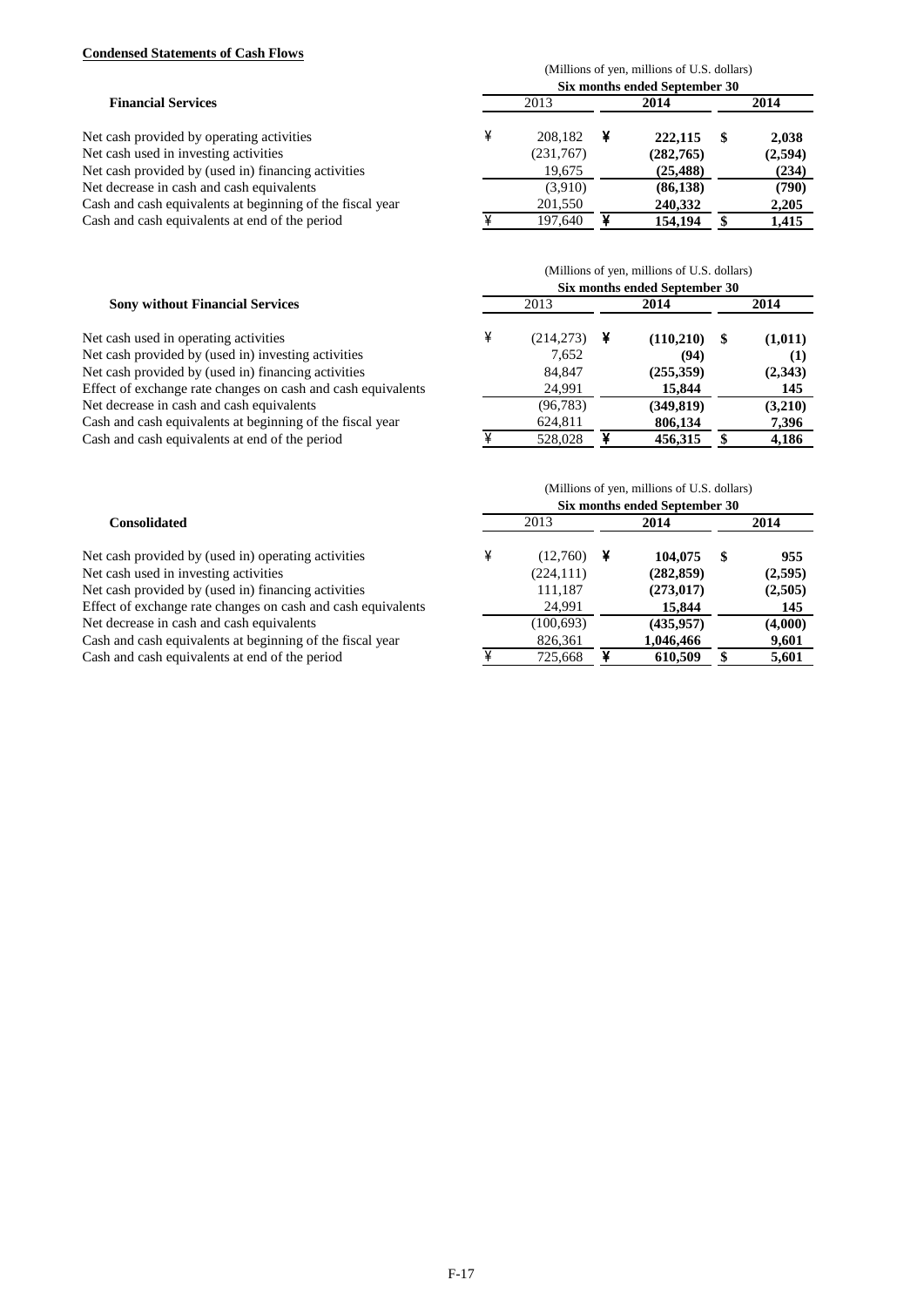## **Condensed Statements of Cash Flows**

| <b>Financial Services</b>                                 | (Millions of yen, millions of U.S. dollars)<br>Six months ended September 30 |           |      |            |      |         |  |  |
|-----------------------------------------------------------|------------------------------------------------------------------------------|-----------|------|------------|------|---------|--|--|
|                                                           | 2013                                                                         |           | 2014 |            | 2014 |         |  |  |
| Net cash provided by operating activities                 | ¥                                                                            | 208.182   |      | 222,115    |      | 2,038   |  |  |
| Net cash used in investing activities                     |                                                                              | (231,767) |      | (282, 765) |      | (2,594) |  |  |
| Net cash provided by (used in) financing activities       |                                                                              | 19,675    |      | (25, 488)  |      | (234)   |  |  |
| Net decrease in cash and cash equivalents                 |                                                                              | (3.910)   |      | (86, 138)  |      | (790)   |  |  |
| Cash and cash equivalents at beginning of the fiscal year |                                                                              | 201,550   |      | 240,332    |      | 2,205   |  |  |
| Cash and cash equivalents at end of the period            |                                                                              | 197,640   |      | 154,194    |      | 1,415   |  |  |

| <b>Sony without Financial Services</b><br>Net cash used in operating activities | (Millions of yen, millions of U.S. dollars)<br>Six months ended September 30 |               |  |            |     |          |  |  |
|---------------------------------------------------------------------------------|------------------------------------------------------------------------------|---------------|--|------------|-----|----------|--|--|
|                                                                                 | 2013                                                                         |               |  | 2014       |     | 2014     |  |  |
|                                                                                 |                                                                              | $(214,273)$ ¥ |  | (110,210)  | -SS | (1,011)  |  |  |
| Net cash provided by (used in) investing activities                             |                                                                              | 7.652         |  | (94)       |     | $\bf(1)$ |  |  |
| Net cash provided by (used in) financing activities                             |                                                                              | 84.847        |  | (255, 359) |     | (2,343)  |  |  |
| Effect of exchange rate changes on cash and cash equivalents                    |                                                                              | 24,991        |  | 15,844     |     | 145      |  |  |
| Net decrease in cash and cash equivalents                                       |                                                                              | (96, 783)     |  | (349, 819) |     | (3,210)  |  |  |
| Cash and cash equivalents at beginning of the fiscal year                       |                                                                              | 624,811       |  | 806,134    |     | 7,396    |  |  |
| Cash and cash equivalents at end of the period                                  |                                                                              | 528,028       |  | 456,315    |     | 4,186    |  |  |

| <b>Consolidated</b>                                          | (Millions of yen, millions of U.S. dollars)<br>Six months ended September 30 |            |      |            |      |         |  |  |
|--------------------------------------------------------------|------------------------------------------------------------------------------|------------|------|------------|------|---------|--|--|
|                                                              | 2013                                                                         |            | 2014 |            | 2014 |         |  |  |
| Net cash provided by (used in) operating activities          | ¥                                                                            | (12,760)   |      | 104.075    | S    | 955     |  |  |
| Net cash used in investing activities                        |                                                                              | (224, 111) |      | (282, 859) |      | (2,595) |  |  |
| Net cash provided by (used in) financing activities          |                                                                              | 111,187    |      | (273, 017) |      | (2,505) |  |  |
| Effect of exchange rate changes on cash and cash equivalents |                                                                              | 24,991     |      | 15,844     |      | 145     |  |  |
| Net decrease in cash and cash equivalents                    |                                                                              | (100, 693) |      | (435, 957) |      | (4,000) |  |  |
| Cash and cash equivalents at beginning of the fiscal year    |                                                                              | 826,361    |      | 1,046,466  |      | 9,601   |  |  |
| Cash and cash equivalents at end of the period               |                                                                              | 725,668    |      | 610,509    |      | 5,601   |  |  |

# F-17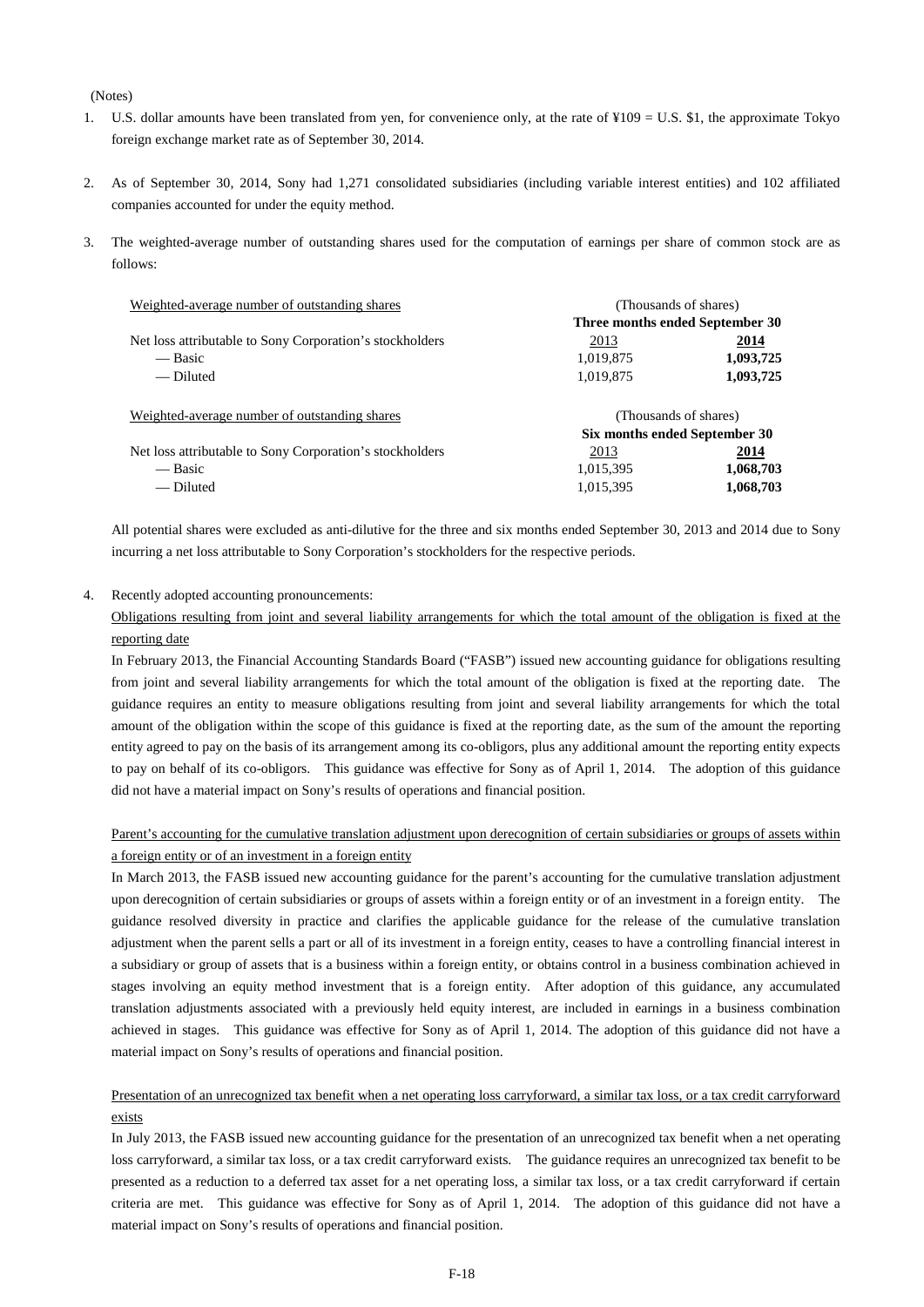#### (Notes)

- 1. U.S. dollar amounts have been translated from yen, for convenience only, at the rate of  $\frac{y}{0.9} = U.S.$  \$1, the approximate Tokyo foreign exchange market rate as of September 30, 2014.
- 2. As of September 30, 2014, Sony had 1,271 consolidated subsidiaries (including variable interest entities) and 102 affiliated companies accounted for under the equity method.
- 3. The weighted-average number of outstanding shares used for the computation of earnings per share of common stock are as follows:

| Weighted-average number of outstanding shares            | (Thousands of shares)           |           |  |
|----------------------------------------------------------|---------------------------------|-----------|--|
|                                                          | Three months ended September 30 |           |  |
| Net loss attributable to Sony Corporation's stockholders | 2013                            | 2014      |  |
| — Basic                                                  | 1,019,875                       | 1,093,725 |  |
| — Diluted                                                | 1,019,875                       | 1,093,725 |  |
| Weighted-average number of outstanding shares            | (Thousands of shares)           |           |  |
|                                                          | Six months ended September 30   |           |  |
| Net loss attributable to Sony Corporation's stockholders | 2013                            | 2014      |  |
| — Basic                                                  | 1,015,395                       | 1,068,703 |  |
| — Diluted                                                | 1,015,395                       | 1,068,703 |  |

All potential shares were excluded as anti-dilutive for the three and six months ended September 30, 2013 and 2014 due to Sony incurring a net loss attributable to Sony Corporation's stockholders for the respective periods.

#### 4. Recently adopted accounting pronouncements:

Obligations resulting from joint and several liability arrangements for which the total amount of the obligation is fixed at the reporting date

In February 2013, the Financial Accounting Standards Board ("FASB") issued new accounting guidance for obligations resulting from joint and several liability arrangements for which the total amount of the obligation is fixed at the reporting date. The guidance requires an entity to measure obligations resulting from joint and several liability arrangements for which the total amount of the obligation within the scope of this guidance is fixed at the reporting date, as the sum of the amount the reporting entity agreed to pay on the basis of its arrangement among its co-obligors, plus any additional amount the reporting entity expects to pay on behalf of its co-obligors. This guidance was effective for Sony as of April 1, 2014. The adoption of this guidance did not have a material impact on Sony's results of operations and financial position.

### Parent's accounting for the cumulative translation adjustment upon derecognition of certain subsidiaries or groups of assets within a foreign entity or of an investment in a foreign entity

In March 2013, the FASB issued new accounting guidance for the parent's accounting for the cumulative translation adjustment upon derecognition of certain subsidiaries or groups of assets within a foreign entity or of an investment in a foreign entity. The guidance resolved diversity in practice and clarifies the applicable guidance for the release of the cumulative translation adjustment when the parent sells a part or all of its investment in a foreign entity, ceases to have a controlling financial interest in a subsidiary or group of assets that is a business within a foreign entity, or obtains control in a business combination achieved in stages involving an equity method investment that is a foreign entity. After adoption of this guidance, any accumulated translation adjustments associated with a previously held equity interest, are included in earnings in a business combination achieved in stages. This guidance was effective for Sony as of April 1, 2014. The adoption of this guidance did not have a material impact on Sony's results of operations and financial position.

## Presentation of an unrecognized tax benefit when a net operating loss carryforward, a similar tax loss, or a tax credit carryforward exists

In July 2013, the FASB issued new accounting guidance for the presentation of an unrecognized tax benefit when a net operating loss carryforward, a similar tax loss, or a tax credit carryforward exists. The guidance requires an unrecognized tax benefit to be presented as a reduction to a deferred tax asset for a net operating loss, a similar tax loss, or a tax credit carryforward if certain criteria are met. This guidance was effective for Sony as of April 1, 2014. The adoption of this guidance did not have a material impact on Sony's results of operations and financial position.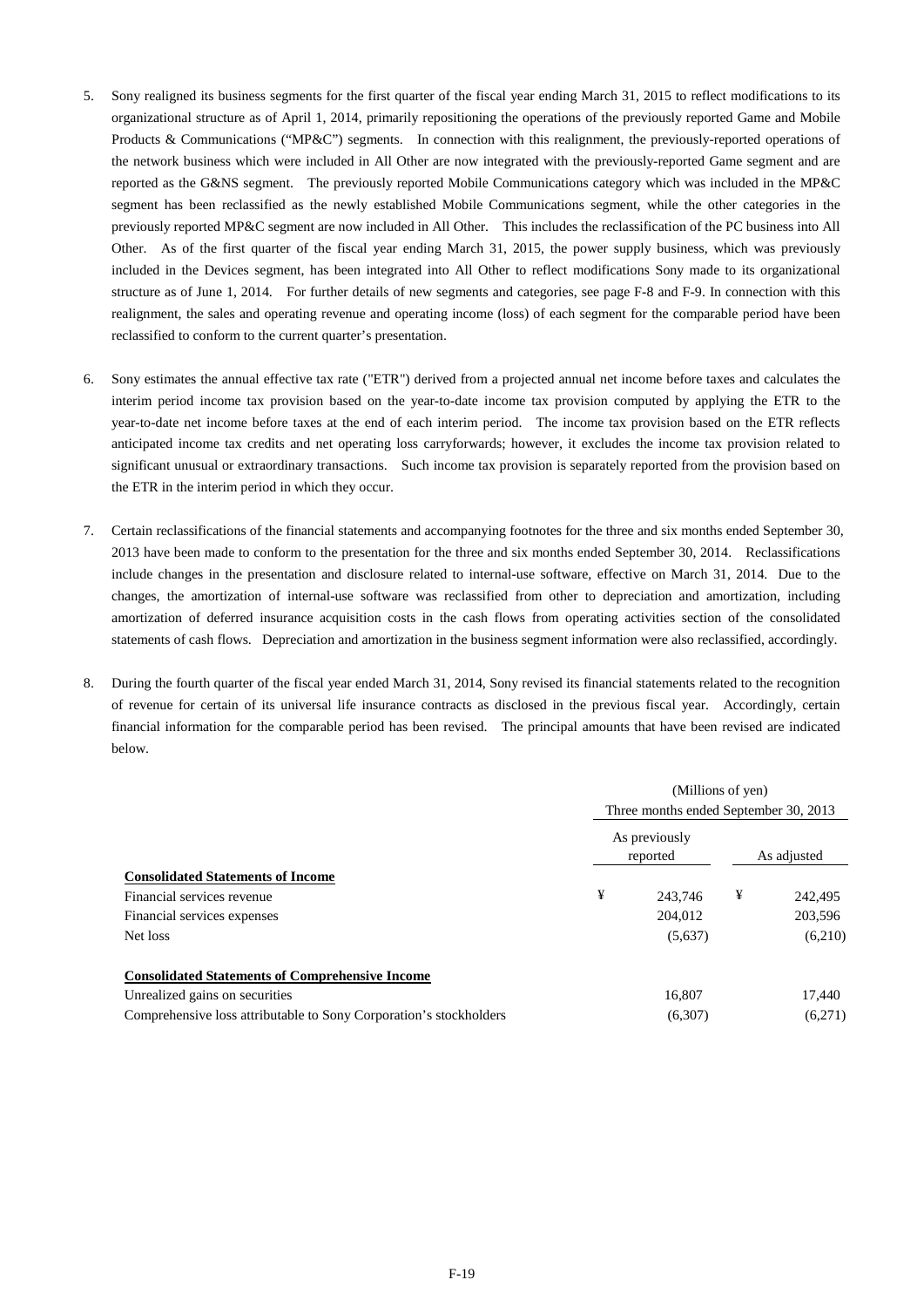- 5. Sony realigned its business segments for the first quarter of the fiscal year ending March 31, 2015 to reflect modifications to its organizational structure as of April 1, 2014, primarily repositioning the operations of the previously reported Game and Mobile Products & Communications ("MP&C") segments. In connection with this realignment, the previously-reported operations of the network business which were included in All Other are now integrated with the previously-reported Game segment and are reported as the G&NS segment. The previously reported Mobile Communications category which was included in the MP&C segment has been reclassified as the newly established Mobile Communications segment, while the other categories in the previously reported MP&C segment are now included in All Other. This includes the reclassification of the PC business into All Other. As of the first quarter of the fiscal year ending March 31, 2015, the power supply business, which was previously included in the Devices segment, has been integrated into All Other to reflect modifications Sony made to its organizational structure as of June 1, 2014. For further details of new segments and categories, see page F-8 and F-9. In connection with this realignment, the sales and operating revenue and operating income (loss) of each segment for the comparable period have been reclassified to conform to the current quarter's presentation.
- 6. Sony estimates the annual effective tax rate ("ETR") derived from a projected annual net income before taxes and calculates the interim period income tax provision based on the year-to-date income tax provision computed by applying the ETR to the year-to-date net income before taxes at the end of each interim period. The income tax provision based on the ETR reflects anticipated income tax credits and net operating loss carryforwards; however, it excludes the income tax provision related to significant unusual or extraordinary transactions. Such income tax provision is separately reported from the provision based on the ETR in the interim period in which they occur.
- 7. Certain reclassifications of the financial statements and accompanying footnotes for the three and six months ended September 30, 2013 have been made to conform to the presentation for the three and six months ended September 30, 2014. Reclassifications include changes in the presentation and disclosure related to internal-use software, effective on March 31, 2014. Due to the changes, the amortization of internal-use software was reclassified from other to depreciation and amortization, including amortization of deferred insurance acquisition costs in the cash flows from operating activities section of the consolidated statements of cash flows. Depreciation and amortization in the business segment information were also reclassified, accordingly.
- 8. During the fourth quarter of the fiscal year ended March 31, 2014, Sony revised its financial statements related to the recognition of revenue for certain of its universal life insurance contracts as disclosed in the previous fiscal year. Accordingly, certain financial information for the comparable period has been revised. The principal amounts that have been revised are indicated below.

|                                                                    |                                       | (Millions of yen)         |             |         |  |  |
|--------------------------------------------------------------------|---------------------------------------|---------------------------|-------------|---------|--|--|
|                                                                    | Three months ended September 30, 2013 |                           |             |         |  |  |
|                                                                    |                                       | As previously<br>reported | As adjusted |         |  |  |
| <b>Consolidated Statements of Income</b>                           |                                       |                           |             |         |  |  |
| Financial services revenue                                         | ¥                                     | 243,746                   | ¥           | 242,495 |  |  |
| Financial services expenses                                        |                                       | 204,012                   |             | 203,596 |  |  |
| Net loss                                                           |                                       | (5,637)                   |             | (6,210) |  |  |
| <b>Consolidated Statements of Comprehensive Income</b>             |                                       |                           |             |         |  |  |
| Unrealized gains on securities                                     |                                       | 16,807                    |             | 17,440  |  |  |
| Comprehensive loss attributable to Sony Corporation's stockholders |                                       | (6,307)                   |             | (6,271) |  |  |